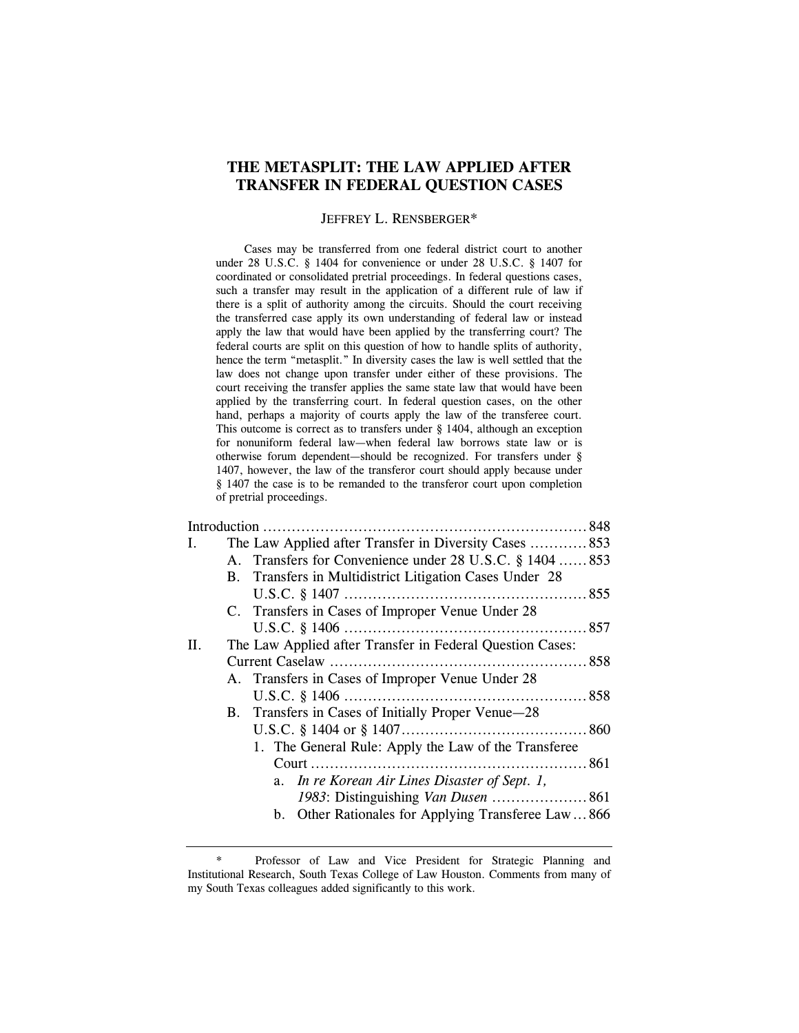# **THE METASPLIT: THE LAW APPLIED AFTER TRANSFER IN FEDERAL QUESTION CASES**

#### JEFFREY L. RENSBERGER\*

 Cases may be transferred from one federal district court to another under 28 U.S.C. § 1404 for convenience or under 28 U.S.C. § 1407 for coordinated or consolidated pretrial proceedings. In federal questions cases, such a transfer may result in the application of a different rule of law if there is a split of authority among the circuits. Should the court receiving the transferred case apply its own understanding of federal law or instead apply the law that would have been applied by the transferring court? The federal courts are split on this question of how to handle splits of authority, hence the term "metasplit." In diversity cases the law is well settled that the law does not change upon transfer under either of these provisions. The court receiving the transfer applies the same state law that would have been applied by the transferring court. In federal question cases, on the other hand, perhaps a majority of courts apply the law of the transferee court. This outcome is correct as to transfers under § 1404, although an exception for nonuniform federal law—when federal law borrows state law or is otherwise forum dependent—should be recognized. For transfers under § 1407, however, the law of the transferor court should apply because under § 1407 the case is to be remanded to the transferor court upon completion of pretrial proceedings.

| I. |            | The Law Applied after Transfer in Diversity Cases  853    |  |
|----|------------|-----------------------------------------------------------|--|
|    |            | A. Transfers for Convenience under 28 U.S.C. § 1404  853  |  |
|    | <b>B</b> . | Transfers in Multidistrict Litigation Cases Under 28      |  |
|    |            |                                                           |  |
|    |            | C. Transfers in Cases of Improper Venue Under 28          |  |
|    |            |                                                           |  |
| П. |            | The Law Applied after Transfer in Federal Question Cases: |  |
|    |            |                                                           |  |
|    |            | A. Transfers in Cases of Improper Venue Under 28          |  |
|    |            |                                                           |  |
|    |            | B. Transfers in Cases of Initially Proper Venue-28        |  |
|    |            |                                                           |  |
|    |            | 1. The General Rule: Apply the Law of the Transferee      |  |
|    |            |                                                           |  |
|    |            | a. In re Korean Air Lines Disaster of Sept. 1,            |  |
|    |            | 1983: Distinguishing Van Dusen  861                       |  |
|    |            | b. Other Rationales for Applying Transferee Law  866      |  |
|    |            |                                                           |  |

<sup>\*</sup> Professor of Law and Vice President for Strategic Planning and Institutional Research, South Texas College of Law Houston. Comments from many of my South Texas colleagues added significantly to this work.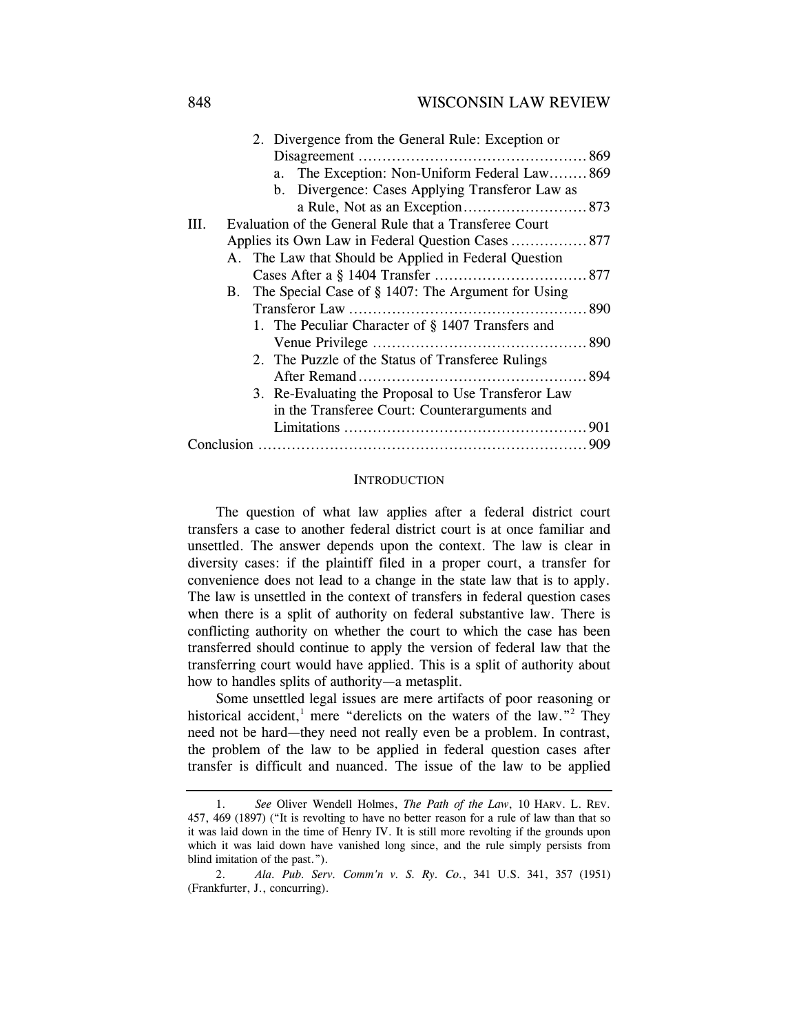## 848 WISCONSIN LAW REVIEW

|                                                                | 2. Divergence from the General Rule: Exception or   |
|----------------------------------------------------------------|-----------------------------------------------------|
|                                                                |                                                     |
|                                                                | a. The Exception: Non-Uniform Federal Law869        |
|                                                                | b. Divergence: Cases Applying Transferor Law as     |
|                                                                |                                                     |
| Evaluation of the General Rule that a Transferee Court<br>III. |                                                     |
|                                                                | Applies its Own Law in Federal Question Cases  877  |
| A. The Law that Should be Applied in Federal Question          |                                                     |
|                                                                |                                                     |
| B. The Special Case of § 1407: The Argument for Using          |                                                     |
|                                                                |                                                     |
|                                                                | 1. The Peculiar Character of § 1407 Transfers and   |
|                                                                |                                                     |
|                                                                | 2. The Puzzle of the Status of Transferee Rulings   |
|                                                                |                                                     |
|                                                                | 3. Re-Evaluating the Proposal to Use Transferor Law |
|                                                                | in the Transferee Court: Counterarguments and       |
|                                                                |                                                     |
|                                                                |                                                     |

#### **INTRODUCTION**

The question of what law applies after a federal district court transfers a case to another federal district court is at once familiar and unsettled. The answer depends upon the context. The law is clear in diversity cases: if the plaintiff filed in a proper court, a transfer for convenience does not lead to a change in the state law that is to apply. The law is unsettled in the context of transfers in federal question cases when there is a split of authority on federal substantive law. There is conflicting authority on whether the court to which the case has been transferred should continue to apply the version of federal law that the transferring court would have applied. This is a split of authority about how to handles splits of authority—a metasplit.

Some unsettled legal issues are mere artifacts of poor reasoning or historical accident,<sup>1</sup> mere "derelicts on the waters of the law."<sup>2</sup> They need not be hard—they need not really even be a problem. In contrast, the problem of the law to be applied in federal question cases after transfer is difficult and nuanced. The issue of the law to be applied

 <sup>1.</sup> *See* Oliver Wendell Holmes, *The Path of the Law*, 10 HARV. L. REV. 457, 469 (1897) ("It is revolting to have no better reason for a rule of law than that so it was laid down in the time of Henry IV. It is still more revolting if the grounds upon which it was laid down have vanished long since, and the rule simply persists from blind imitation of the past.").

 <sup>2.</sup> *Ala. Pub. Serv. Comm'n v. S. Ry. Co.*, 341 U.S. 341, 357 (1951) (Frankfurter, J., concurring).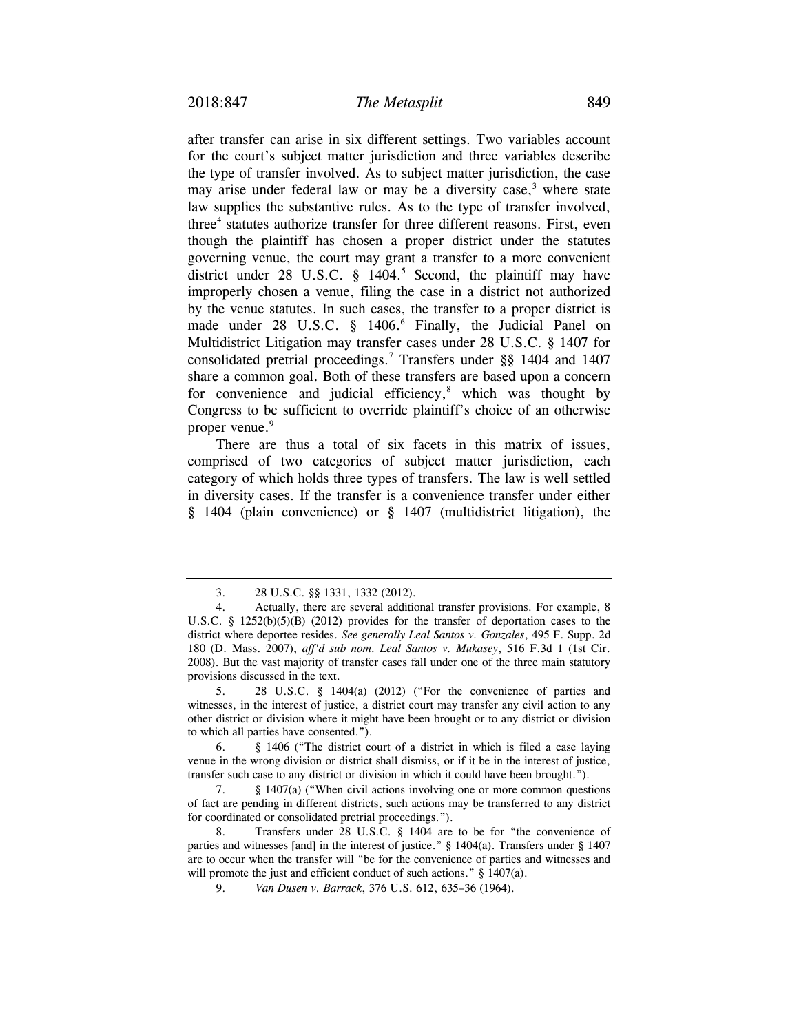after transfer can arise in six different settings. Two variables account for the court's subject matter jurisdiction and three variables describe the type of transfer involved. As to subject matter jurisdiction, the case may arise under federal law or may be a diversity case, $3$  where state law supplies the substantive rules. As to the type of transfer involved, three<sup>4</sup> statutes authorize transfer for three different reasons. First, even though the plaintiff has chosen a proper district under the statutes governing venue, the court may grant a transfer to a more convenient district under  $28$  U.S.C. § 1404.<sup>5</sup> Second, the plaintiff may have improperly chosen a venue, filing the case in a district not authorized by the venue statutes. In such cases, the transfer to a proper district is made under 28 U.S.C. § 1406.<sup>6</sup> Finally, the Judicial Panel on Multidistrict Litigation may transfer cases under 28 U.S.C. § 1407 for consolidated pretrial proceedings.7 Transfers under §§ 1404 and 1407 share a common goal. Both of these transfers are based upon a concern for convenience and judicial efficiency, $8$  which was thought by Congress to be sufficient to override plaintiff's choice of an otherwise proper venue.<sup>9</sup>

There are thus a total of six facets in this matrix of issues, comprised of two categories of subject matter jurisdiction, each category of which holds three types of transfers. The law is well settled in diversity cases. If the transfer is a convenience transfer under either § 1404 (plain convenience) or § 1407 (multidistrict litigation), the

 5. 28 U.S.C. § 1404(a) (2012) ("For the convenience of parties and witnesses, in the interest of justice, a district court may transfer any civil action to any other district or division where it might have been brought or to any district or division to which all parties have consented.").

 6. § 1406 ("The district court of a district in which is filed a case laying venue in the wrong division or district shall dismiss, or if it be in the interest of justice, transfer such case to any district or division in which it could have been brought.").

 7. § 1407(a) ("When civil actions involving one or more common questions of fact are pending in different districts, such actions may be transferred to any district for coordinated or consolidated pretrial proceedings.").

 8. Transfers under 28 U.S.C. § 1404 are to be for "the convenience of parties and witnesses [and] in the interest of justice." § 1404(a). Transfers under § 1407 are to occur when the transfer will "be for the convenience of parties and witnesses and will promote the just and efficient conduct of such actions." § 1407(a).

9. *Van Dusen v. Barrack*, 376 U.S. 612, 635–36 (1964).

 <sup>3. 28</sup> U.S.C. §§ 1331, 1332 (2012).

 <sup>4.</sup> Actually, there are several additional transfer provisions. For example, 8 U.S.C. §  $1252(b)(5)(B)$  (2012) provides for the transfer of deportation cases to the district where deportee resides. *See generally Leal Santos v. Gonzales*, 495 F. Supp. 2d 180 (D. Mass. 2007), *aff'd sub nom*. *Leal Santos v. Mukasey*, 516 F.3d 1 (1st Cir. 2008). But the vast majority of transfer cases fall under one of the three main statutory provisions discussed in the text.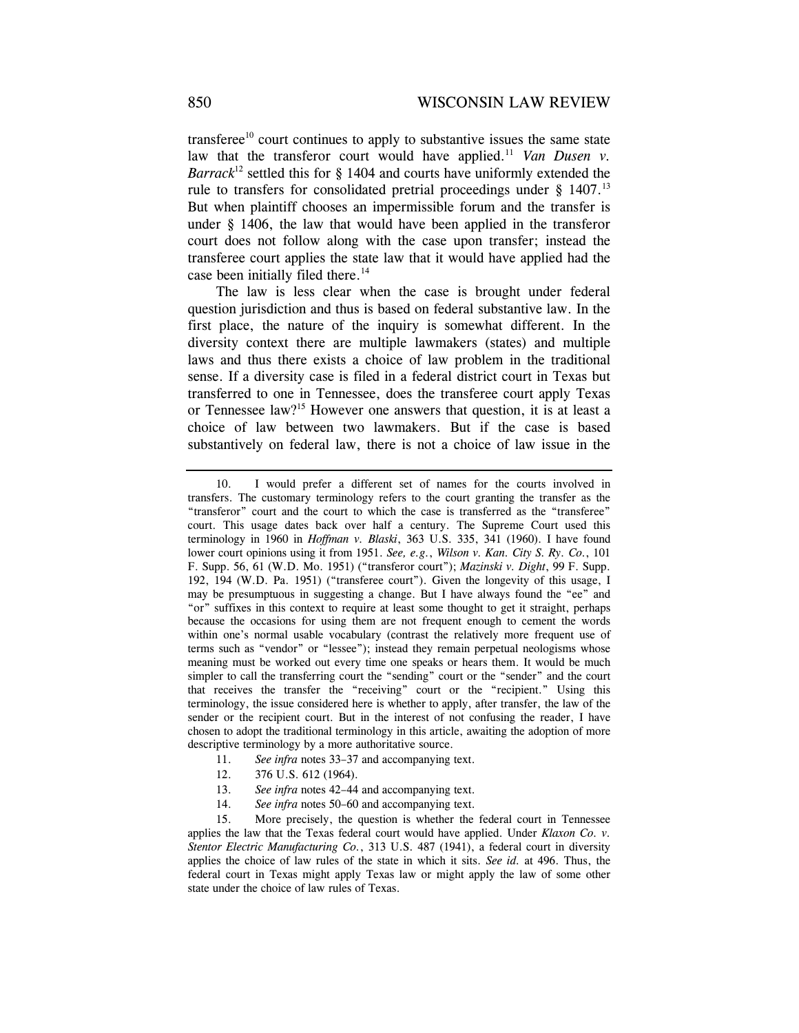transferee<sup>10</sup> court continues to apply to substantive issues the same state law that the transferor court would have applied.<sup>11</sup> *Van Dusen v. Barrack*<sup>12</sup> settled this for  $\S$  1404 and courts have uniformly extended the rule to transfers for consolidated pretrial proceedings under  $\S$  1407.<sup>13</sup> But when plaintiff chooses an impermissible forum and the transfer is under § 1406, the law that would have been applied in the transferor court does not follow along with the case upon transfer; instead the transferee court applies the state law that it would have applied had the case been initially filed there.<sup>14</sup>

The law is less clear when the case is brought under federal question jurisdiction and thus is based on federal substantive law. In the first place, the nature of the inquiry is somewhat different. In the diversity context there are multiple lawmakers (states) and multiple laws and thus there exists a choice of law problem in the traditional sense. If a diversity case is filed in a federal district court in Texas but transferred to one in Tennessee, does the transferee court apply Texas or Tennessee law?15 However one answers that question, it is at least a choice of law between two lawmakers. But if the case is based substantively on federal law, there is not a choice of law issue in the

- 11. *See infra* notes 33–37 and accompanying text.
- 12. 376 U.S. 612 (1964).
- 13. *See infra* notes 42–44 and accompanying text.
- 14. *See infra* notes 50–60 and accompanying text.

 <sup>10.</sup> I would prefer a different set of names for the courts involved in transfers. The customary terminology refers to the court granting the transfer as the "transferor" court and the court to which the case is transferred as the "transferee" court. This usage dates back over half a century. The Supreme Court used this terminology in 1960 in *Hoffman v. Blaski*, 363 U.S. 335, 341 (1960). I have found lower court opinions using it from 1951. *See, e.g.*, *Wilson v. Kan. City S. Ry. Co.*, 101 F. Supp. 56, 61 (W.D. Mo. 1951) ("transferor court"); *Mazinski v. Dight*, 99 F. Supp. 192, 194 (W.D. Pa. 1951) ("transferee court"). Given the longevity of this usage, I may be presumptuous in suggesting a change. But I have always found the "ee" and "or" suffixes in this context to require at least some thought to get it straight, perhaps because the occasions for using them are not frequent enough to cement the words within one's normal usable vocabulary (contrast the relatively more frequent use of terms such as "vendor" or "lessee"); instead they remain perpetual neologisms whose meaning must be worked out every time one speaks or hears them. It would be much simpler to call the transferring court the "sending" court or the "sender" and the court that receives the transfer the "receiving" court or the "recipient." Using this terminology, the issue considered here is whether to apply, after transfer, the law of the sender or the recipient court. But in the interest of not confusing the reader, I have chosen to adopt the traditional terminology in this article, awaiting the adoption of more descriptive terminology by a more authoritative source.

 <sup>15.</sup> More precisely, the question is whether the federal court in Tennessee applies the law that the Texas federal court would have applied. Under *Klaxon Co. v. Stentor Electric Manufacturing Co.*, 313 U.S. 487 (1941), a federal court in diversity applies the choice of law rules of the state in which it sits. *See id.* at 496. Thus, the federal court in Texas might apply Texas law or might apply the law of some other state under the choice of law rules of Texas.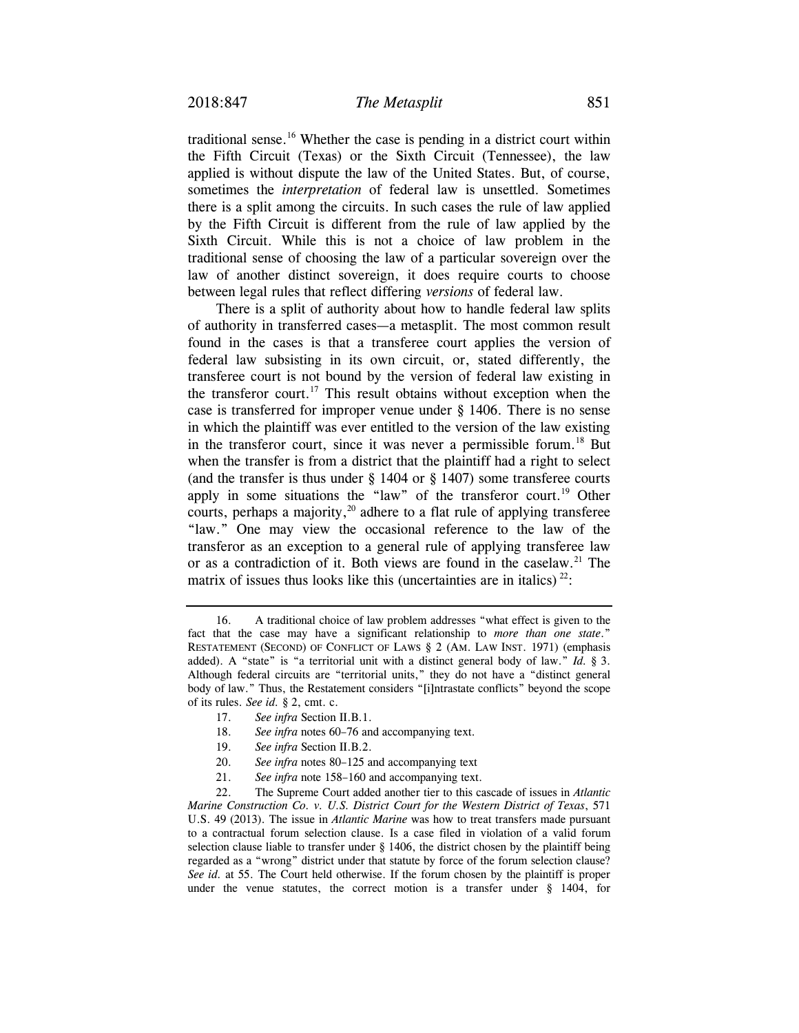traditional sense.16 Whether the case is pending in a district court within the Fifth Circuit (Texas) or the Sixth Circuit (Tennessee), the law applied is without dispute the law of the United States. But, of course, sometimes the *interpretation* of federal law is unsettled. Sometimes there is a split among the circuits. In such cases the rule of law applied by the Fifth Circuit is different from the rule of law applied by the Sixth Circuit. While this is not a choice of law problem in the traditional sense of choosing the law of a particular sovereign over the law of another distinct sovereign, it does require courts to choose between legal rules that reflect differing *versions* of federal law.

There is a split of authority about how to handle federal law splits of authority in transferred cases—a metasplit. The most common result found in the cases is that a transferee court applies the version of federal law subsisting in its own circuit, or, stated differently, the transferee court is not bound by the version of federal law existing in the transferor court.<sup>17</sup> This result obtains without exception when the case is transferred for improper venue under § 1406. There is no sense in which the plaintiff was ever entitled to the version of the law existing in the transferor court, since it was never a permissible forum.<sup>18</sup> But when the transfer is from a district that the plaintiff had a right to select (and the transfer is thus under § 1404 or § 1407) some transferee courts apply in some situations the "law" of the transferor court.<sup>19</sup> Other courts, perhaps a majority,  $20$  adhere to a flat rule of applying transferee "law." One may view the occasional reference to the law of the transferor as an exception to a general rule of applying transferee law or as a contradiction of it. Both views are found in the caselaw.<sup>21</sup> The matrix of issues thus looks like this (uncertainties are in italics)  $^{22}$ :

- 18. *See infra* notes 60–76 and accompanying text.
- 19. *See infra* Section II.B.2.
- 20. *See infra* notes 80–125 and accompanying text
- 21. *See infra* note 158–160 and accompanying text.

 22. The Supreme Court added another tier to this cascade of issues in *Atlantic Marine Construction Co. v. U.S. District Court for the Western District of Texas*, 571 U.S. 49 (2013). The issue in *Atlantic Marine* was how to treat transfers made pursuant to a contractual forum selection clause. Is a case filed in violation of a valid forum selection clause liable to transfer under § 1406, the district chosen by the plaintiff being regarded as a "wrong" district under that statute by force of the forum selection clause? *See id.* at 55. The Court held otherwise. If the forum chosen by the plaintiff is proper under the venue statutes, the correct motion is a transfer under § 1404, for

 <sup>16.</sup> A traditional choice of law problem addresses "what effect is given to the fact that the case may have a significant relationship to *more than one state*." RESTATEMENT (SECOND) OF CONFLICT OF LAWS § 2 (AM. LAW INST. 1971) (emphasis added). A "state" is "a territorial unit with a distinct general body of law." *Id.* § 3. Although federal circuits are "territorial units," they do not have a "distinct general body of law." Thus, the Restatement considers "[i]ntrastate conflicts" beyond the scope of its rules. *See id.* § 2, cmt. c.

<sup>17.</sup> *See infra* Section II.B.1.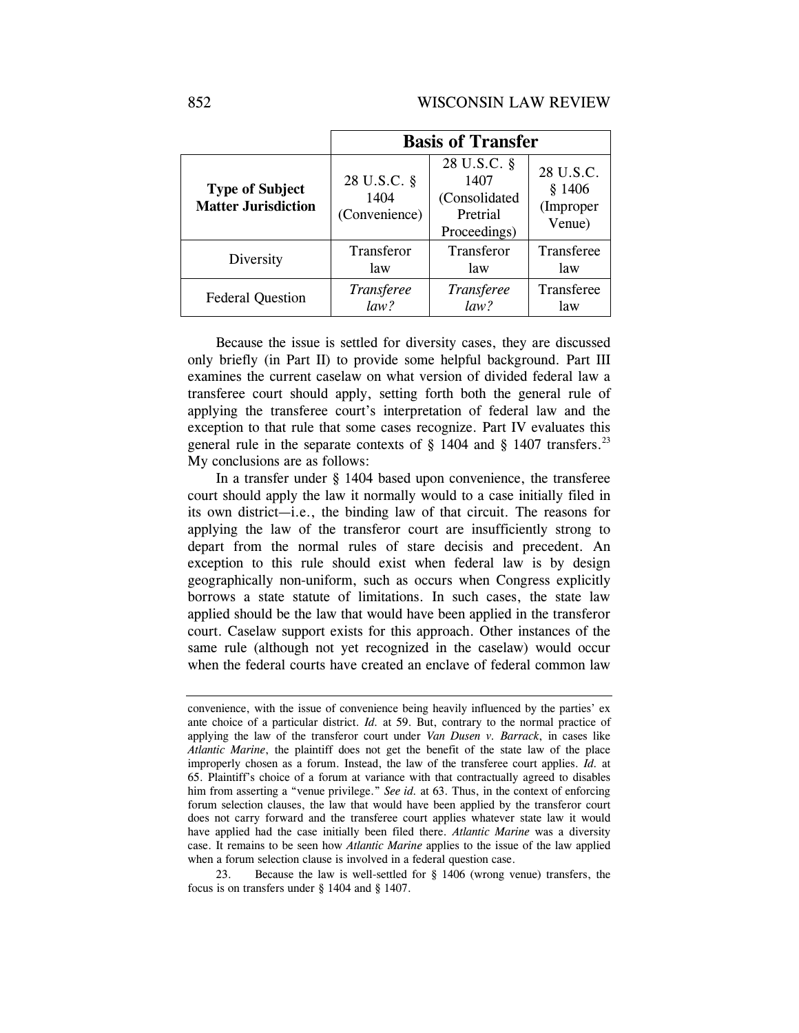|                                                      | <b>Basis of Transfer</b>             |                                                                  |                                            |  |
|------------------------------------------------------|--------------------------------------|------------------------------------------------------------------|--------------------------------------------|--|
| <b>Type of Subject</b><br><b>Matter Jurisdiction</b> | 28 U.S.C. §<br>1404<br>(Convenience) | 28 U.S.C. §<br>1407<br>(Consolidated<br>Pretrial<br>Proceedings) | 28 U.S.C.<br>\$1406<br>(Improper<br>Venue) |  |
| Diversity                                            | Transferor                           | Transferor                                                       | Transferee                                 |  |
|                                                      | law                                  | law                                                              | law                                        |  |
| <b>Federal Question</b>                              | Transferee                           | Transferee                                                       | Transferee                                 |  |
|                                                      | law?                                 | law?                                                             | law                                        |  |

Because the issue is settled for diversity cases, they are discussed only briefly (in Part II) to provide some helpful background. Part III examines the current caselaw on what version of divided federal law a transferee court should apply, setting forth both the general rule of applying the transferee court's interpretation of federal law and the exception to that rule that some cases recognize. Part IV evaluates this general rule in the separate contexts of  $\S$  1404 and  $\S$  1407 transfers.<sup>23</sup> My conclusions are as follows:

In a transfer under § 1404 based upon convenience, the transferee court should apply the law it normally would to a case initially filed in its own district—i.e., the binding law of that circuit. The reasons for applying the law of the transferor court are insufficiently strong to depart from the normal rules of stare decisis and precedent. An exception to this rule should exist when federal law is by design geographically non-uniform, such as occurs when Congress explicitly borrows a state statute of limitations. In such cases, the state law applied should be the law that would have been applied in the transferor court. Caselaw support exists for this approach. Other instances of the same rule (although not yet recognized in the caselaw) would occur when the federal courts have created an enclave of federal common law

23. Because the law is well-settled for § 1406 (wrong venue) transfers, the focus is on transfers under § 1404 and § 1407.

convenience, with the issue of convenience being heavily influenced by the parties' ex ante choice of a particular district. *Id.* at 59. But, contrary to the normal practice of applying the law of the transferor court under *Van Dusen v. Barrack*, in cases like *Atlantic Marine*, the plaintiff does not get the benefit of the state law of the place improperly chosen as a forum. Instead, the law of the transferee court applies. *Id.* at 65. Plaintiff's choice of a forum at variance with that contractually agreed to disables him from asserting a "venue privilege." *See id.* at 63. Thus, in the context of enforcing forum selection clauses, the law that would have been applied by the transferor court does not carry forward and the transferee court applies whatever state law it would have applied had the case initially been filed there. *Atlantic Marine* was a diversity case. It remains to be seen how *Atlantic Marine* applies to the issue of the law applied when a forum selection clause is involved in a federal question case.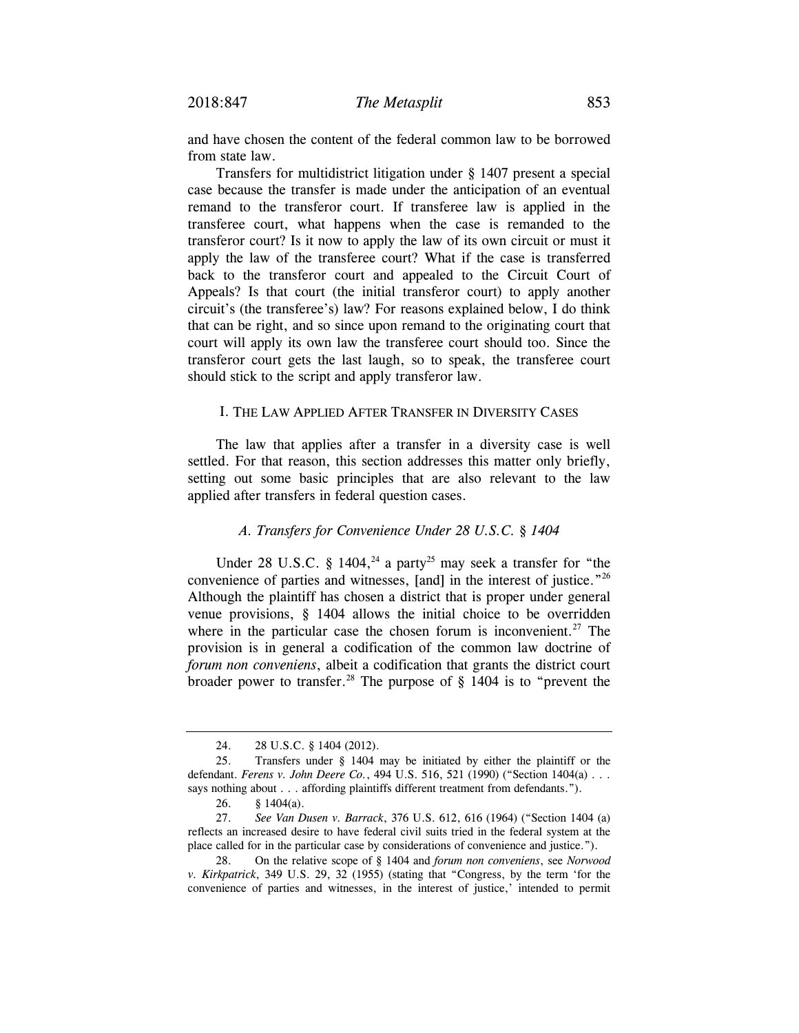and have chosen the content of the federal common law to be borrowed from state law.

Transfers for multidistrict litigation under § 1407 present a special case because the transfer is made under the anticipation of an eventual remand to the transferor court. If transferee law is applied in the transferee court, what happens when the case is remanded to the transferor court? Is it now to apply the law of its own circuit or must it apply the law of the transferee court? What if the case is transferred back to the transferor court and appealed to the Circuit Court of Appeals? Is that court (the initial transferor court) to apply another circuit's (the transferee's) law? For reasons explained below, I do think that can be right, and so since upon remand to the originating court that court will apply its own law the transferee court should too. Since the transferor court gets the last laugh, so to speak, the transferee court should stick to the script and apply transferor law.

#### I. THE LAW APPLIED AFTER TRANSFER IN DIVERSITY CASES

The law that applies after a transfer in a diversity case is well settled. For that reason, this section addresses this matter only briefly, setting out some basic principles that are also relevant to the law applied after transfers in federal question cases.

## *A. Transfers for Convenience Under 28 U.S.C. § 1404*

Under 28 U.S.C. § 1404,<sup>24</sup> a party<sup>25</sup> may seek a transfer for "the convenience of parties and witnesses, [and] in the interest of justice."26 Although the plaintiff has chosen a district that is proper under general venue provisions, § 1404 allows the initial choice to be overridden where in the particular case the chosen forum is inconvenient.<sup>27</sup> The provision is in general a codification of the common law doctrine of *forum non conveniens*, albeit a codification that grants the district court broader power to transfer.<sup>28</sup> The purpose of  $\S$  1404 is to "prevent the

 <sup>24. 28</sup> U.S.C. § 1404 (2012).

 <sup>25.</sup> Transfers under § 1404 may be initiated by either the plaintiff or the defendant. *Ferens v. John Deere Co.*, 494 U.S. 516, 521 (1990) ("Section 1404(a) . . . says nothing about . . . affording plaintiffs different treatment from defendants.").

 <sup>26. § 1404(</sup>a).

 <sup>27.</sup> *See Van Dusen v. Barrack*, 376 U.S. 612, 616 (1964) ("Section 1404 (a) reflects an increased desire to have federal civil suits tried in the federal system at the place called for in the particular case by considerations of convenience and justice.").

 <sup>28.</sup> On the relative scope of § 1404 and *forum non conveniens*, see *Norwood v. Kirkpatrick*, 349 U.S. 29, 32 (1955) (stating that "Congress, by the term 'for the convenience of parties and witnesses, in the interest of justice,' intended to permit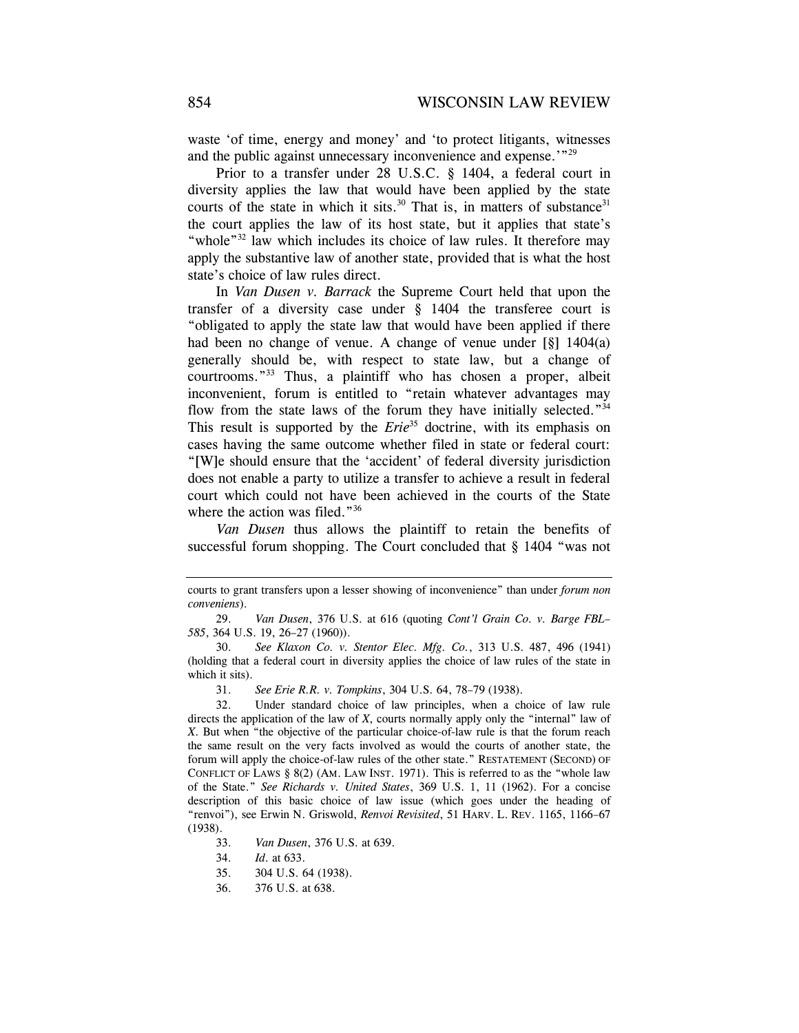waste 'of time, energy and money' and 'to protect litigants, witnesses and the public against unnecessary inconvenience and expense.'"29

Prior to a transfer under 28 U.S.C. § 1404, a federal court in diversity applies the law that would have been applied by the state courts of the state in which it sits. $30$  That is, in matters of substance  $31$ the court applies the law of its host state, but it applies that state's "whole"<sup>32</sup> law which includes its choice of law rules. It therefore may apply the substantive law of another state, provided that is what the host state's choice of law rules direct.

In *Van Dusen v. Barrack* the Supreme Court held that upon the transfer of a diversity case under § 1404 the transferee court is "obligated to apply the state law that would have been applied if there had been no change of venue. A change of venue under [§] 1404(a) generally should be, with respect to state law, but a change of courtrooms."33 Thus, a plaintiff who has chosen a proper, albeit inconvenient, forum is entitled to "retain whatever advantages may flow from the state laws of the forum they have initially selected."<sup>34</sup> This result is supported by the *Erie*<sup>35</sup> doctrine, with its emphasis on cases having the same outcome whether filed in state or federal court: "[W]e should ensure that the 'accident' of federal diversity jurisdiction does not enable a party to utilize a transfer to achieve a result in federal court which could not have been achieved in the courts of the State where the action was filed."<sup>36</sup>

*Van Dusen* thus allows the plaintiff to retain the benefits of successful forum shopping. The Court concluded that § 1404 "was not

34. *Id*. at 633.

courts to grant transfers upon a lesser showing of inconvenience" than under *forum non conveniens*).

 <sup>29.</sup> *Van Dusen*, 376 U.S. at 616 (quoting *Cont'l Grain Co. v. Barge FBL– 585*, 364 U.S. 19, 26–27 (1960)).

 <sup>30.</sup> *See Klaxon Co. v. Stentor Elec. Mfg. Co.*, 313 U.S. 487, 496 (1941) (holding that a federal court in diversity applies the choice of law rules of the state in which it sits).

 <sup>31.</sup> *See Erie R.R. v. Tompkins*, 304 U.S. 64, 78–79 (1938).

 <sup>32.</sup> Under standard choice of law principles, when a choice of law rule directs the application of the law of *X*, courts normally apply only the "internal" law of *X*. But when "the objective of the particular choice-of-law rule is that the forum reach the same result on the very facts involved as would the courts of another state, the forum will apply the choice-of-law rules of the other state." RESTATEMENT (SECOND) OF CONFLICT OF LAWS  $\S 8(2)$  (AM. LAW INST. 1971). This is referred to as the "whole law of the State." *See Richards v. United States*, 369 U.S. 1, 11 (1962). For a concise description of this basic choice of law issue (which goes under the heading of "renvoi"), see Erwin N. Griswold, *Renvoi Revisited*, 51 HARV. L. REV. 1165, 1166–67 (1938).

 <sup>33.</sup> *Van Dusen*, 376 U.S. at 639.

<sup>35. 304</sup> U.S. 64 (1938).

 <sup>36. 376</sup> U.S. at 638.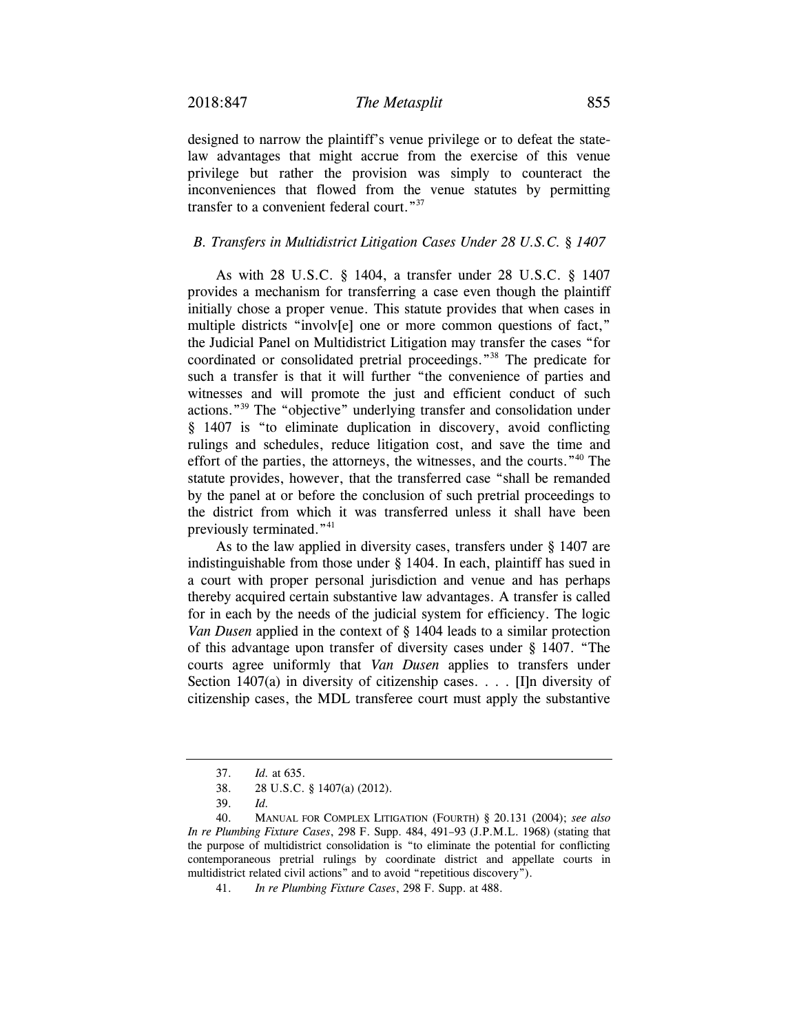designed to narrow the plaintiff's venue privilege or to defeat the statelaw advantages that might accrue from the exercise of this venue privilege but rather the provision was simply to counteract the inconveniences that flowed from the venue statutes by permitting transfer to a convenient federal court."<sup>37</sup>

#### *B. Transfers in Multidistrict Litigation Cases Under 28 U.S.C. § 1407*

As with 28 U.S.C. § 1404, a transfer under 28 U.S.C. § 1407 provides a mechanism for transferring a case even though the plaintiff initially chose a proper venue. This statute provides that when cases in multiple districts "involv[e] one or more common questions of fact," the Judicial Panel on Multidistrict Litigation may transfer the cases "for coordinated or consolidated pretrial proceedings."38 The predicate for such a transfer is that it will further "the convenience of parties and witnesses and will promote the just and efficient conduct of such actions."39 The "objective" underlying transfer and consolidation under § 1407 is "to eliminate duplication in discovery, avoid conflicting rulings and schedules, reduce litigation cost, and save the time and effort of the parties, the attorneys, the witnesses, and the courts."40 The statute provides, however, that the transferred case "shall be remanded by the panel at or before the conclusion of such pretrial proceedings to the district from which it was transferred unless it shall have been previously terminated."<sup>41</sup>

As to the law applied in diversity cases, transfers under § 1407 are indistinguishable from those under § 1404. In each, plaintiff has sued in a court with proper personal jurisdiction and venue and has perhaps thereby acquired certain substantive law advantages. A transfer is called for in each by the needs of the judicial system for efficiency. The logic *Van Dusen* applied in the context of § 1404 leads to a similar protection of this advantage upon transfer of diversity cases under § 1407. "The courts agree uniformly that *Van Dusen* applies to transfers under Section 1407(a) in diversity of citizenship cases. . . . [I]n diversity of citizenship cases, the MDL transferee court must apply the substantive

 <sup>37.</sup> *Id.* at 635.

 <sup>38. 28</sup> U.S.C. § 1407(a) (2012).

 <sup>39.</sup> *Id.*

 <sup>40.</sup> MANUAL FOR COMPLEX LITIGATION (FOURTH) § 20.131 (2004); *see also In re Plumbing Fixture Cases*, 298 F. Supp. 484, 491–93 (J.P.M.L. 1968) (stating that the purpose of multidistrict consolidation is "to eliminate the potential for conflicting contemporaneous pretrial rulings by coordinate district and appellate courts in multidistrict related civil actions" and to avoid "repetitious discovery").

 <sup>41.</sup> *In re Plumbing Fixture Cases*, 298 F. Supp. at 488.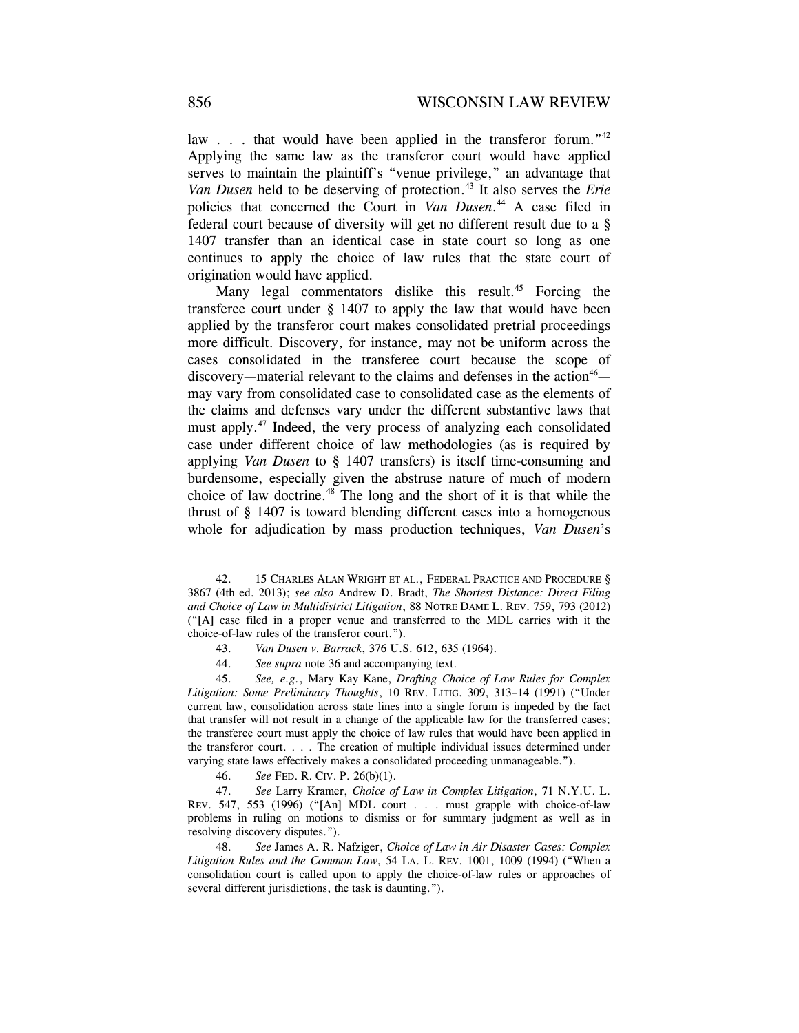law . . . that would have been applied in the transferor forum."<sup>42</sup> Applying the same law as the transferor court would have applied serves to maintain the plaintiff's "venue privilege," an advantage that *Van Dusen* held to be deserving of protection.<sup>43</sup> It also serves the *Erie* policies that concerned the Court in *Van Dusen*. 44 A case filed in federal court because of diversity will get no different result due to a § 1407 transfer than an identical case in state court so long as one continues to apply the choice of law rules that the state court of origination would have applied.

Many legal commentators dislike this result.<sup>45</sup> Forcing the transferee court under § 1407 to apply the law that would have been applied by the transferor court makes consolidated pretrial proceedings more difficult. Discovery, for instance, may not be uniform across the cases consolidated in the transferee court because the scope of discovery—material relevant to the claims and defenses in the action<sup>46</sup> may vary from consolidated case to consolidated case as the elements of the claims and defenses vary under the different substantive laws that must apply.47 Indeed, the very process of analyzing each consolidated case under different choice of law methodologies (as is required by applying *Van Dusen* to § 1407 transfers) is itself time-consuming and burdensome, especially given the abstruse nature of much of modern choice of law doctrine.48 The long and the short of it is that while the thrust of § 1407 is toward blending different cases into a homogenous whole for adjudication by mass production techniques, *Van Dusen*'s

 <sup>42. 15</sup> CHARLES ALAN WRIGHT ET AL., FEDERAL PRACTICE AND PROCEDURE § 3867 (4th ed. 2013); *see also* Andrew D. Bradt, *The Shortest Distance: Direct Filing and Choice of Law in Multidistrict Litigation*, 88 NOTRE DAME L. REV. 759, 793 (2012) ("[A] case filed in a proper venue and transferred to the MDL carries with it the choice-of-law rules of the transferor court.").

 <sup>43.</sup> *Van Dusen v. Barrack*, 376 U.S. 612, 635 (1964).

 <sup>44.</sup> *See supra* note 36 and accompanying text.

 <sup>45.</sup> *See, e.g.*, Mary Kay Kane, *Drafting Choice of Law Rules for Complex Litigation: Some Preliminary Thoughts*, 10 REV. LITIG. 309, 313–14 (1991) ("Under current law, consolidation across state lines into a single forum is impeded by the fact that transfer will not result in a change of the applicable law for the transferred cases; the transferee court must apply the choice of law rules that would have been applied in the transferor court. . . . The creation of multiple individual issues determined under varying state laws effectively makes a consolidated proceeding unmanageable.").

 <sup>46.</sup> *See* FED. R. CIV. P. 26(b)(1).

 <sup>47.</sup> *See* Larry Kramer, *Choice of Law in Complex Litigation*, 71 N.Y.U. L. REV. 547, 553 (1996) ("[An] MDL court . . . must grapple with choice-of-law problems in ruling on motions to dismiss or for summary judgment as well as in resolving discovery disputes.").

 <sup>48.</sup> *See* James A. R. Nafziger, *Choice of Law in Air Disaster Cases: Complex Litigation Rules and the Common Law*, 54 LA. L. REV. 1001, 1009 (1994) ("When a consolidation court is called upon to apply the choice-of-law rules or approaches of several different jurisdictions, the task is daunting.").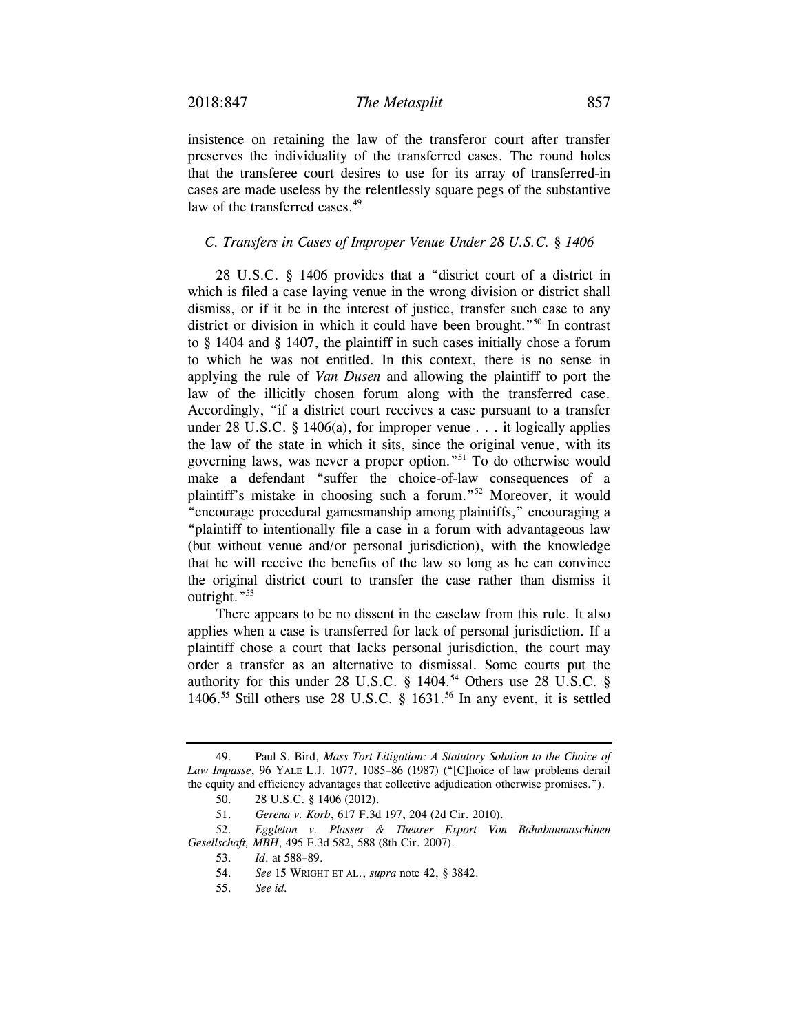insistence on retaining the law of the transferor court after transfer preserves the individuality of the transferred cases. The round holes that the transferee court desires to use for its array of transferred-in cases are made useless by the relentlessly square pegs of the substantive law of the transferred cases.<sup>49</sup>

#### *C. Transfers in Cases of Improper Venue Under 28 U.S.C. § 1406*

28 U.S.C. § 1406 provides that a "district court of a district in which is filed a case laying venue in the wrong division or district shall dismiss, or if it be in the interest of justice, transfer such case to any district or division in which it could have been brought."50 In contrast to § 1404 and § 1407, the plaintiff in such cases initially chose a forum to which he was not entitled. In this context, there is no sense in applying the rule of *Van Dusen* and allowing the plaintiff to port the law of the illicitly chosen forum along with the transferred case. Accordingly, "if a district court receives a case pursuant to a transfer under 28 U.S.C. § 1406(a), for improper venue . . . it logically applies the law of the state in which it sits, since the original venue, with its governing laws, was never a proper option."51 To do otherwise would make a defendant "suffer the choice-of-law consequences of a plaintiff's mistake in choosing such a forum."52 Moreover, it would "encourage procedural gamesmanship among plaintiffs," encouraging a "plaintiff to intentionally file a case in a forum with advantageous law (but without venue and/or personal jurisdiction), with the knowledge that he will receive the benefits of the law so long as he can convince the original district court to transfer the case rather than dismiss it outright."<sup>53</sup>

There appears to be no dissent in the caselaw from this rule. It also applies when a case is transferred for lack of personal jurisdiction. If a plaintiff chose a court that lacks personal jurisdiction, the court may order a transfer as an alternative to dismissal. Some courts put the authority for this under 28 U.S.C.  $\S$  1404.<sup>54</sup> Others use 28 U.S.C.  $\S$ 1406.<sup>55</sup> Still others use 28 U.S.C.  $\frac{8}{9}$  1631.<sup>56</sup> In any event, it is settled

 <sup>49.</sup> Paul S. Bird, *Mass Tort Litigation: A Statutory Solution to the Choice of Law Impasse*, 96 YALE L.J. 1077, 1085–86 (1987) ("[C]hoice of law problems derail the equity and efficiency advantages that collective adjudication otherwise promises.").

 <sup>50. 28</sup> U.S.C. § 1406 (2012).

 <sup>51.</sup> *Gerena v. Korb*, 617 F.3d 197, 204 (2d Cir. 2010).

 <sup>52.</sup> *Eggleton v. Plasser & Theurer Export Von Bahnbaumaschinen Gesellschaft, MBH*, 495 F.3d 582, 588 (8th Cir. 2007).

 <sup>53.</sup> *Id*. at 588–89.

 <sup>54.</sup> *See* 15 WRIGHT ET AL., *supra* note 42, § 3842.

 <sup>55.</sup> *See id.*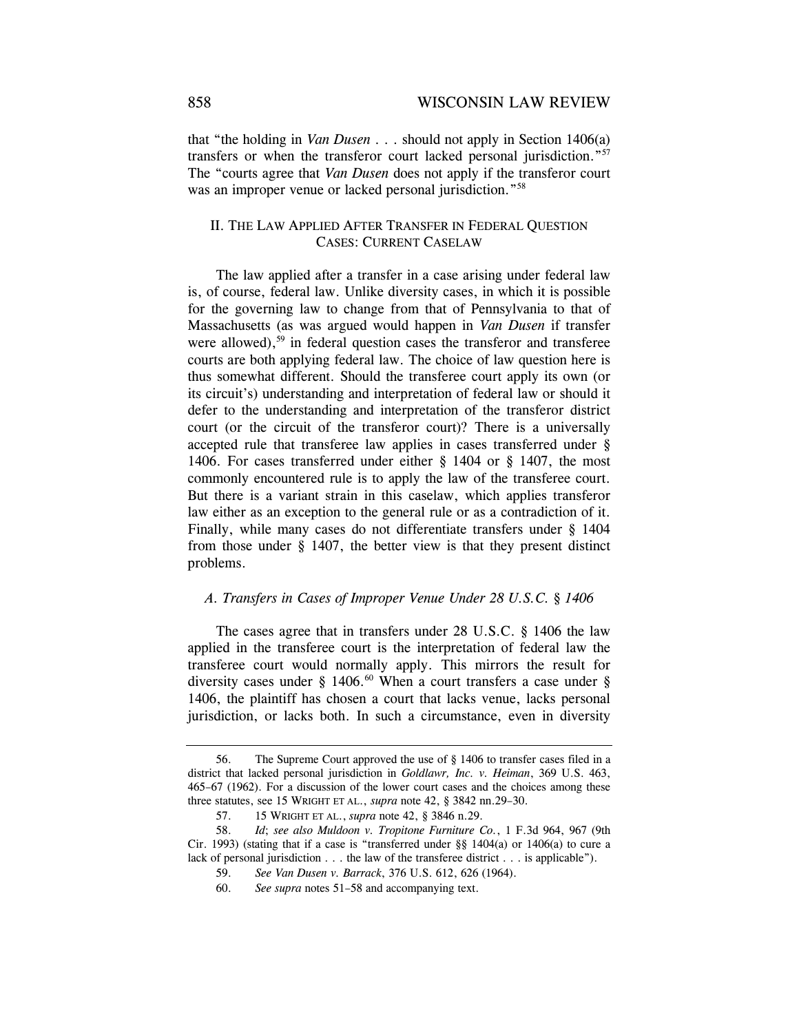that "the holding in *Van Dusen* . . . should not apply in Section 1406(a) transfers or when the transferor court lacked personal jurisdiction."57 The "courts agree that *Van Dusen* does not apply if the transferor court was an improper venue or lacked personal jurisdiction."<sup>58</sup>

## II. THE LAW APPLIED AFTER TRANSFER IN FEDERAL QUESTION CASES: CURRENT CASELAW

The law applied after a transfer in a case arising under federal law is, of course, federal law. Unlike diversity cases, in which it is possible for the governing law to change from that of Pennsylvania to that of Massachusetts (as was argued would happen in *Van Dusen* if transfer were allowed),  $59$  in federal question cases the transferor and transferee courts are both applying federal law. The choice of law question here is thus somewhat different. Should the transferee court apply its own (or its circuit's) understanding and interpretation of federal law or should it defer to the understanding and interpretation of the transferor district court (or the circuit of the transferor court)? There is a universally accepted rule that transferee law applies in cases transferred under § 1406. For cases transferred under either § 1404 or § 1407, the most commonly encountered rule is to apply the law of the transferee court. But there is a variant strain in this caselaw, which applies transferor law either as an exception to the general rule or as a contradiction of it. Finally, while many cases do not differentiate transfers under § 1404 from those under § 1407, the better view is that they present distinct problems.

#### *A. Transfers in Cases of Improper Venue Under 28 U.S.C. § 1406*

The cases agree that in transfers under 28 U.S.C. § 1406 the law applied in the transferee court is the interpretation of federal law the transferee court would normally apply. This mirrors the result for diversity cases under § 1406.<sup>60</sup> When a court transfers a case under § 1406, the plaintiff has chosen a court that lacks venue, lacks personal jurisdiction, or lacks both. In such a circumstance, even in diversity

 <sup>56.</sup> The Supreme Court approved the use of § 1406 to transfer cases filed in a district that lacked personal jurisdiction in *Goldlawr, Inc. v. Heiman*, 369 U.S. 463, 465–67 (1962). For a discussion of the lower court cases and the choices among these three statutes, see 15 WRIGHT ET AL., *supra* note 42, § 3842 nn.29–30.

 <sup>57. 15</sup> WRIGHT ET AL., *supra* note 42, § 3846 n.29.

 <sup>58.</sup> *Id*; *see also Muldoon v. Tropitone Furniture Co.*, 1 F.3d 964, 967 (9th Cir. 1993) (stating that if a case is "transferred under  $\S$ § 1404(a) or 1406(a) to cure a lack of personal jurisdiction . . . the law of the transferee district . . . is applicable").

 <sup>59.</sup> *See Van Dusen v. Barrack*, 376 U.S. 612, 626 (1964).

 <sup>60.</sup> *See supra* notes 51–58 and accompanying text.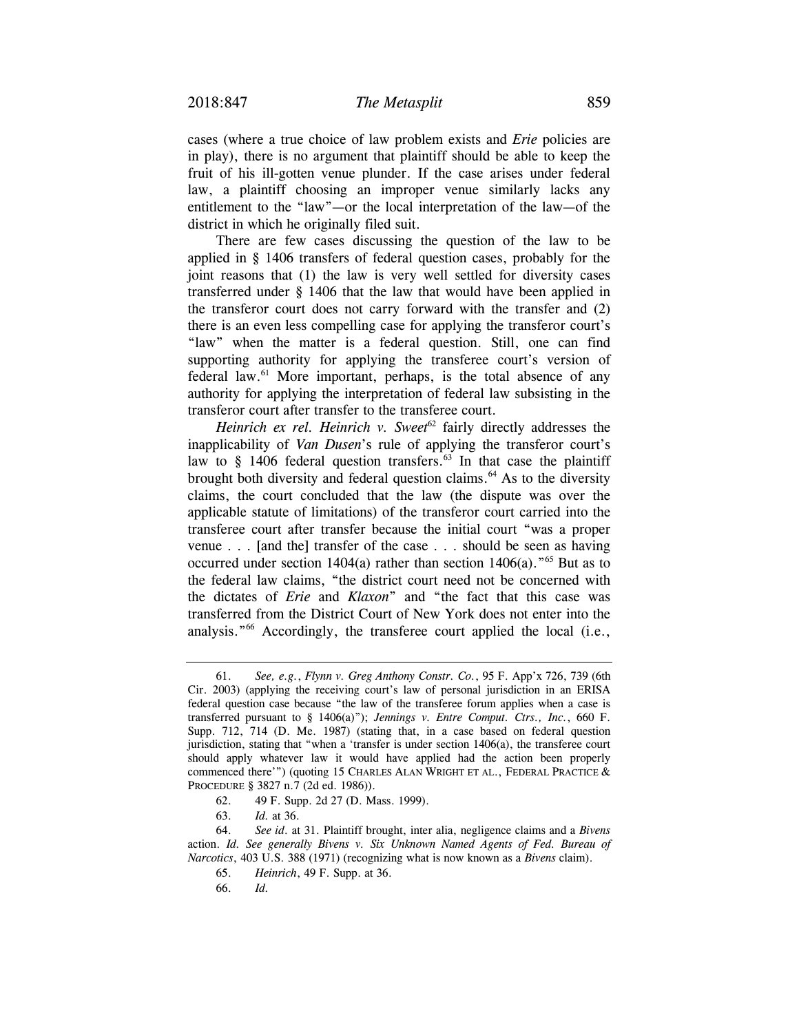cases (where a true choice of law problem exists and *Erie* policies are in play), there is no argument that plaintiff should be able to keep the fruit of his ill-gotten venue plunder. If the case arises under federal law, a plaintiff choosing an improper venue similarly lacks any entitlement to the "law"—or the local interpretation of the law—of the district in which he originally filed suit.

There are few cases discussing the question of the law to be applied in § 1406 transfers of federal question cases, probably for the joint reasons that (1) the law is very well settled for diversity cases transferred under § 1406 that the law that would have been applied in the transferor court does not carry forward with the transfer and (2) there is an even less compelling case for applying the transferor court's "law" when the matter is a federal question. Still, one can find supporting authority for applying the transferee court's version of federal law.<sup>61</sup> More important, perhaps, is the total absence of any authority for applying the interpretation of federal law subsisting in the transferor court after transfer to the transferee court.

*Heinrich ex rel. Heinrich v. Sweet*<sup>62</sup> fairly directly addresses the inapplicability of *Van Dusen*'s rule of applying the transferor court's law to  $\S$  1406 federal question transfers.<sup>63</sup> In that case the plaintiff brought both diversity and federal question claims.<sup>64</sup> As to the diversity claims, the court concluded that the law (the dispute was over the applicable statute of limitations) of the transferor court carried into the transferee court after transfer because the initial court "was a proper venue . . . [and the] transfer of the case . . . should be seen as having occurred under section 1404(a) rather than section 1406(a)."65 But as to the federal law claims, "the district court need not be concerned with the dictates of *Erie* and *Klaxon*" and "the fact that this case was transferred from the District Court of New York does not enter into the analysis."66 Accordingly, the transferee court applied the local (i.e.,

66. *Id.* 

 <sup>61.</sup> *See, e.g.*, *Flynn v. Greg Anthony Constr. Co.*, 95 F. App'x 726, 739 (6th Cir. 2003) (applying the receiving court's law of personal jurisdiction in an ERISA federal question case because "the law of the transferee forum applies when a case is transferred pursuant to § 1406(a)"); *Jennings v. Entre Comput. Ctrs., Inc.*, 660 F. Supp. 712, 714 (D. Me. 1987) (stating that, in a case based on federal question jurisdiction, stating that "when a 'transfer is under section 1406(a), the transferee court should apply whatever law it would have applied had the action been properly commenced there'") (quoting 15 CHARLES ALAN WRIGHT ET AL., FEDERAL PRACTICE & PROCEDURE § 3827 n.7 (2d ed. 1986)).

 <sup>62. 49</sup> F. Supp. 2d 27 (D. Mass. 1999).

<sup>63.</sup> *Id.* at 36.

 <sup>64.</sup> *See id*. at 31. Plaintiff brought, inter alia, negligence claims and a *Bivens* action. *Id. See generally Bivens v. Six Unknown Named Agents of Fed. Bureau of Narcotics*, 403 U.S. 388 (1971) (recognizing what is now known as a *Bivens* claim).

 <sup>65.</sup> *Heinrich*, 49 F. Supp. at 36.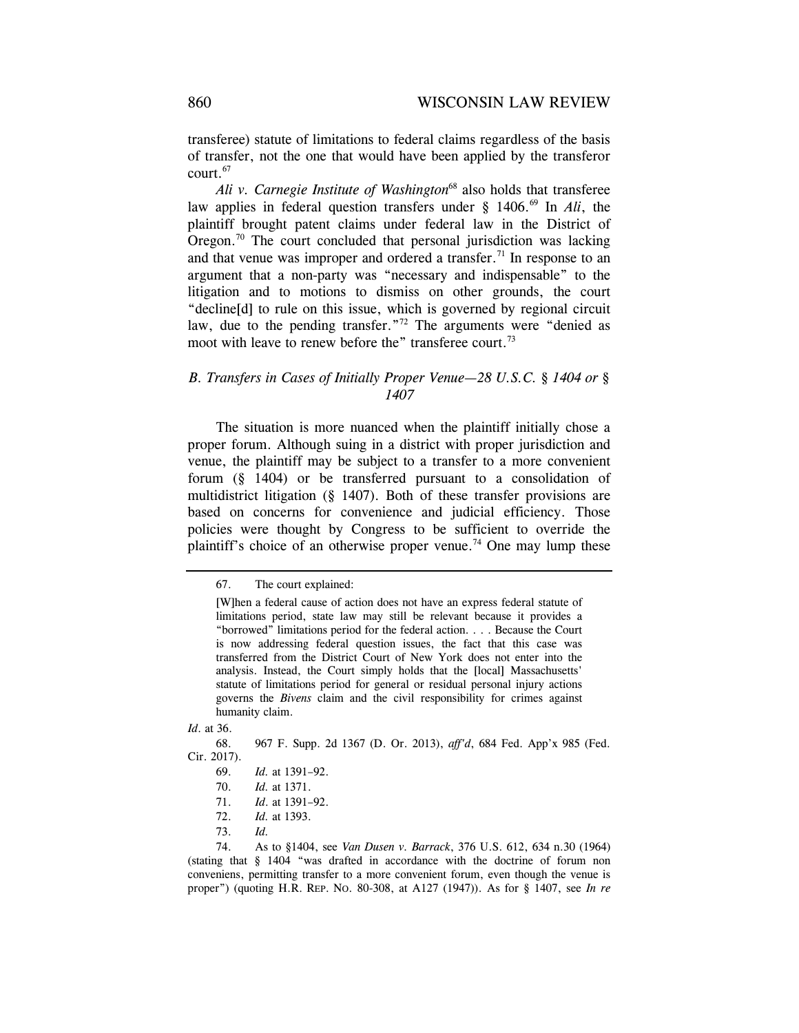transferee) statute of limitations to federal claims regardless of the basis of transfer, not the one that would have been applied by the transferor court.67

*Ali v. Carnegie Institute of Washington*68 also holds that transferee law applies in federal question transfers under § 1406.<sup>69</sup> In *Ali*, the plaintiff brought patent claims under federal law in the District of Oregon.<sup>70</sup> The court concluded that personal jurisdiction was lacking and that venue was improper and ordered a transfer.<sup>71</sup> In response to an argument that a non-party was "necessary and indispensable" to the litigation and to motions to dismiss on other grounds, the court "decline[d] to rule on this issue, which is governed by regional circuit law, due to the pending transfer."<sup>72</sup> The arguments were "denied as moot with leave to renew before the" transferee court.<sup>73</sup>

#### *B. Transfers in Cases of Initially Proper Venue—28 U.S.C. § 1404 or § 1407*

The situation is more nuanced when the plaintiff initially chose a proper forum. Although suing in a district with proper jurisdiction and venue, the plaintiff may be subject to a transfer to a more convenient forum (§ 1404) or be transferred pursuant to a consolidation of multidistrict litigation (§ 1407). Both of these transfer provisions are based on concerns for convenience and judicial efficiency. Those policies were thought by Congress to be sufficient to override the plaintiff's choice of an otherwise proper venue.<sup>74</sup> One may lump these

- 71. *Id*. at 1391–92.
- 72. *Id.* at 1393.
- 73. *Id.*

 <sup>67.</sup> The court explained:

<sup>[</sup>W]hen a federal cause of action does not have an express federal statute of limitations period, state law may still be relevant because it provides a "borrowed" limitations period for the federal action. . . . Because the Court is now addressing federal question issues, the fact that this case was transferred from the District Court of New York does not enter into the analysis. Instead, the Court simply holds that the [local] Massachusetts' statute of limitations period for general or residual personal injury actions governs the *Bivens* claim and the civil responsibility for crimes against humanity claim.

*Id*. at 36.

 <sup>68. 967</sup> F. Supp. 2d 1367 (D. Or. 2013), *aff'd*, 684 Fed. App'x 985 (Fed. Cir. 2017).

<sup>69.</sup> *Id.* at 1391–92.

<sup>70.</sup> *Id.* at 1371.

 <sup>74.</sup> As to §1404, see *Van Dusen v. Barrack*, 376 U.S. 612, 634 n.30 (1964) (stating that § 1404 "was drafted in accordance with the doctrine of forum non conveniens, permitting transfer to a more convenient forum, even though the venue is proper") (quoting H.R. REP. NO. 80-308, at A127 (1947)). As for § 1407, see *In re*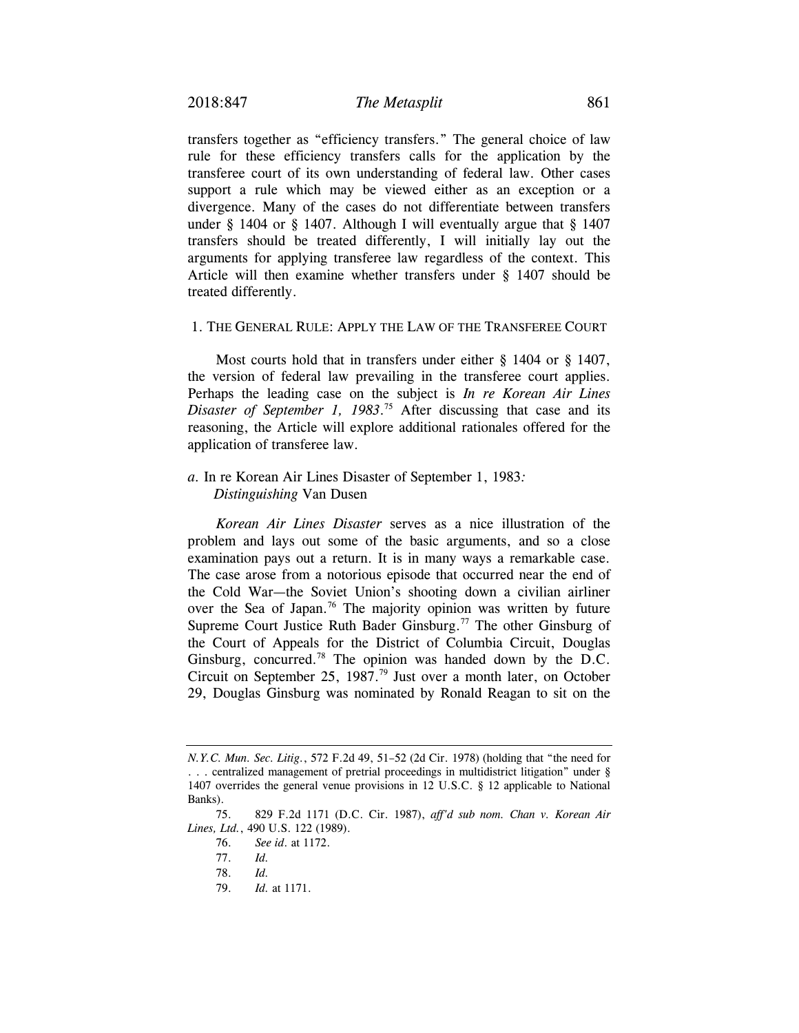transfers together as "efficiency transfers." The general choice of law rule for these efficiency transfers calls for the application by the transferee court of its own understanding of federal law. Other cases support a rule which may be viewed either as an exception or a divergence. Many of the cases do not differentiate between transfers under § 1404 or § 1407. Although I will eventually argue that § 1407 transfers should be treated differently, I will initially lay out the arguments for applying transferee law regardless of the context. This Article will then examine whether transfers under § 1407 should be treated differently.

#### 1. THE GENERAL RULE: APPLY THE LAW OF THE TRANSFEREE COURT

Most courts hold that in transfers under either § 1404 or § 1407, the version of federal law prevailing in the transferee court applies. Perhaps the leading case on the subject is *In re Korean Air Lines Disaster of September 1, 1983*. <sup>75</sup> After discussing that case and its reasoning, the Article will explore additional rationales offered for the application of transferee law.

## *a.* In re Korean Air Lines Disaster of September 1, 1983*: Distinguishing* Van Dusen

*Korean Air Lines Disaster* serves as a nice illustration of the problem and lays out some of the basic arguments, and so a close examination pays out a return. It is in many ways a remarkable case. The case arose from a notorious episode that occurred near the end of the Cold War—the Soviet Union's shooting down a civilian airliner over the Sea of Japan.<sup>76</sup> The majority opinion was written by future Supreme Court Justice Ruth Bader Ginsburg.<sup>77</sup> The other Ginsburg of the Court of Appeals for the District of Columbia Circuit, Douglas Ginsburg, concurred.<sup>78</sup> The opinion was handed down by the D.C. Circuit on September 25, 1987.<sup>79</sup> Just over a month later, on October 29, Douglas Ginsburg was nominated by Ronald Reagan to sit on the

*N.Y.C. Mun. Sec. Litig.*, 572 F.2d 49, 51–52 (2d Cir. 1978) (holding that "the need for . . . centralized management of pretrial proceedings in multidistrict litigation" under § 1407 overrides the general venue provisions in 12 U.S.C. § 12 applicable to National Banks).

 <sup>75. 829</sup> F.2d 1171 (D.C. Cir. 1987), *aff'd sub nom. Chan v. Korean Air Lines, Ltd.*, 490 U.S. 122 (1989).

 <sup>76.</sup> *See id*. at 1172.

 <sup>77.</sup> *Id.*

 <sup>78.</sup> *Id.*

 <sup>79.</sup> *Id.* at 1171.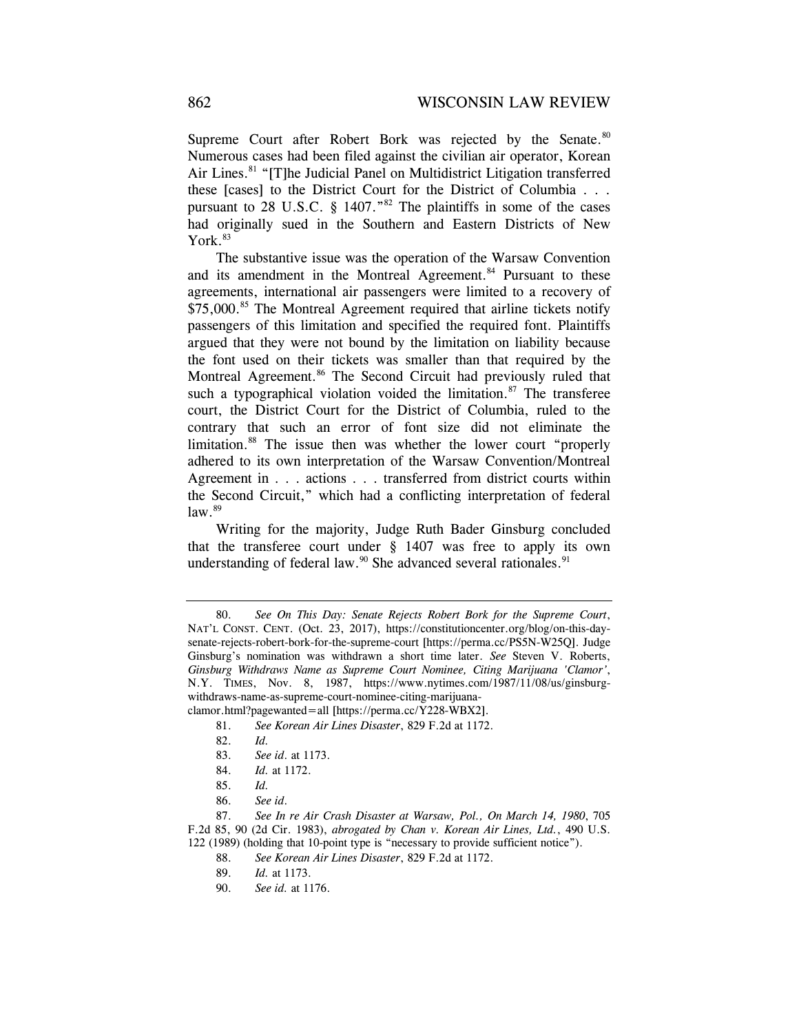Supreme Court after Robert Bork was rejected by the Senate.<sup>80</sup> Numerous cases had been filed against the civilian air operator, Korean Air Lines.<sup>81</sup> "[T]he Judicial Panel on Multidistrict Litigation transferred these [cases] to the District Court for the District of Columbia . . . pursuant to 28 U.S.C. § 1407."<sup>82</sup> The plaintiffs in some of the cases had originally sued in the Southern and Eastern Districts of New  $Y$ ork. $83$ 

The substantive issue was the operation of the Warsaw Convention and its amendment in the Montreal Agreement.<sup>84</sup> Pursuant to these agreements, international air passengers were limited to a recovery of \$75,000.<sup>85</sup> The Montreal Agreement required that airline tickets notify passengers of this limitation and specified the required font. Plaintiffs argued that they were not bound by the limitation on liability because the font used on their tickets was smaller than that required by the Montreal Agreement.<sup>86</sup> The Second Circuit had previously ruled that such a typographical violation voided the limitation. $87$  The transferee court, the District Court for the District of Columbia, ruled to the contrary that such an error of font size did not eliminate the limitation.<sup>88</sup> The issue then was whether the lower court "properly adhered to its own interpretation of the Warsaw Convention/Montreal Agreement in . . . actions . . . transferred from district courts within the Second Circuit," which had a conflicting interpretation of federal  $law.<sup>89</sup>$ 

Writing for the majority, Judge Ruth Bader Ginsburg concluded that the transferee court under § 1407 was free to apply its own understanding of federal law.<sup>90</sup> She advanced several rationales.<sup>91</sup>

81. *See Korean Air Lines Disaster*, 829 F.2d at 1172.

- 83. *See id*. at 1173.
- 84. *Id.* at 1172.
- 85. *Id.*
- 86. *See id*.

 87. *See In re Air Crash Disaster at Warsaw, Pol., On March 14, 1980*, 705 F.2d 85, 90 (2d Cir. 1983), *abrogated by Chan v. Korean Air Lines, Ltd.*, 490 U.S. 122 (1989) (holding that 10-point type is "necessary to provide sufficient notice").

 <sup>80.</sup> *See On This Day: Senate Rejects Robert Bork for the Supreme Court*, NAT'L CONST. CENT. (Oct. 23, 2017), https://constitutioncenter.org/blog/on-this-daysenate-rejects-robert-bork-for-the-supreme-court [https://perma.cc/PS5N-W25Q]. Judge Ginsburg's nomination was withdrawn a short time later. *See* Steven V. Roberts, *Ginsburg Withdraws Name as Supreme Court Nominee, Citing Marijuana 'Clamor'*, N.Y. TIMES, Nov. 8, 1987, https://www.nytimes.com/1987/11/08/us/ginsburgwithdraws-name-as-supreme-court-nominee-citing-marijuanaclamor.html?pagewanted=all [https://perma.cc/Y228-WBX2].

 <sup>82.</sup> *Id.* 

 <sup>88.</sup> *See Korean Air Lines Disaster*, 829 F.2d at 1172.

 <sup>89.</sup> *Id.* at 1173.

<sup>90.</sup> *See id.* at 1176.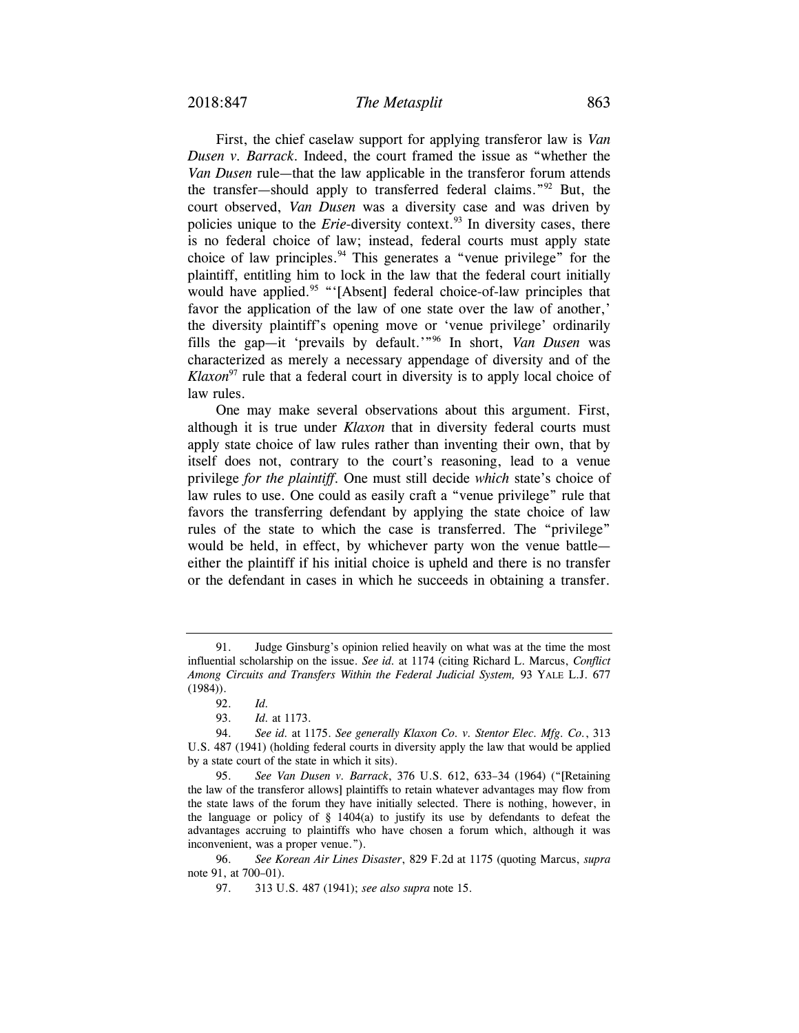First, the chief caselaw support for applying transferor law is *Van Dusen v. Barrack*. Indeed, the court framed the issue as "whether the *Van Dusen* rule—that the law applicable in the transferor forum attends the transfer—should apply to transferred federal claims."92 But, the court observed, *Van Dusen* was a diversity case and was driven by policies unique to the *Erie*-diversity context.<sup>93</sup> In diversity cases, there is no federal choice of law; instead, federal courts must apply state choice of law principles.<sup>94</sup> This generates a "venue privilege" for the plaintiff, entitling him to lock in the law that the federal court initially would have applied.<sup>95</sup> "'[Absent] federal choice-of-law principles that favor the application of the law of one state over the law of another,' the diversity plaintiff's opening move or 'venue privilege' ordinarily fills the gap—it 'prevails by default.'"96 In short, *Van Dusen* was characterized as merely a necessary appendage of diversity and of the *Klaxon*<sup>97</sup> rule that a federal court in diversity is to apply local choice of law rules.

One may make several observations about this argument. First, although it is true under *Klaxon* that in diversity federal courts must apply state choice of law rules rather than inventing their own, that by itself does not, contrary to the court's reasoning, lead to a venue privilege *for the plaintiff*. One must still decide *which* state's choice of law rules to use. One could as easily craft a "venue privilege" rule that favors the transferring defendant by applying the state choice of law rules of the state to which the case is transferred. The "privilege" would be held, in effect, by whichever party won the venue battle either the plaintiff if his initial choice is upheld and there is no transfer or the defendant in cases in which he succeeds in obtaining a transfer.

 <sup>91.</sup> Judge Ginsburg's opinion relied heavily on what was at the time the most influential scholarship on the issue. *See id.* at 1174 (citing Richard L. Marcus, *Conflict Among Circuits and Transfers Within the Federal Judicial System,* 93 YALE L.J. 677 (1984)).

 <sup>92.</sup> *Id.*

 <sup>93.</sup> *Id.* at 1173.

 <sup>94.</sup> *See id.* at 1175. *See generally Klaxon Co. v. Stentor Elec. Mfg. Co.*, 313 U.S. 487 (1941) (holding federal courts in diversity apply the law that would be applied by a state court of the state in which it sits).

 <sup>95.</sup> *See Van Dusen v. Barrack*, 376 U.S. 612, 633–34 (1964) ("[Retaining the law of the transferor allows] plaintiffs to retain whatever advantages may flow from the state laws of the forum they have initially selected. There is nothing, however, in the language or policy of § 1404(a) to justify its use by defendants to defeat the advantages accruing to plaintiffs who have chosen a forum which, although it was inconvenient, was a proper venue.").

 <sup>96.</sup> *See Korean Air Lines Disaster*, 829 F.2d at 1175 (quoting Marcus, *supra* note 91, at 700–01).

 <sup>97. 313</sup> U.S. 487 (1941); *see also supra* note 15.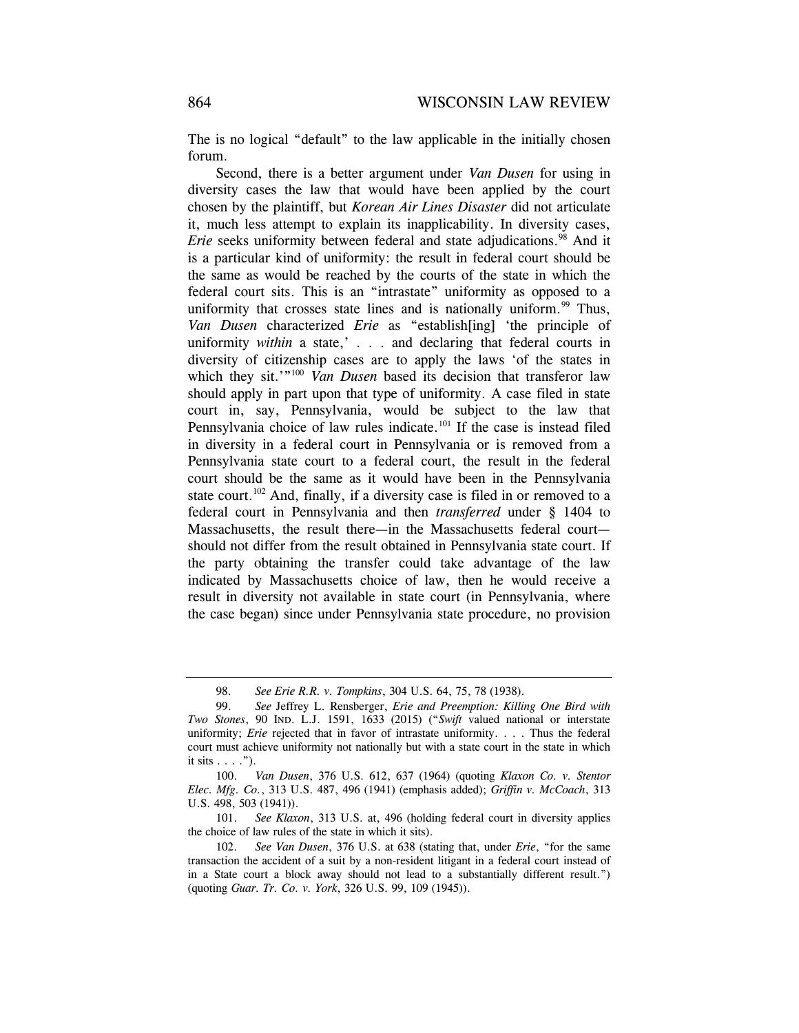The is no logical "default" to the law applicable in the initially chosen forum.

Second, there is a better argument under *Van Dusen* for using in diversity cases the law that would have been applied by the court chosen by the plaintiff, but *Korean Air Lines Disaster* did not articulate it, much less attempt to explain its inapplicability. In diversity cases, *Erie* seeks uniformity between federal and state adjudications.<sup>98</sup> And it is a particular kind of uniformity: the result in federal court should be the same as would be reached by the courts of the state in which the federal court sits. This is an "intrastate" uniformity as opposed to a uniformity that crosses state lines and is nationally uniform. $99$  Thus, *Van Dusen* characterized *Erie* as "establish[ing] 'the principle of uniformity *within* a state,' . . . and declaring that federal courts in diversity of citizenship cases are to apply the laws 'of the states in which they sit.'"<sup>100</sup> *Van Dusen* based its decision that transferor law should apply in part upon that type of uniformity. A case filed in state court in, say, Pennsylvania, would be subject to the law that Pennsylvania choice of law rules indicate.<sup>101</sup> If the case is instead filed in diversity in a federal court in Pennsylvania or is removed from a Pennsylvania state court to a federal court, the result in the federal court should be the same as it would have been in the Pennsylvania state court.<sup>102</sup> And, finally, if a diversity case is filed in or removed to a federal court in Pennsylvania and then *transferred* under § 1404 to Massachusetts, the result there—in the Massachusetts federal court should not differ from the result obtained in Pennsylvania state court. If the party obtaining the transfer could take advantage of the law indicated by Massachusetts choice of law, then he would receive a result in diversity not available in state court (in Pennsylvania, where the case began) since under Pennsylvania state procedure, no provision

 <sup>98.</sup> *See Erie R.R. v. Tompkins*, 304 U.S. 64, 75, 78 (1938).

 <sup>99.</sup> *See* Jeffrey L. Rensberger, *Erie and Preemption: Killing One Bird with Two Stones*, 90 IND. L.J. 1591, 1633 (2015) ("*Swift* valued national or interstate uniformity; *Erie* rejected that in favor of intrastate uniformity. . . . Thus the federal court must achieve uniformity not nationally but with a state court in the state in which it sits  $\ldots$ .").

 <sup>100.</sup> *Van Dusen*, 376 U.S. 612, 637 (1964) (quoting *Klaxon Co. v. Stentor Elec. Mfg. Co.*, 313 U.S. 487, 496 (1941) (emphasis added); *Griffin v. McCoach*, 313 U.S. 498, 503 (1941)).

 <sup>101.</sup> *See Klaxon*, 313 U.S. at, 496 (holding federal court in diversity applies the choice of law rules of the state in which it sits).

 <sup>102.</sup> *See Van Dusen*, 376 U.S. at 638 (stating that, under *Erie*, "for the same transaction the accident of a suit by a non-resident litigant in a federal court instead of in a State court a block away should not lead to a substantially different result.") (quoting *Guar. Tr. Co. v. York*, 326 U.S. 99, 109 (1945)).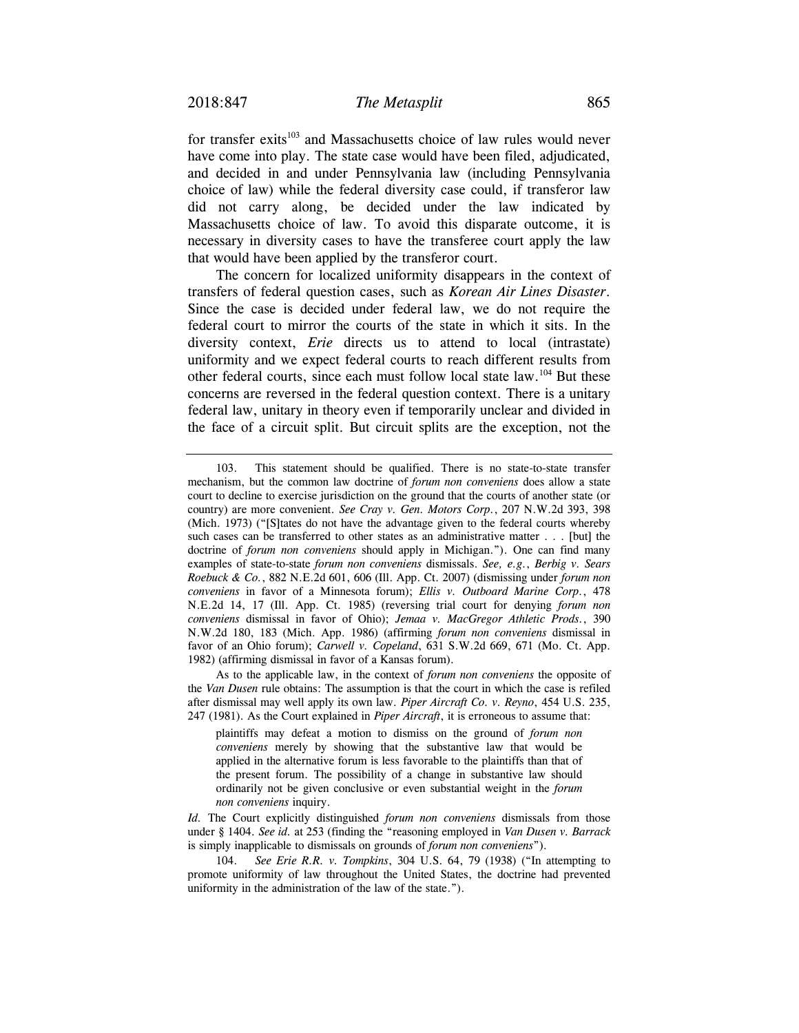for transfer exits<sup>103</sup> and Massachusetts choice of law rules would never have come into play. The state case would have been filed, adjudicated, and decided in and under Pennsylvania law (including Pennsylvania choice of law) while the federal diversity case could, if transferor law did not carry along, be decided under the law indicated by Massachusetts choice of law. To avoid this disparate outcome, it is necessary in diversity cases to have the transferee court apply the law that would have been applied by the transferor court.

The concern for localized uniformity disappears in the context of transfers of federal question cases, such as *Korean Air Lines Disaster*. Since the case is decided under federal law, we do not require the federal court to mirror the courts of the state in which it sits. In the diversity context, *Erie* directs us to attend to local (intrastate) uniformity and we expect federal courts to reach different results from other federal courts, since each must follow local state law.104 But these concerns are reversed in the federal question context. There is a unitary federal law, unitary in theory even if temporarily unclear and divided in the face of a circuit split. But circuit splits are the exception, not the

As to the applicable law, in the context of *forum non conveniens* the opposite of the *Van Dusen* rule obtains: The assumption is that the court in which the case is refiled after dismissal may well apply its own law. *Piper Aircraft Co. v. Reyno*, 454 U.S. 235, 247 (1981). As the Court explained in *Piper Aircraft*, it is erroneous to assume that:

plaintiffs may defeat a motion to dismiss on the ground of *forum non conveniens* merely by showing that the substantive law that would be applied in the alternative forum is less favorable to the plaintiffs than that of the present forum. The possibility of a change in substantive law should ordinarily not be given conclusive or even substantial weight in the *forum non conveniens* inquiry.

*Id.* The Court explicitly distinguished *forum non conveniens* dismissals from those under § 1404. *See id.* at 253 (finding the "reasoning employed in *Van Dusen v. Barrack* is simply inapplicable to dismissals on grounds of *forum non conveniens*").

 104. *See Erie R.R. v. Tompkins*, 304 U.S. 64, 79 (1938) ("In attempting to promote uniformity of law throughout the United States, the doctrine had prevented uniformity in the administration of the law of the state.").

 <sup>103.</sup> This statement should be qualified. There is no state-to-state transfer mechanism, but the common law doctrine of *forum non conveniens* does allow a state court to decline to exercise jurisdiction on the ground that the courts of another state (or country) are more convenient. *See Cray v. Gen. Motors Corp.*, 207 N.W.2d 393, 398 (Mich. 1973) ("[S]tates do not have the advantage given to the federal courts whereby such cases can be transferred to other states as an administrative matter . . . [but] the doctrine of *forum non conveniens* should apply in Michigan."). One can find many examples of state-to-state *forum non conveniens* dismissals. *See, e.g.*, *Berbig v. Sears Roebuck & Co.*, 882 N.E.2d 601, 606 (Ill. App. Ct. 2007) (dismissing under *forum non conveniens* in favor of a Minnesota forum); *Ellis v. Outboard Marine Corp.*, 478 N.E.2d 14, 17 (Ill. App. Ct. 1985) (reversing trial court for denying *forum non conveniens* dismissal in favor of Ohio); *Jemaa v. MacGregor Athletic Prods.*, 390 N.W.2d 180, 183 (Mich. App. 1986) (affirming *forum non conveniens* dismissal in favor of an Ohio forum); *Carwell v. Copeland*, 631 S.W.2d 669, 671 (Mo. Ct. App. 1982) (affirming dismissal in favor of a Kansas forum).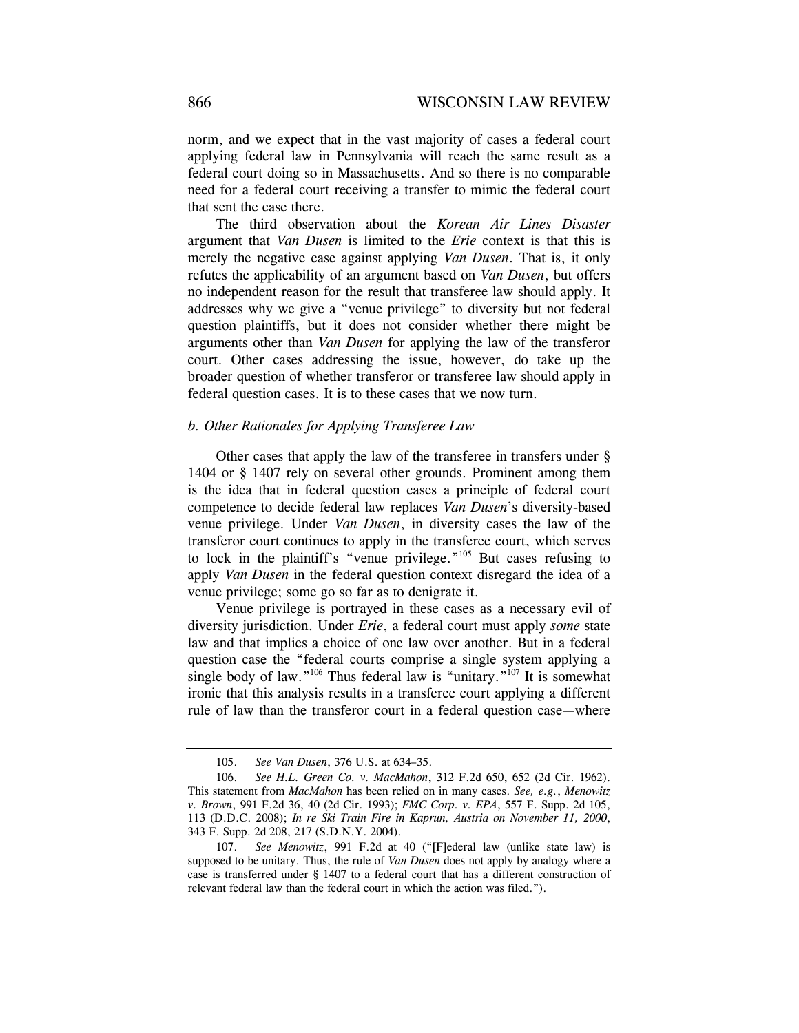norm, and we expect that in the vast majority of cases a federal court applying federal law in Pennsylvania will reach the same result as a federal court doing so in Massachusetts. And so there is no comparable need for a federal court receiving a transfer to mimic the federal court that sent the case there.

The third observation about the *Korean Air Lines Disaster*  argument that *Van Dusen* is limited to the *Erie* context is that this is merely the negative case against applying *Van Dusen*. That is, it only refutes the applicability of an argument based on *Van Dusen*, but offers no independent reason for the result that transferee law should apply. It addresses why we give a "venue privilege" to diversity but not federal question plaintiffs, but it does not consider whether there might be arguments other than *Van Dusen* for applying the law of the transferor court. Other cases addressing the issue, however, do take up the broader question of whether transferor or transferee law should apply in federal question cases. It is to these cases that we now turn.

#### *b. Other Rationales for Applying Transferee Law*

Other cases that apply the law of the transferee in transfers under § 1404 or § 1407 rely on several other grounds. Prominent among them is the idea that in federal question cases a principle of federal court competence to decide federal law replaces *Van Dusen*'s diversity-based venue privilege. Under *Van Dusen*, in diversity cases the law of the transferor court continues to apply in the transferee court, which serves to lock in the plaintiff's "venue privilege."105 But cases refusing to apply *Van Dusen* in the federal question context disregard the idea of a venue privilege; some go so far as to denigrate it.

Venue privilege is portrayed in these cases as a necessary evil of diversity jurisdiction. Under *Erie*, a federal court must apply *some* state law and that implies a choice of one law over another. But in a federal question case the "federal courts comprise a single system applying a single body of law."<sup>106</sup> Thus federal law is "unitary."<sup>107</sup> It is somewhat ironic that this analysis results in a transferee court applying a different rule of law than the transferor court in a federal question case—where

 <sup>105.</sup> *See Van Dusen*, 376 U.S. at 634–35.

 <sup>106.</sup> *See H.L. Green Co. v. MacMahon*, 312 F.2d 650, 652 (2d Cir. 1962). This statement from *MacMahon* has been relied on in many cases. *See, e.g.*, *Menowitz v. Brown*, 991 F.2d 36, 40 (2d Cir. 1993); *FMC Corp. v. EPA*, 557 F. Supp. 2d 105, 113 (D.D.C. 2008); *In re Ski Train Fire in Kaprun, Austria on November 11, 2000*, 343 F. Supp. 2d 208, 217 (S.D.N.Y. 2004).

 <sup>107.</sup> *See Menowitz*, 991 F.2d at 40 ("[F]ederal law (unlike state law) is supposed to be unitary. Thus, the rule of *Van Dusen* does not apply by analogy where a case is transferred under § 1407 to a federal court that has a different construction of relevant federal law than the federal court in which the action was filed.").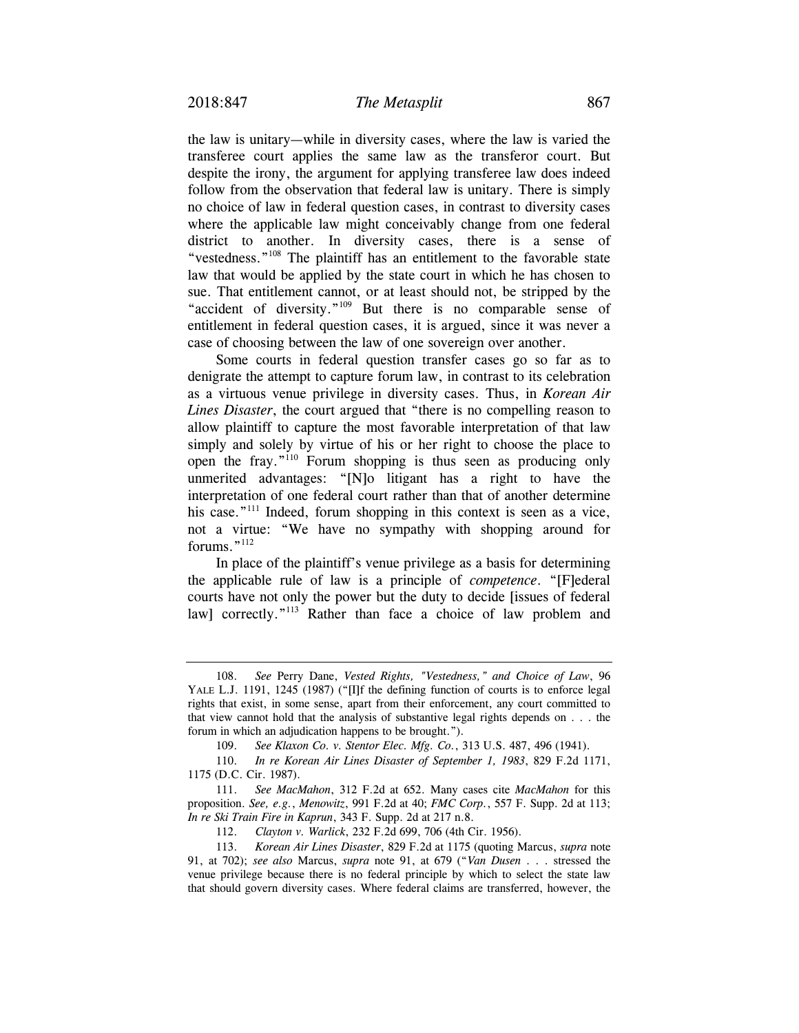the law is unitary—while in diversity cases, where the law is varied the transferee court applies the same law as the transferor court. But despite the irony, the argument for applying transferee law does indeed follow from the observation that federal law is unitary. There is simply no choice of law in federal question cases, in contrast to diversity cases where the applicable law might conceivably change from one federal district to another. In diversity cases, there is a sense of "vestedness."108 The plaintiff has an entitlement to the favorable state law that would be applied by the state court in which he has chosen to sue. That entitlement cannot, or at least should not, be stripped by the "accident of diversity."109 But there is no comparable sense of entitlement in federal question cases, it is argued, since it was never a case of choosing between the law of one sovereign over another.

Some courts in federal question transfer cases go so far as to denigrate the attempt to capture forum law, in contrast to its celebration as a virtuous venue privilege in diversity cases. Thus, in *Korean Air Lines Disaster*, the court argued that "there is no compelling reason to allow plaintiff to capture the most favorable interpretation of that law simply and solely by virtue of his or her right to choose the place to open the fray."110 Forum shopping is thus seen as producing only unmerited advantages: "[N]o litigant has a right to have the interpretation of one federal court rather than that of another determine his case."<sup>111</sup> Indeed, forum shopping in this context is seen as a vice, not a virtue: "We have no sympathy with shopping around for forums."112

In place of the plaintiff's venue privilege as a basis for determining the applicable rule of law is a principle of *competence*. "[F]ederal courts have not only the power but the duty to decide [issues of federal law] correctly."<sup>113</sup> Rather than face a choice of law problem and

 <sup>108.</sup> *See* Perry Dane, *Vested Rights, "Vestedness," and Choice of Law*, 96 YALE L.J. 1191, 1245 (1987) ("[I]f the defining function of courts is to enforce legal rights that exist, in some sense, apart from their enforcement, any court committed to that view cannot hold that the analysis of substantive legal rights depends on . . . the forum in which an adjudication happens to be brought.").

 <sup>109.</sup> *See Klaxon Co. v. Stentor Elec. Mfg. Co.*, 313 U.S. 487, 496 (1941).

 <sup>110.</sup> *In re Korean Air Lines Disaster of September 1, 1983*, 829 F.2d 1171, 1175 (D.C. Cir. 1987).

 <sup>111.</sup> *See MacMahon*, 312 F.2d at 652. Many cases cite *MacMahon* for this proposition. *See, e.g.*, *Menowitz*, 991 F.2d at 40; *FMC Corp.*, 557 F. Supp. 2d at 113; *In re Ski Train Fire in Kaprun*, 343 F. Supp. 2d at 217 n.8.

 <sup>112.</sup> *Clayton v. Warlick*, 232 F.2d 699, 706 (4th Cir. 1956).

 <sup>113.</sup> *Korean Air Lines Disaster*, 829 F.2d at 1175 (quoting Marcus, *supra* note 91, at 702); *see also* Marcus, *supra* note 91, at 679 ("*Van Dusen* . . . stressed the venue privilege because there is no federal principle by which to select the state law that should govern diversity cases. Where federal claims are transferred, however, the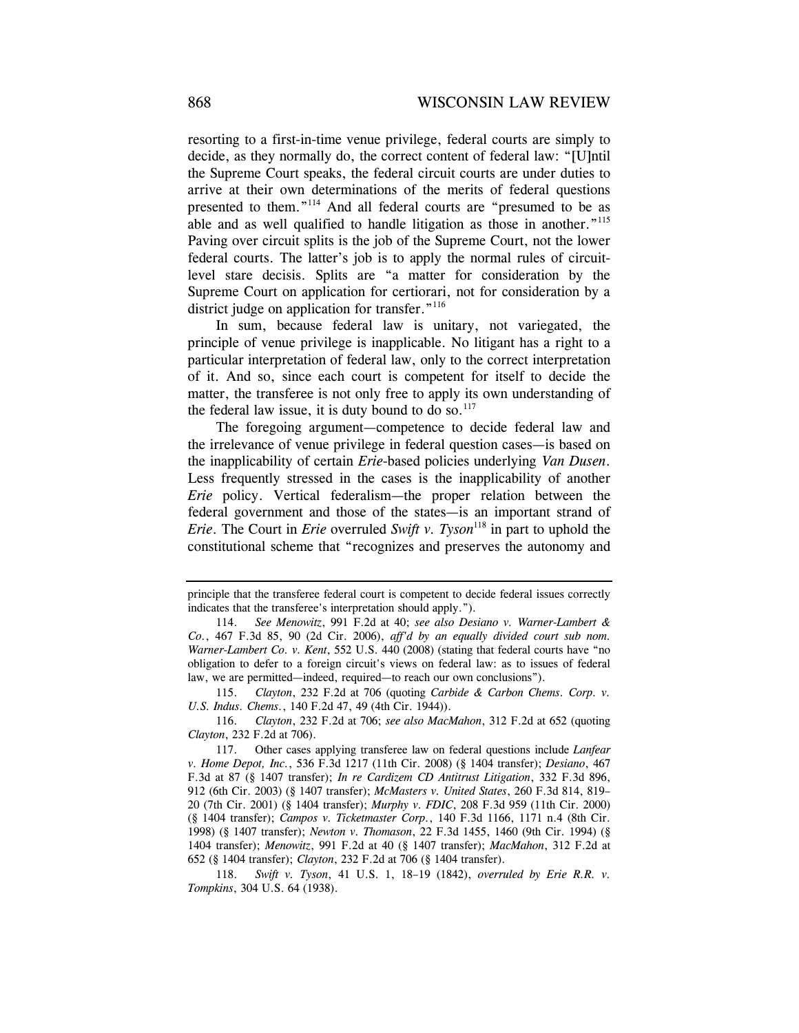resorting to a first-in-time venue privilege, federal courts are simply to decide, as they normally do, the correct content of federal law: "[U]ntil the Supreme Court speaks, the federal circuit courts are under duties to arrive at their own determinations of the merits of federal questions presented to them."<sup>114</sup> And all federal courts are "presumed to be as able and as well qualified to handle litigation as those in another."<sup>115</sup> Paving over circuit splits is the job of the Supreme Court, not the lower federal courts. The latter's job is to apply the normal rules of circuitlevel stare decisis. Splits are "a matter for consideration by the Supreme Court on application for certiorari, not for consideration by a district judge on application for transfer."<sup>116</sup>

In sum, because federal law is unitary, not variegated, the principle of venue privilege is inapplicable. No litigant has a right to a particular interpretation of federal law, only to the correct interpretation of it. And so, since each court is competent for itself to decide the matter, the transferee is not only free to apply its own understanding of the federal law issue, it is duty bound to do so. $117$ 

The foregoing argument—competence to decide federal law and the irrelevance of venue privilege in federal question cases—is based on the inapplicability of certain *Erie*-based policies underlying *Van Dusen*. Less frequently stressed in the cases is the inapplicability of another *Erie* policy. Vertical federalism—the proper relation between the federal government and those of the states—is an important strand of *Erie.* The Court in *Erie* overruled *Swift v. Tyson*<sup>118</sup> in part to uphold the constitutional scheme that "recognizes and preserves the autonomy and

principle that the transferee federal court is competent to decide federal issues correctly indicates that the transferee's interpretation should apply.").

 <sup>114.</sup> *See Menowitz*, 991 F.2d at 40; *see also Desiano v. Warner-Lambert & Co.*, 467 F.3d 85, 90 (2d Cir. 2006), *aff'd by an equally divided court sub nom. Warner-Lambert Co. v. Kent*, 552 U.S. 440 (2008) (stating that federal courts have "no obligation to defer to a foreign circuit's views on federal law: as to issues of federal law, we are permitted—indeed, required—to reach our own conclusions").

 <sup>115.</sup> *Clayton*, 232 F.2d at 706 (quoting *Carbide & Carbon Chems. Corp. v. U.S. Indus. Chems.*, 140 F.2d 47, 49 (4th Cir. 1944)).

 <sup>116.</sup> *Clayton*, 232 F.2d at 706; *see also MacMahon*, 312 F.2d at 652 (quoting *Clayton*, 232 F.2d at 706).

 <sup>117.</sup> Other cases applying transferee law on federal questions include *Lanfear v. Home Depot, Inc.*, 536 F.3d 1217 (11th Cir. 2008) (§ 1404 transfer); *Desiano*, 467 F.3d at 87 (§ 1407 transfer); *In re Cardizem CD Antitrust Litigation*, 332 F.3d 896, 912 (6th Cir. 2003) (§ 1407 transfer); *McMasters v. United States*, 260 F.3d 814, 819– 20 (7th Cir. 2001) (§ 1404 transfer); *Murphy v. FDIC*, 208 F.3d 959 (11th Cir. 2000) (§ 1404 transfer); *Campos v. Ticketmaster Corp.*, 140 F.3d 1166, 1171 n.4 (8th Cir. 1998) (§ 1407 transfer); *Newton v. Thomason*, 22 F.3d 1455, 1460 (9th Cir. 1994) (§ 1404 transfer); *Menowitz*, 991 F.2d at 40 (§ 1407 transfer); *MacMahon*, 312 F.2d at 652 (§ 1404 transfer); *Clayton*, 232 F.2d at 706 (§ 1404 transfer).

 <sup>118.</sup> *Swift v. Tyson*, 41 U.S. 1, 18–19 (1842), *overruled by Erie R.R. v. Tompkins*, 304 U.S. 64 (1938).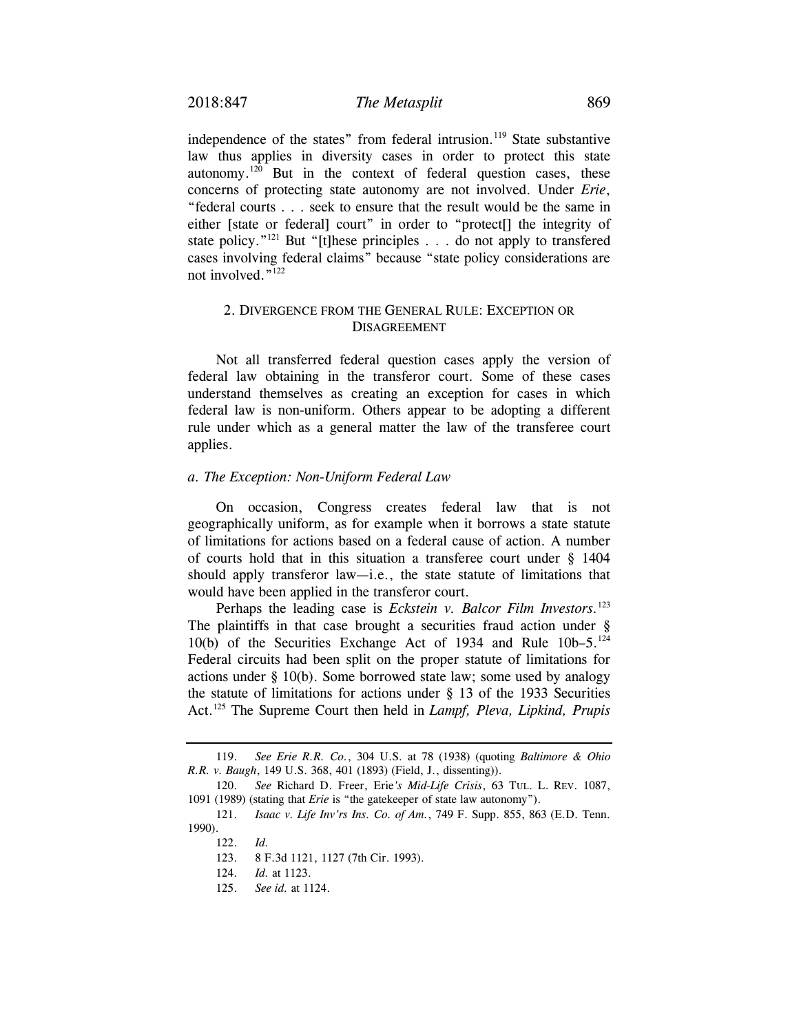independence of the states" from federal intrusion.<sup>119</sup> State substantive law thus applies in diversity cases in order to protect this state autonomy. $120$  But in the context of federal question cases, these concerns of protecting state autonomy are not involved. Under *Erie*, "federal courts . . . seek to ensure that the result would be the same in either [state or federal] court" in order to "protect[] the integrity of state policy."<sup>121</sup> But "[t]hese principles . . . do not apply to transfered cases involving federal claims" because "state policy considerations are not involved."<sup>122</sup>

## 2. DIVERGENCE FROM THE GENERAL RULE: EXCEPTION OR DISAGREEMENT

Not all transferred federal question cases apply the version of federal law obtaining in the transferor court. Some of these cases understand themselves as creating an exception for cases in which federal law is non-uniform. Others appear to be adopting a different rule under which as a general matter the law of the transferee court applies.

#### *a. The Exception: Non-Uniform Federal Law*

On occasion, Congress creates federal law that is not geographically uniform, as for example when it borrows a state statute of limitations for actions based on a federal cause of action. A number of courts hold that in this situation a transferee court under § 1404 should apply transferor law—i.e., the state statute of limitations that would have been applied in the transferor court.

Perhaps the leading case is *Eckstein v. Balcor Film Investors.*<sup>123</sup> The plaintiffs in that case brought a securities fraud action under § 10(b) of the Securities Exchange Act of 1934 and Rule  $10b-5$ .<sup>124</sup> Federal circuits had been split on the proper statute of limitations for actions under § 10(b). Some borrowed state law; some used by analogy the statute of limitations for actions under § 13 of the 1933 Securities Act.125 The Supreme Court then held in *Lampf, Pleva, Lipkind, Prupis* 

 <sup>119.</sup> *See Erie R.R. Co.*, 304 U.S. at 78 (1938) (quoting *Baltimore & Ohio R.R. v. Baugh*, 149 U.S. 368, 401 (1893) (Field, J., dissenting)).

 <sup>120.</sup> *See* Richard D. Freer, Erie*'s Mid-Life Crisis*, 63 TUL. L. REV. 1087, 1091 (1989) (stating that *Erie* is "the gatekeeper of state law autonomy").

 <sup>121.</sup> *Isaac v. Life Inv'rs Ins. Co. of Am.*, 749 F. Supp. 855, 863 (E.D. Tenn. 1990).

 <sup>122.</sup> *Id.*

 <sup>123. 8</sup> F.3d 1121, 1127 (7th Cir. 1993).

 <sup>124.</sup> *Id.* at 1123.

 <sup>125.</sup> *See id.* at 1124.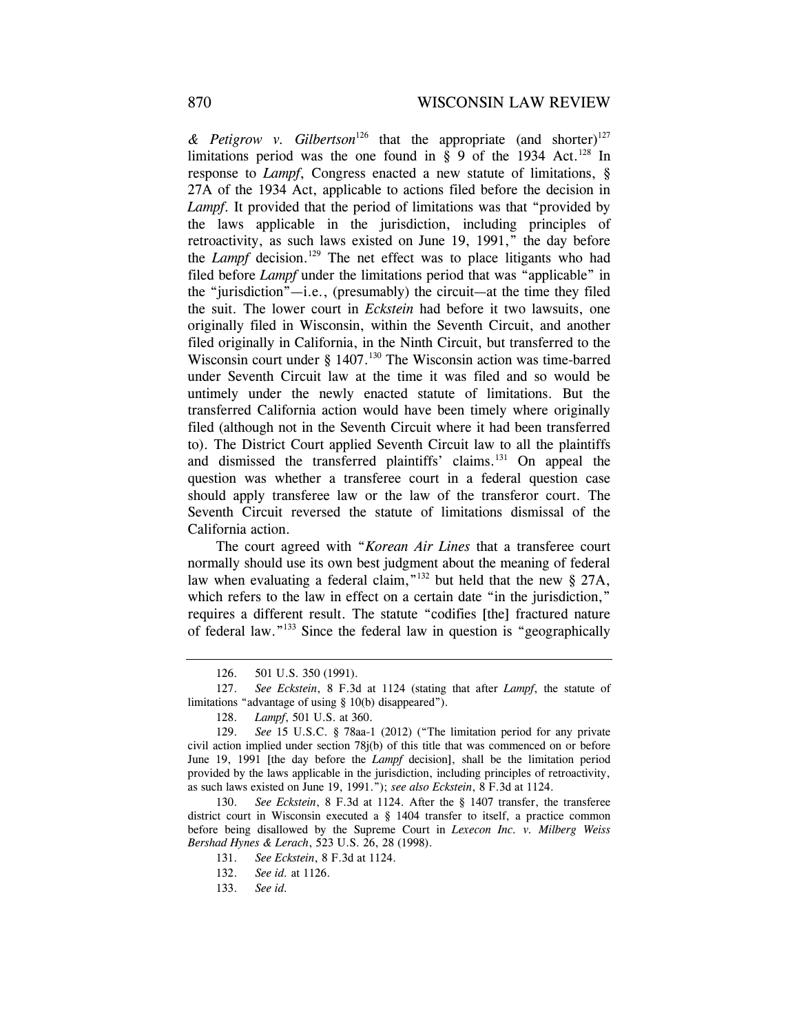& Petigrow v. Gilbertson<sup>126</sup> that the appropriate (and shorter)<sup>127</sup> limitations period was the one found in  $\S$  9 of the 1934 Act.<sup>128</sup> In response to *Lampf*, Congress enacted a new statute of limitations, § 27A of the 1934 Act, applicable to actions filed before the decision in *Lampf*. It provided that the period of limitations was that "provided by the laws applicable in the jurisdiction, including principles of retroactivity, as such laws existed on June 19, 1991," the day before the *Lampf* decision.<sup>129</sup> The net effect was to place litigants who had filed before *Lampf* under the limitations period that was "applicable" in the "jurisdiction"—i.e., (presumably) the circuit—at the time they filed the suit. The lower court in *Eckstein* had before it two lawsuits, one originally filed in Wisconsin, within the Seventh Circuit, and another filed originally in California, in the Ninth Circuit, but transferred to the Wisconsin court under  $\S$  1407.<sup>130</sup> The Wisconsin action was time-barred under Seventh Circuit law at the time it was filed and so would be untimely under the newly enacted statute of limitations. But the transferred California action would have been timely where originally filed (although not in the Seventh Circuit where it had been transferred to). The District Court applied Seventh Circuit law to all the plaintiffs and dismissed the transferred plaintiffs' claims.<sup>131</sup> On appeal the question was whether a transferee court in a federal question case should apply transferee law or the law of the transferor court. The Seventh Circuit reversed the statute of limitations dismissal of the California action.

The court agreed with "*Korean Air Lines* that a transferee court normally should use its own best judgment about the meaning of federal law when evaluating a federal claim,"<sup>132</sup> but held that the new  $\S$  27A, which refers to the law in effect on a certain date "in the jurisdiction," requires a different result. The statute "codifies [the] fractured nature of federal law."133 Since the federal law in question is "geographically

 <sup>126. 501</sup> U.S. 350 (1991).

 <sup>127.</sup> *See Eckstein*, 8 F.3d at 1124 (stating that after *Lampf*, the statute of limitations "advantage of using § 10(b) disappeared").

 <sup>128.</sup> *Lampf*, 501 U.S. at 360.

 <sup>129.</sup> *See* 15 U.S.C. § 78aa-1 (2012) ("The limitation period for any private civil action implied under section 78j(b) of this title that was commenced on or before June 19, 1991 [the day before the *Lampf* decision], shall be the limitation period provided by the laws applicable in the jurisdiction, including principles of retroactivity, as such laws existed on June 19, 1991."); *see also Eckstein*, 8 F.3d at 1124.

 <sup>130.</sup> *See Eckstein*, 8 F.3d at 1124. After the § 1407 transfer, the transferee district court in Wisconsin executed a § 1404 transfer to itself, a practice common before being disallowed by the Supreme Court in *Lexecon Inc. v. Milberg Weiss Bershad Hynes & Lerach*, 523 U.S. 26, 28 (1998).

 <sup>131.</sup> *See Eckstein*, 8 F.3d at 1124.

 <sup>132.</sup> *See id.* at 1126.

 <sup>133.</sup> *See id.*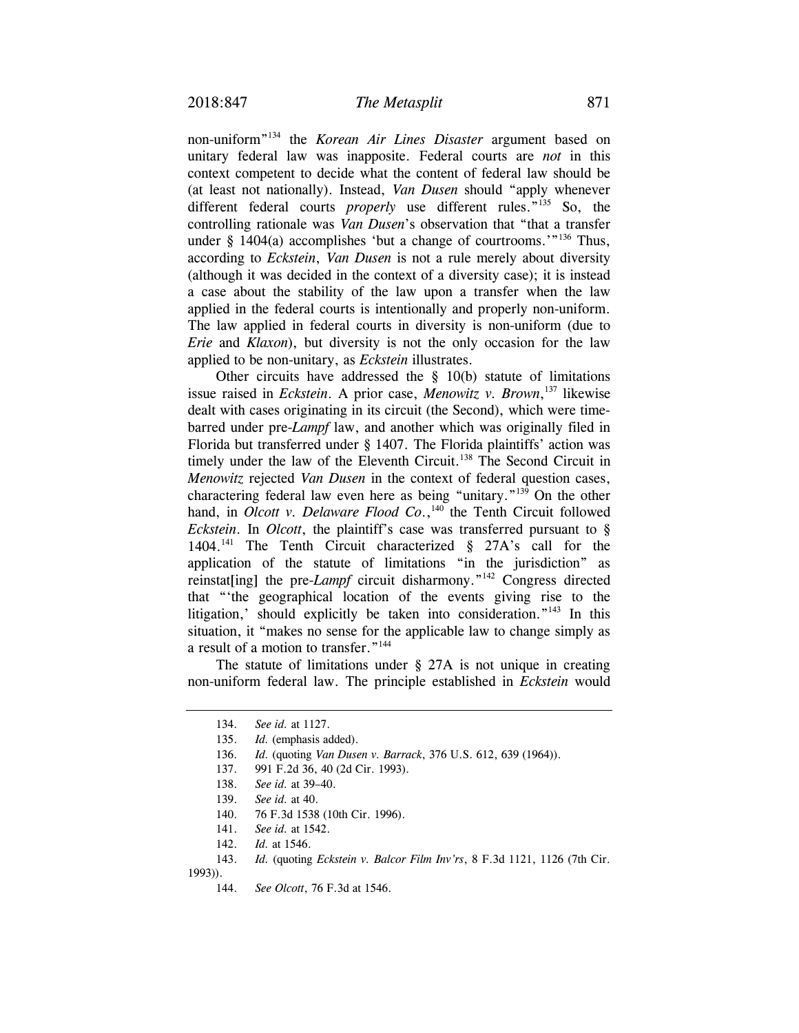non-uniform"134 the *Korean Air Lines Disaster* argument based on unitary federal law was inapposite. Federal courts are *not* in this context competent to decide what the content of federal law should be (at least not nationally). Instead, *Van Dusen* should "apply whenever different federal courts *properly* use different rules.<sup>"135</sup> So, the controlling rationale was *Van Dusen*'s observation that "that a transfer under § 1404(a) accomplishes 'but a change of courtrooms.'"<sup>136</sup> Thus, according to *Eckstein*, *Van Dusen* is not a rule merely about diversity (although it was decided in the context of a diversity case); it is instead a case about the stability of the law upon a transfer when the law applied in the federal courts is intentionally and properly non-uniform. The law applied in federal courts in diversity is non-uniform (due to *Erie* and *Klaxon*), but diversity is not the only occasion for the law applied to be non-unitary, as *Eckstein* illustrates.

Other circuits have addressed the  $\S$  10(b) statute of limitations issue raised in *Eckstein*. A prior case, *Menowitz v. Brown*, 137 likewise dealt with cases originating in its circuit (the Second), which were timebarred under pre-*Lampf* law, and another which was originally filed in Florida but transferred under § 1407. The Florida plaintiffs' action was timely under the law of the Eleventh Circuit.<sup>138</sup> The Second Circuit in *Menowitz* rejected *Van Dusen* in the context of federal question cases, charactering federal law even here as being "unitary."139 On the other hand, in *Olcott v. Delaware Flood Co.*,<sup>140</sup> the Tenth Circuit followed *Eckstein*. In *Olcott*, the plaintiff's case was transferred pursuant to § 1404.141 The Tenth Circuit characterized § 27A's call for the application of the statute of limitations "in the jurisdiction" as reinstat[ing] the pre-*Lampf* circuit disharmony.<sup>"142</sup> Congress directed that "'the geographical location of the events giving rise to the litigation,' should explicitly be taken into consideration."143 In this situation, it "makes no sense for the applicable law to change simply as a result of a motion to transfer."144

The statute of limitations under § 27A is not unique in creating non-uniform federal law. The principle established in *Eckstein* would

1993)).

 <sup>134.</sup> *See id.* at 1127.

 <sup>135.</sup> *Id.* (emphasis added).

 <sup>136.</sup> *Id.* (quoting *Van Dusen v. Barrack*, 376 U.S. 612, 639 (1964)).

 <sup>137. 991</sup> F.2d 36, 40 (2d Cir. 1993).

 <sup>138.</sup> *See id.* at 39–40.

 <sup>139.</sup> *See id.* at 40.

 <sup>140. 76</sup> F.3d 1538 (10th Cir. 1996).

 <sup>141.</sup> *See id.* at 1542.

 <sup>142.</sup> *Id.* at 1546.

 <sup>143.</sup> *Id.* (quoting *Eckstein v. Balcor Film Inv'rs*, 8 F.3d 1121, 1126 (7th Cir.

 <sup>144.</sup> *See Olcott*, 76 F.3d at 1546.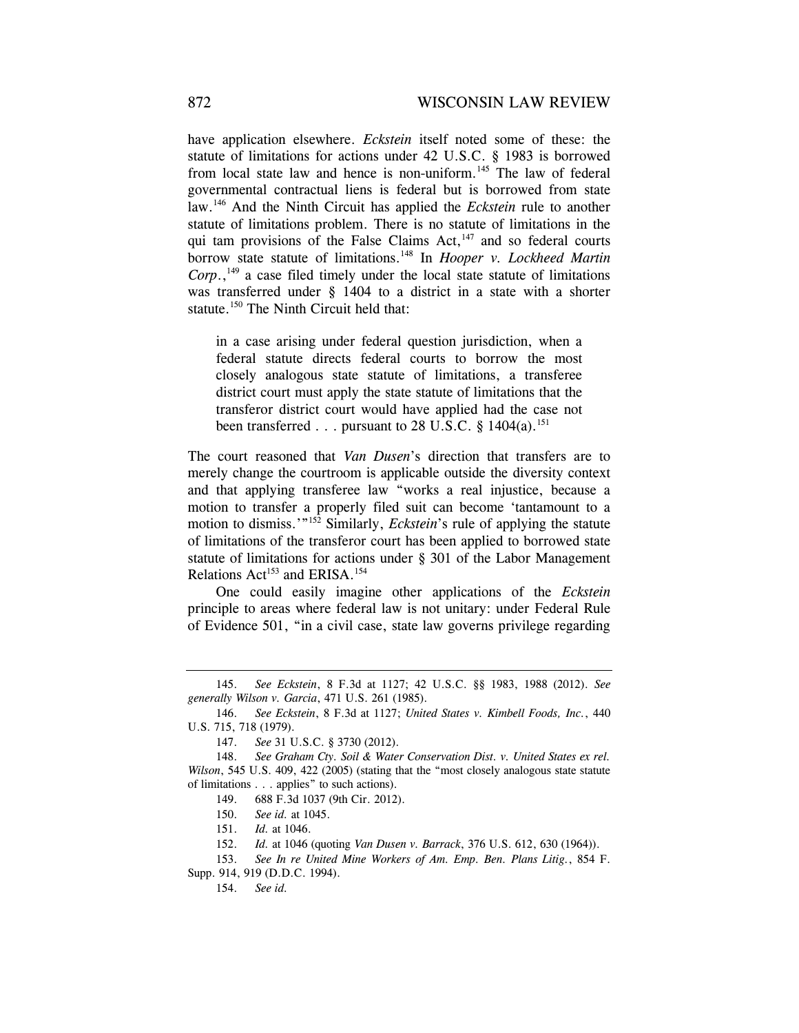have application elsewhere. *Eckstein* itself noted some of these: the statute of limitations for actions under 42 U.S.C. § 1983 is borrowed from local state law and hence is non-uniform.<sup>145</sup> The law of federal governmental contractual liens is federal but is borrowed from state law.146 And the Ninth Circuit has applied the *Eckstein* rule to another statute of limitations problem. There is no statute of limitations in the qui tam provisions of the False Claims  $Act, <sup>147</sup>$  and so federal courts borrow state statute of limitations.<sup>148</sup> In *Hooper v. Lockheed Martin*  $Corp<sub>1</sub><sup>149</sup>$  a case filed timely under the local state statute of limitations was transferred under § 1404 to a district in a state with a shorter statute.<sup>150</sup> The Ninth Circuit held that:

in a case arising under federal question jurisdiction, when a federal statute directs federal courts to borrow the most closely analogous state statute of limitations, a transferee district court must apply the state statute of limitations that the transferor district court would have applied had the case not been transferred  $\ldots$  pursuant to 28 U.S.C. § 1404(a).<sup>151</sup>

The court reasoned that *Van Dusen*'s direction that transfers are to merely change the courtroom is applicable outside the diversity context and that applying transferee law "works a real injustice, because a motion to transfer a properly filed suit can become 'tantamount to a motion to dismiss.'"<sup>152</sup> Similarly, *Eckstein*'s rule of applying the statute of limitations of the transferor court has been applied to borrowed state statute of limitations for actions under § 301 of the Labor Management Relations Act<sup>153</sup> and ERISA.<sup>154</sup>

One could easily imagine other applications of the *Eckstein* principle to areas where federal law is not unitary: under Federal Rule of Evidence 501, "in a civil case, state law governs privilege regarding

 <sup>145.</sup> *See Eckstein*, 8 F.3d at 1127; 42 U.S.C. §§ 1983, 1988 (2012). *See generally Wilson v. Garcia*, 471 U.S. 261 (1985).

 <sup>146.</sup> *See Eckstein*, 8 F.3d at 1127; *United States v. Kimbell Foods, Inc.*, 440 U.S. 715, 718 (1979).

 <sup>147.</sup> *See* 31 U.S.C. § 3730 (2012).

 <sup>148.</sup> *See Graham Cty. Soil & Water Conservation Dist. v. United States ex rel. Wilson*, 545 U.S. 409, 422 (2005) (stating that the "most closely analogous state statute of limitations . . . applies" to such actions).

 <sup>149. 688</sup> F.3d 1037 (9th Cir. 2012).

 <sup>150.</sup> *See id.* at 1045.

 <sup>151.</sup> *Id.* at 1046.

 <sup>152.</sup> *Id.* at 1046 (quoting *Van Dusen v. Barrack*, 376 U.S. 612, 630 (1964)).

<sup>153.</sup> *See In re United Mine Workers of Am. Emp. Ben. Plans Litig.*, 854 F. Supp. 914, 919 (D.D.C. 1994).

<sup>154.</sup> *See id.*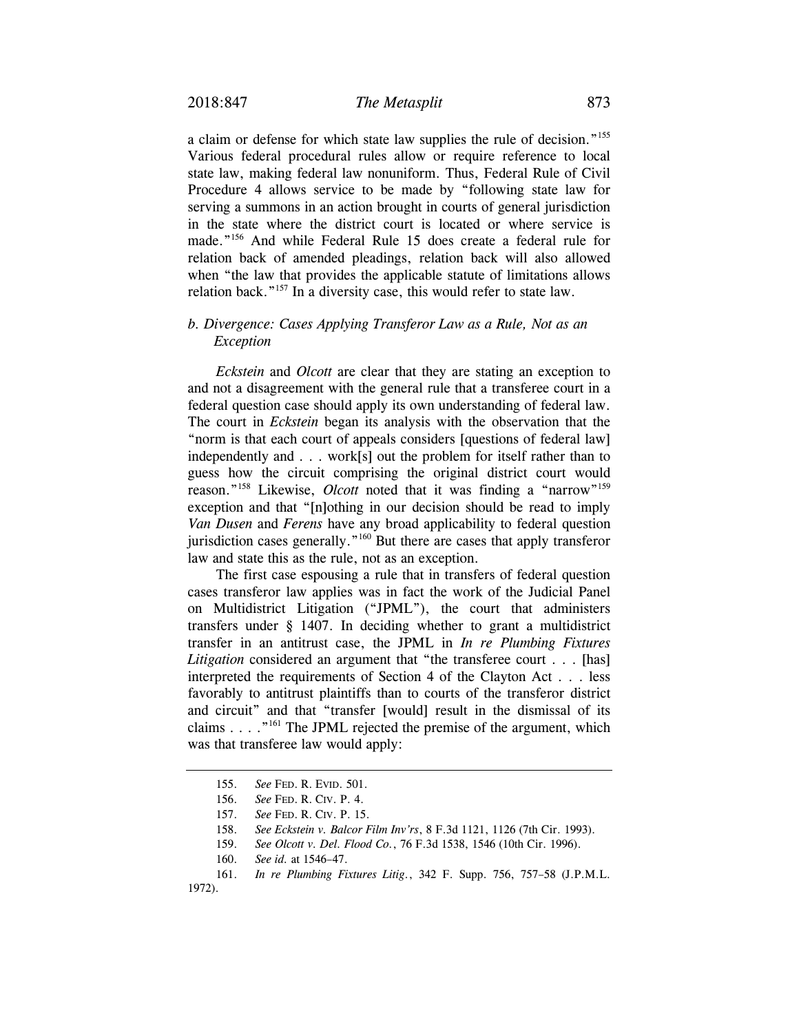a claim or defense for which state law supplies the rule of decision."155 Various federal procedural rules allow or require reference to local state law, making federal law nonuniform. Thus, Federal Rule of Civil Procedure 4 allows service to be made by "following state law for serving a summons in an action brought in courts of general jurisdiction in the state where the district court is located or where service is made."156 And while Federal Rule 15 does create a federal rule for relation back of amended pleadings, relation back will also allowed when "the law that provides the applicable statute of limitations allows relation back."157 In a diversity case, this would refer to state law.

## *b. Divergence: Cases Applying Transferor Law as a Rule, Not as an Exception*

*Eckstein* and *Olcott* are clear that they are stating an exception to and not a disagreement with the general rule that a transferee court in a federal question case should apply its own understanding of federal law. The court in *Eckstein* began its analysis with the observation that the "norm is that each court of appeals considers [questions of federal law] independently and . . . work[s] out the problem for itself rather than to guess how the circuit comprising the original district court would reason."<sup>158</sup> Likewise, *Olcott* noted that it was finding a "narrow"<sup>159</sup> exception and that "[n]othing in our decision should be read to imply *Van Dusen* and *Ferens* have any broad applicability to federal question jurisdiction cases generally."160 But there are cases that apply transferor law and state this as the rule, not as an exception.

The first case espousing a rule that in transfers of federal question cases transferor law applies was in fact the work of the Judicial Panel on Multidistrict Litigation ("JPML"), the court that administers transfers under § 1407. In deciding whether to grant a multidistrict transfer in an antitrust case, the JPML in *In re Plumbing Fixtures Litigation* considered an argument that "the transferee court . . . [has] interpreted the requirements of Section 4 of the Clayton Act . . . less favorably to antitrust plaintiffs than to courts of the transferor district and circuit" and that "transfer [would] result in the dismissal of its claims  $\ldots$  . "<sup>161</sup> The JPML rejected the premise of the argument, which was that transferee law would apply:

<sup>155.</sup> *See* FED. R. EVID. 501.

 <sup>156.</sup> *See* FED. R. CIV. P. 4.

 <sup>157.</sup> *See* FED. R. CIV. P. 15.

 <sup>158.</sup> *See Eckstein v. Balcor Film Inv'rs*, 8 F.3d 1121, 1126 (7th Cir. 1993).

 <sup>159.</sup> *See Olcott v. Del. Flood Co.*, 76 F.3d 1538, 1546 (10th Cir. 1996).

 <sup>160.</sup> *See id.* at 1546–47.

 <sup>161.</sup> *In re Plumbing Fixtures Litig.*, 342 F. Supp. 756, 757–58 (J.P.M.L. 1972).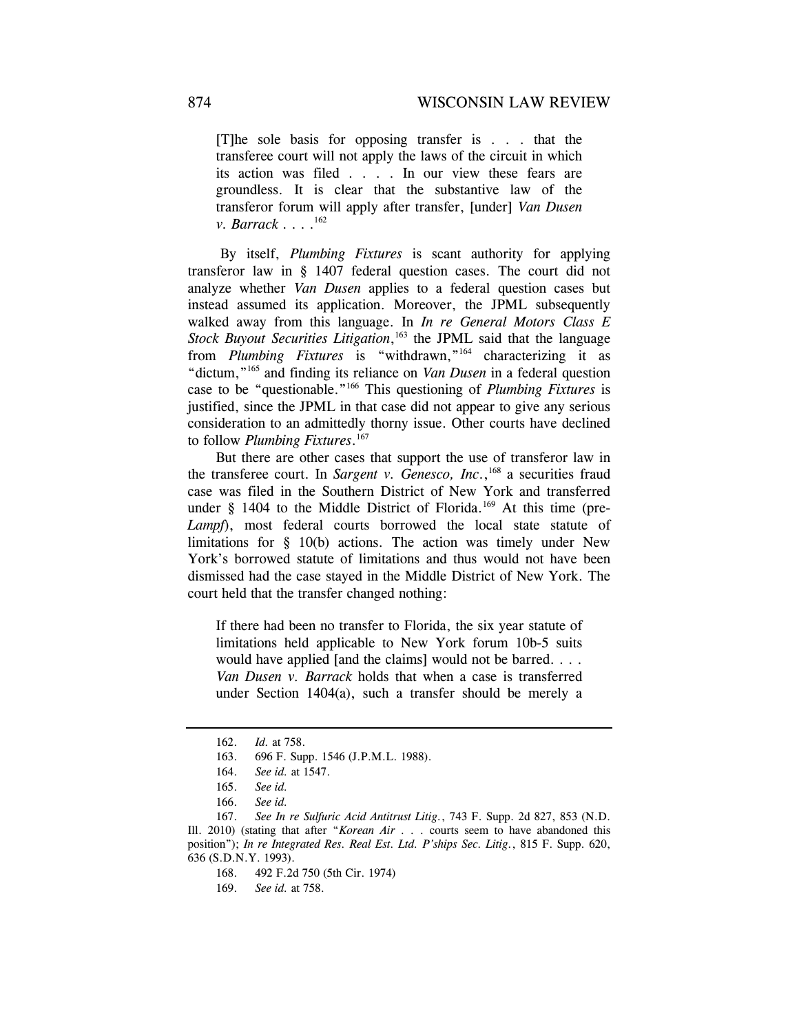[T]he sole basis for opposing transfer is . . . that the transferee court will not apply the laws of the circuit in which its action was filed . . . . In our view these fears are groundless. It is clear that the substantive law of the transferor forum will apply after transfer, [under] *Van Dusen v. Barrack* . . . .<sup>162</sup>

 By itself, *Plumbing Fixtures* is scant authority for applying transferor law in § 1407 federal question cases. The court did not analyze whether *Van Dusen* applies to a federal question cases but instead assumed its application. Moreover, the JPML subsequently walked away from this language. In *In re General Motors Class E Stock Buyout Securities Litigation*, 163 the JPML said that the language from *Plumbing Fixtures* is "withdrawn,"164 characterizing it as "dictum,"165 and finding its reliance on *Van Dusen* in a federal question case to be "questionable."166 This questioning of *Plumbing Fixtures* is justified, since the JPML in that case did not appear to give any serious consideration to an admittedly thorny issue. Other courts have declined to follow *Plumbing Fixtures*. 167

But there are other cases that support the use of transferor law in the transferee court. In *Sargent v. Genesco, Inc.*,<sup>168</sup> a securities fraud case was filed in the Southern District of New York and transferred under  $\S$  1404 to the Middle District of Florida.<sup>169</sup> At this time (pre-Lampf), most federal courts borrowed the local state statute of limitations for § 10(b) actions. The action was timely under New York's borrowed statute of limitations and thus would not have been dismissed had the case stayed in the Middle District of New York. The court held that the transfer changed nothing:

If there had been no transfer to Florida, the six year statute of limitations held applicable to New York forum 10b-5 suits would have applied [and the claims] would not be barred. . . . *Van Dusen v. Barrack* holds that when a case is transferred under Section 1404(a), such a transfer should be merely a

 <sup>162.</sup> *Id.* at 758.

 <sup>163. 696</sup> F. Supp. 1546 (J.P.M.L. 1988).

 <sup>164.</sup> *See id.* at 1547.

 <sup>165.</sup> *See id.*

 <sup>166.</sup> *See id.*

 <sup>167.</sup> *See In re Sulfuric Acid Antitrust Litig.*, 743 F. Supp. 2d 827, 853 (N.D. Ill. 2010) (stating that after "*Korean Air* . . . courts seem to have abandoned this position"); *In re Integrated Res. Real Est. Ltd. P'ships Sec. Litig.*, 815 F. Supp. 620, 636 (S.D.N.Y. 1993).

 <sup>168. 492</sup> F.2d 750 (5th Cir. 1974)

 <sup>169.</sup> *See id.* at 758.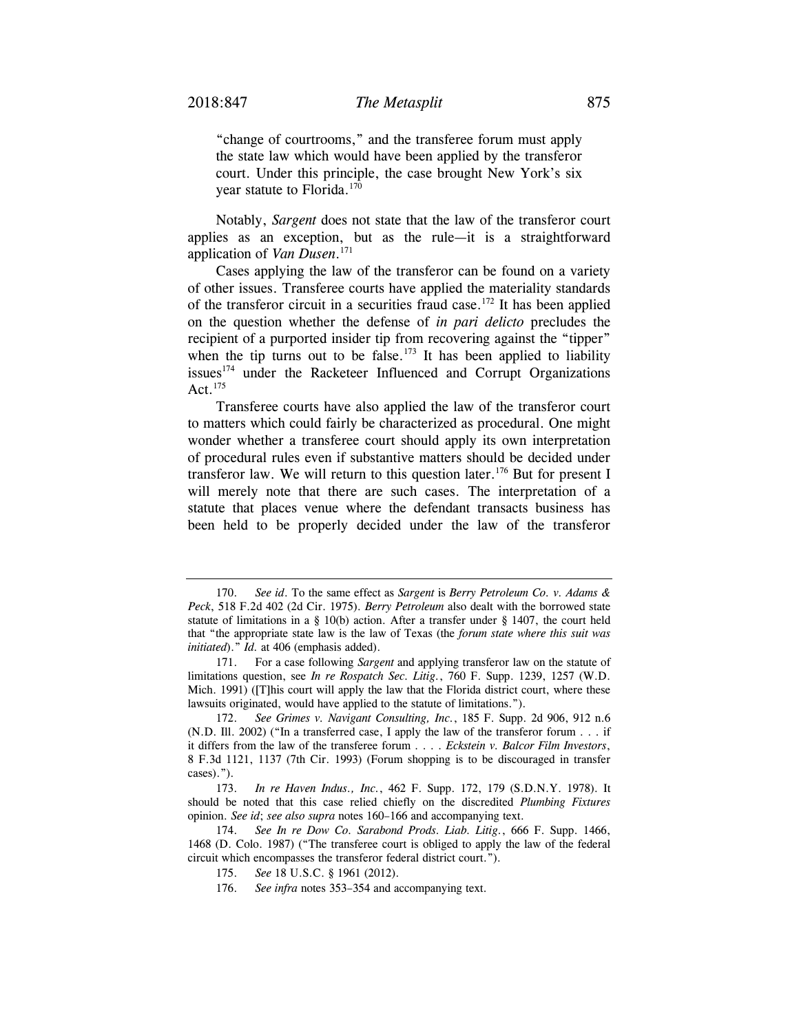"change of courtrooms," and the transferee forum must apply the state law which would have been applied by the transferor court. Under this principle, the case brought New York's six year statute to Florida.<sup>170</sup>

Notably, *Sargent* does not state that the law of the transferor court applies as an exception, but as the rule—it is a straightforward application of *Van Dusen*. 171

Cases applying the law of the transferor can be found on a variety of other issues. Transferee courts have applied the materiality standards of the transferor circuit in a securities fraud case.<sup>172</sup> It has been applied on the question whether the defense of *in pari delicto* precludes the recipient of a purported insider tip from recovering against the "tipper" when the tip turns out to be false.<sup>173</sup> It has been applied to liability issues<sup>174</sup> under the Racketeer Influenced and Corrupt Organizations Act. $175$ 

Transferee courts have also applied the law of the transferor court to matters which could fairly be characterized as procedural. One might wonder whether a transferee court should apply its own interpretation of procedural rules even if substantive matters should be decided under transferor law. We will return to this question later.<sup>176</sup> But for present I will merely note that there are such cases. The interpretation of a statute that places venue where the defendant transacts business has been held to be properly decided under the law of the transferor

 <sup>170.</sup> *See id*. To the same effect as *Sargent* is *Berry Petroleum Co. v. Adams & Peck*, 518 F.2d 402 (2d Cir. 1975). *Berry Petroleum* also dealt with the borrowed state statute of limitations in a  $\S$  10(b) action. After a transfer under  $\S$  1407, the court held that "the appropriate state law is the law of Texas (the *forum state where this suit was initiated*)." *Id.* at 406 (emphasis added).

 <sup>171.</sup> For a case following *Sargent* and applying transferor law on the statute of limitations question, see *In re Rospatch Sec. Litig.*, 760 F. Supp. 1239, 1257 (W.D. Mich. 1991) ([T]his court will apply the law that the Florida district court, where these lawsuits originated, would have applied to the statute of limitations.").

 <sup>172.</sup> *See Grimes v. Navigant Consulting, Inc.*, 185 F. Supp. 2d 906, 912 n.6 (N.D. Ill. 2002) ("In a transferred case, I apply the law of the transferor forum . . . if it differs from the law of the transferee forum . . . . *Eckstein v. Balcor Film Investors*, 8 F.3d 1121, 1137 (7th Cir. 1993) (Forum shopping is to be discouraged in transfer cases).").

 <sup>173.</sup> *In re Haven Indus., Inc.*, 462 F. Supp. 172, 179 (S.D.N.Y. 1978). It should be noted that this case relied chiefly on the discredited *Plumbing Fixtures* opinion. *See id*; *see also supra* notes 160–166 and accompanying text.

 <sup>174.</sup> *See In re Dow Co. Sarabond Prods. Liab. Litig.*, 666 F. Supp. 1466, 1468 (D. Colo. 1987) ("The transferee court is obliged to apply the law of the federal circuit which encompasses the transferor federal district court.").

 <sup>175.</sup> *See* 18 U.S.C. § 1961 (2012).

 <sup>176.</sup> *See infra* notes 353–354 and accompanying text.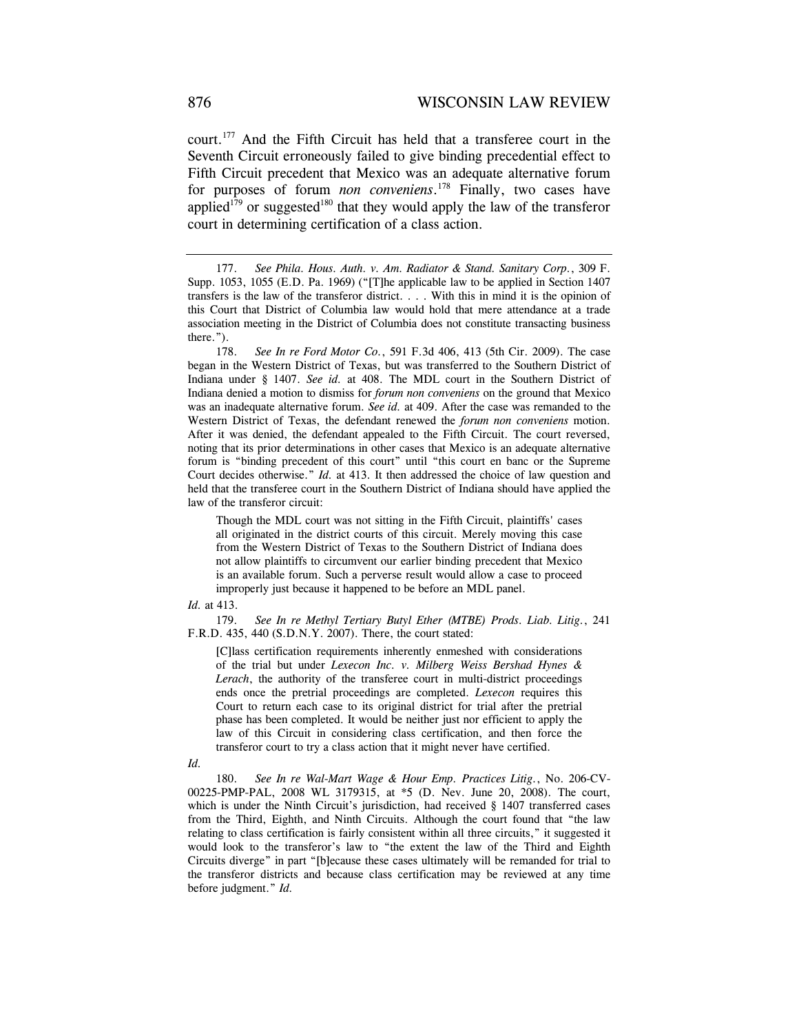court.177 And the Fifth Circuit has held that a transferee court in the Seventh Circuit erroneously failed to give binding precedential effect to Fifth Circuit precedent that Mexico was an adequate alternative forum for purposes of forum *non conveniens*. 178 Finally, two cases have applied<sup>179</sup> or suggested<sup>180</sup> that they would apply the law of the transferor court in determining certification of a class action.

 178. *See In re Ford Motor Co.*, 591 F.3d 406, 413 (5th Cir. 2009). The case began in the Western District of Texas, but was transferred to the Southern District of Indiana under § 1407. *See id.* at 408. The MDL court in the Southern District of Indiana denied a motion to dismiss for *forum non conveniens* on the ground that Mexico was an inadequate alternative forum. *See id.* at 409. After the case was remanded to the Western District of Texas, the defendant renewed the *forum non conveniens* motion. After it was denied, the defendant appealed to the Fifth Circuit. The court reversed, noting that its prior determinations in other cases that Mexico is an adequate alternative forum is "binding precedent of this court" until "this court en banc or the Supreme Court decides otherwise." *Id.* at 413. It then addressed the choice of law question and held that the transferee court in the Southern District of Indiana should have applied the law of the transferor circuit:

Though the MDL court was not sitting in the Fifth Circuit, plaintiffs' cases all originated in the district courts of this circuit. Merely moving this case from the Western District of Texas to the Southern District of Indiana does not allow plaintiffs to circumvent our earlier binding precedent that Mexico is an available forum. Such a perverse result would allow a case to proceed improperly just because it happened to be before an MDL panel.

#### *Id.* at 413.

 179. *See In re Methyl Tertiary Butyl Ether (MTBE) Prods. Liab. Litig.*, 241 F.R.D. 435, 440 (S.D.N.Y. 2007). There, the court stated:

[C]lass certification requirements inherently enmeshed with considerations of the trial but under *Lexecon Inc. v. Milberg Weiss Bershad Hynes & Lerach*, the authority of the transferee court in multi-district proceedings ends once the pretrial proceedings are completed. *Lexecon* requires this Court to return each case to its original district for trial after the pretrial phase has been completed. It would be neither just nor efficient to apply the law of this Circuit in considering class certification, and then force the transferor court to try a class action that it might never have certified.

#### *Id.*

 180. *See In re Wal-Mart Wage & Hour Emp. Practices Litig.*, No. 206-CV-00225-PMP-PAL, 2008 WL 3179315, at \*5 (D. Nev. June 20, 2008). The court, which is under the Ninth Circuit's jurisdiction, had received § 1407 transferred cases from the Third, Eighth, and Ninth Circuits. Although the court found that "the law relating to class certification is fairly consistent within all three circuits," it suggested it would look to the transferor's law to "the extent the law of the Third and Eighth Circuits diverge" in part "[b]ecause these cases ultimately will be remanded for trial to the transferor districts and because class certification may be reviewed at any time before judgment." *Id.*

 <sup>177.</sup> *See Phila. Hous. Auth. v. Am. Radiator & Stand. Sanitary Corp.*, 309 F. Supp. 1053, 1055 (E.D. Pa. 1969) ("[T]he applicable law to be applied in Section 1407 transfers is the law of the transferor district. . . . With this in mind it is the opinion of this Court that District of Columbia law would hold that mere attendance at a trade association meeting in the District of Columbia does not constitute transacting business there.").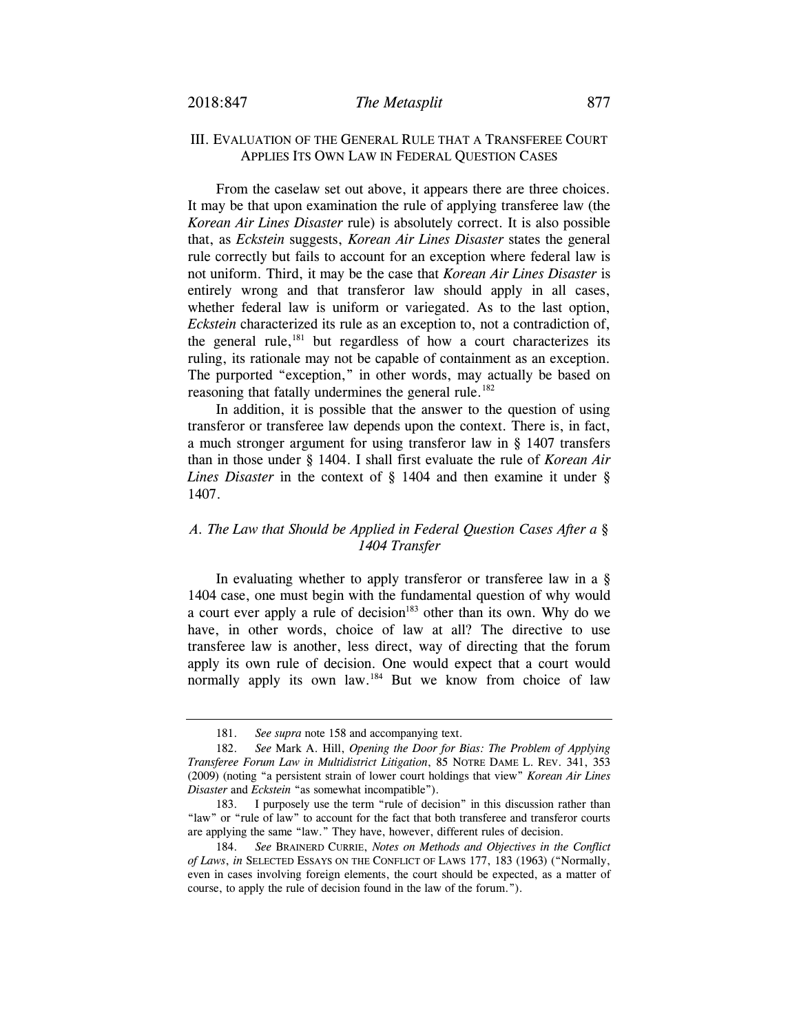## III. EVALUATION OF THE GENERAL RULE THAT A TRANSFEREE COURT APPLIES ITS OWN LAW IN FEDERAL QUESTION CASES

From the caselaw set out above, it appears there are three choices. It may be that upon examination the rule of applying transferee law (the *Korean Air Lines Disaster* rule) is absolutely correct. It is also possible that, as *Eckstein* suggests, *Korean Air Lines Disaster* states the general rule correctly but fails to account for an exception where federal law is not uniform. Third, it may be the case that *Korean Air Lines Disaster* is entirely wrong and that transferor law should apply in all cases, whether federal law is uniform or variegated. As to the last option, *Eckstein* characterized its rule as an exception to, not a contradiction of, the general rule, $181$  but regardless of how a court characterizes its ruling, its rationale may not be capable of containment as an exception. The purported "exception," in other words, may actually be based on reasoning that fatally undermines the general rule.<sup>182</sup>

In addition, it is possible that the answer to the question of using transferor or transferee law depends upon the context. There is, in fact, a much stronger argument for using transferor law in § 1407 transfers than in those under § 1404. I shall first evaluate the rule of *Korean Air Lines Disaster* in the context of § 1404 and then examine it under § 1407.

## *A. The Law that Should be Applied in Federal Question Cases After a § 1404 Transfer*

In evaluating whether to apply transferor or transferee law in a § 1404 case, one must begin with the fundamental question of why would a court ever apply a rule of decision $183$  other than its own. Why do we have, in other words, choice of law at all? The directive to use transferee law is another, less direct, way of directing that the forum apply its own rule of decision. One would expect that a court would normally apply its own law.<sup>184</sup> But we know from choice of law

 <sup>181.</sup> *See supra* note 158 and accompanying text.

 <sup>182.</sup> *See* Mark A. Hill, *Opening the Door for Bias: The Problem of Applying Transferee Forum Law in Multidistrict Litigation*, 85 NOTRE DAME L. REV. 341, 353 (2009) (noting "a persistent strain of lower court holdings that view" *Korean Air Lines Disaster* and *Eckstein* "as somewhat incompatible").

 <sup>183.</sup> I purposely use the term "rule of decision" in this discussion rather than "law" or "rule of law" to account for the fact that both transferee and transferor courts are applying the same "law." They have, however, different rules of decision.

 <sup>184.</sup> *See* BRAINERD CURRIE, *Notes on Methods and Objectives in the Conflict of Laws*, *in* SELECTED ESSAYS ON THE CONFLICT OF LAWS 177, 183 (1963) ("Normally, even in cases involving foreign elements, the court should be expected, as a matter of course, to apply the rule of decision found in the law of the forum.").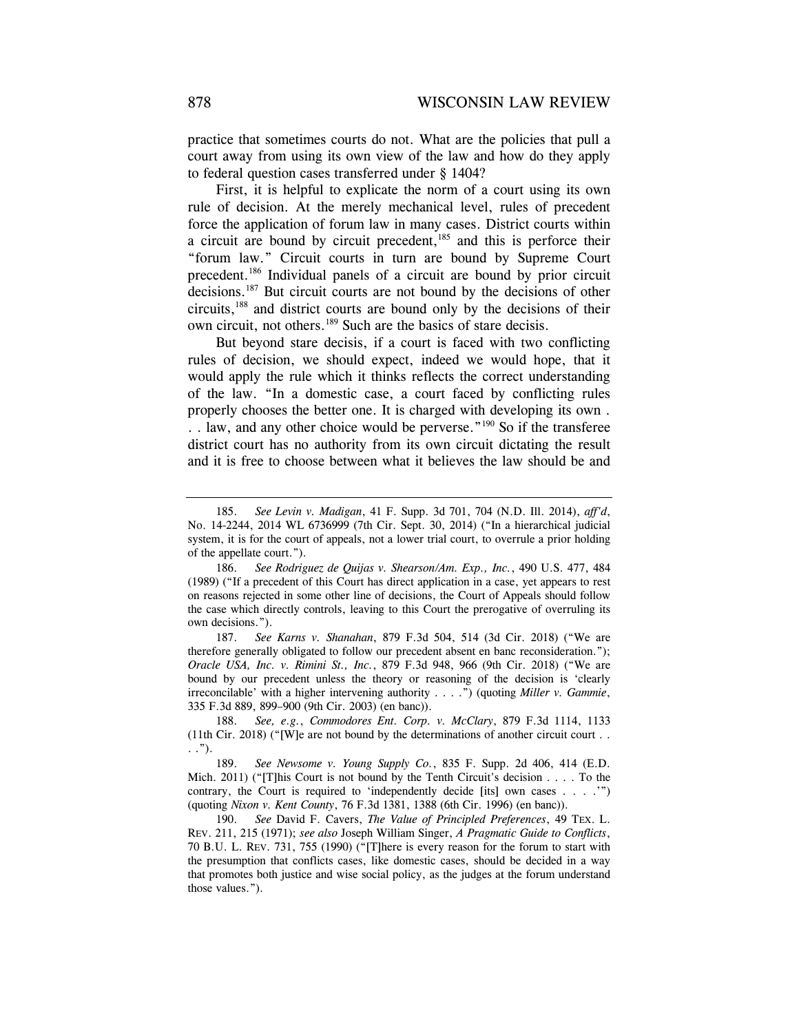practice that sometimes courts do not. What are the policies that pull a court away from using its own view of the law and how do they apply to federal question cases transferred under § 1404?

First, it is helpful to explicate the norm of a court using its own rule of decision. At the merely mechanical level, rules of precedent force the application of forum law in many cases. District courts within a circuit are bound by circuit precedent, $185$  and this is perforce their "forum law." Circuit courts in turn are bound by Supreme Court precedent.186 Individual panels of a circuit are bound by prior circuit decisions.187 But circuit courts are not bound by the decisions of other circuits,188 and district courts are bound only by the decisions of their own circuit, not others.189 Such are the basics of stare decisis.

But beyond stare decisis, if a court is faced with two conflicting rules of decision, we should expect, indeed we would hope, that it would apply the rule which it thinks reflects the correct understanding of the law. "In a domestic case, a court faced by conflicting rules properly chooses the better one. It is charged with developing its own . . . law, and any other choice would be perverse."<sup>190</sup> So if the transferee district court has no authority from its own circuit dictating the result and it is free to choose between what it believes the law should be and

 187. *See Karns v. Shanahan*, 879 F.3d 504, 514 (3d Cir. 2018) ("We are therefore generally obligated to follow our precedent absent en banc reconsideration."); *Oracle USA, Inc. v. Rimini St., Inc.*, 879 F.3d 948, 966 (9th Cir. 2018) ("We are bound by our precedent unless the theory or reasoning of the decision is 'clearly irreconcilable' with a higher intervening authority . . . .") (quoting *Miller v. Gammie*, 335 F.3d 889, 899–900 (9th Cir. 2003) (en banc)).

 188. *See, e.g.*, *Commodores Ent. Corp. v. McClary*, 879 F.3d 1114, 1133 (11th Cir. 2018) ("[W]e are not bound by the determinations of another circuit court . . . .").

 189. *See Newsome v. Young Supply Co.*, 835 F. Supp. 2d 406, 414 (E.D. Mich. 2011) ("[T]his Court is not bound by the Tenth Circuit's decision  $\ldots$ . To the contrary, the Court is required to 'independently decide [its] own cases . . . .'") (quoting *Nixon v. Kent County*, 76 F.3d 1381, 1388 (6th Cir. 1996) (en banc)).

 190. *See* David F. Cavers, *The Value of Principled Preferences*, 49 TEX. L. REV. 211, 215 (1971); *see also* Joseph William Singer, *A Pragmatic Guide to Conflicts*, 70 B.U. L. REV. 731, 755 (1990) ("[T]here is every reason for the forum to start with the presumption that conflicts cases, like domestic cases, should be decided in a way that promotes both justice and wise social policy, as the judges at the forum understand those values.").

 <sup>185.</sup> *See Levin v. Madigan*, 41 F. Supp. 3d 701, 704 (N.D. Ill. 2014), *aff'd*, No. 14-2244, 2014 WL 6736999 (7th Cir. Sept. 30, 2014) ("In a hierarchical judicial system, it is for the court of appeals, not a lower trial court, to overrule a prior holding of the appellate court.").

 <sup>186.</sup> *See Rodriguez de Quijas v. Shearson/Am. Exp., Inc.*, 490 U.S. 477, 484 (1989) ("If a precedent of this Court has direct application in a case, yet appears to rest on reasons rejected in some other line of decisions, the Court of Appeals should follow the case which directly controls, leaving to this Court the prerogative of overruling its own decisions.").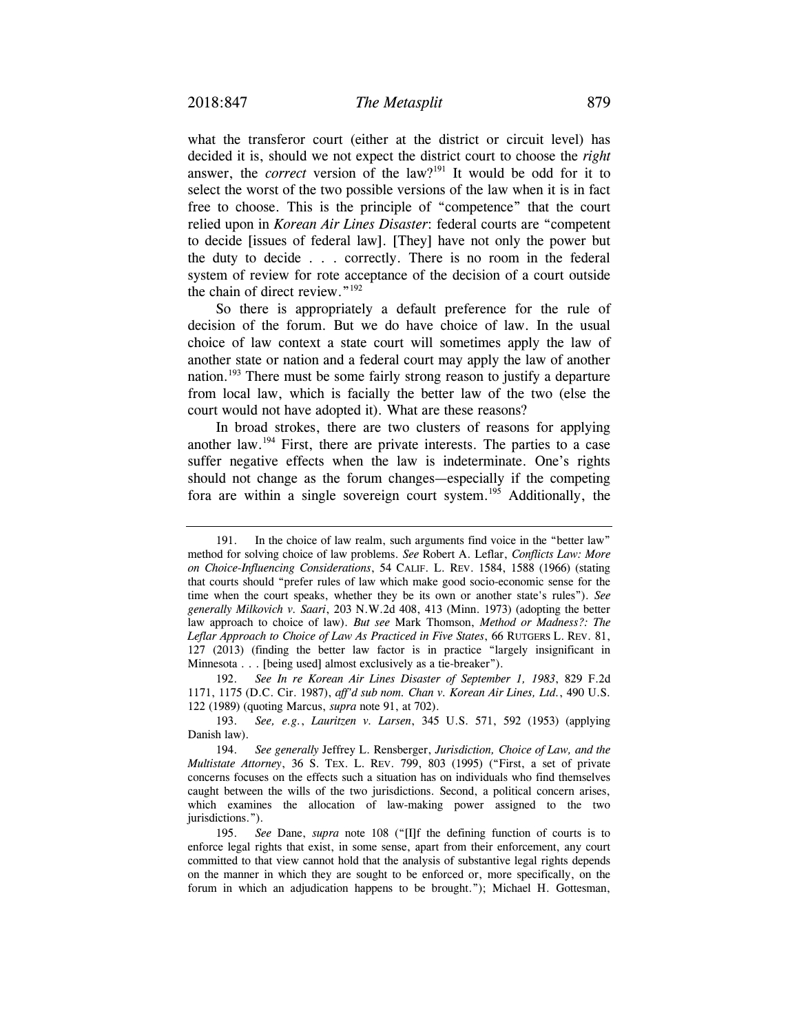what the transferor court (either at the district or circuit level) has decided it is, should we not expect the district court to choose the *right* answer, the *correct* version of the law?<sup>191</sup> It would be odd for it to select the worst of the two possible versions of the law when it is in fact free to choose. This is the principle of "competence" that the court relied upon in *Korean Air Lines Disaster*: federal courts are "competent to decide [issues of federal law]. [They] have not only the power but the duty to decide . . . correctly. There is no room in the federal system of review for rote acceptance of the decision of a court outside the chain of direct review."192

So there is appropriately a default preference for the rule of decision of the forum. But we do have choice of law. In the usual choice of law context a state court will sometimes apply the law of another state or nation and a federal court may apply the law of another nation.<sup>193</sup> There must be some fairly strong reason to justify a departure from local law, which is facially the better law of the two (else the court would not have adopted it). What are these reasons?

In broad strokes, there are two clusters of reasons for applying another law.194 First, there are private interests. The parties to a case suffer negative effects when the law is indeterminate. One's rights should not change as the forum changes—especially if the competing fora are within a single sovereign court system.195 Additionally, the

 <sup>191.</sup> In the choice of law realm, such arguments find voice in the "better law" method for solving choice of law problems. *See* Robert A. Leflar, *Conflicts Law: More on Choice-Influencing Considerations*, 54 CALIF. L. REV. 1584, 1588 (1966) (stating that courts should "prefer rules of law which make good socio-economic sense for the time when the court speaks, whether they be its own or another state's rules"). *See generally Milkovich v. Saari*, 203 N.W.2d 408, 413 (Minn. 1973) (adopting the better law approach to choice of law). *But see* Mark Thomson, *Method or Madness?: The Leflar Approach to Choice of Law As Practiced in Five States*, 66 RUTGERS L. REV. 81, 127 (2013) (finding the better law factor is in practice "largely insignificant in Minnesota . . . [being used] almost exclusively as a tie-breaker").

 <sup>192.</sup> *See In re Korean Air Lines Disaster of September 1, 1983*, 829 F.2d 1171, 1175 (D.C. Cir. 1987), *aff'd sub nom. Chan v. Korean Air Lines, Ltd.*, 490 U.S. 122 (1989) (quoting Marcus, *supra* note 91, at 702).

 <sup>193.</sup> *See, e.g.*, *Lauritzen v. Larsen*, 345 U.S. 571, 592 (1953) (applying Danish law).

 <sup>194.</sup> *See generally* Jeffrey L. Rensberger, *Jurisdiction, Choice of Law, and the Multistate Attorney*, 36 S. TEX. L. REV. 799, 803 (1995) ("First, a set of private concerns focuses on the effects such a situation has on individuals who find themselves caught between the wills of the two jurisdictions. Second, a political concern arises, which examines the allocation of law-making power assigned to the two jurisdictions.").

 <sup>195.</sup> *See* Dane, *supra* note 108 ("[I]f the defining function of courts is to enforce legal rights that exist, in some sense, apart from their enforcement, any court committed to that view cannot hold that the analysis of substantive legal rights depends on the manner in which they are sought to be enforced or, more specifically, on the forum in which an adjudication happens to be brought."); Michael H. Gottesman,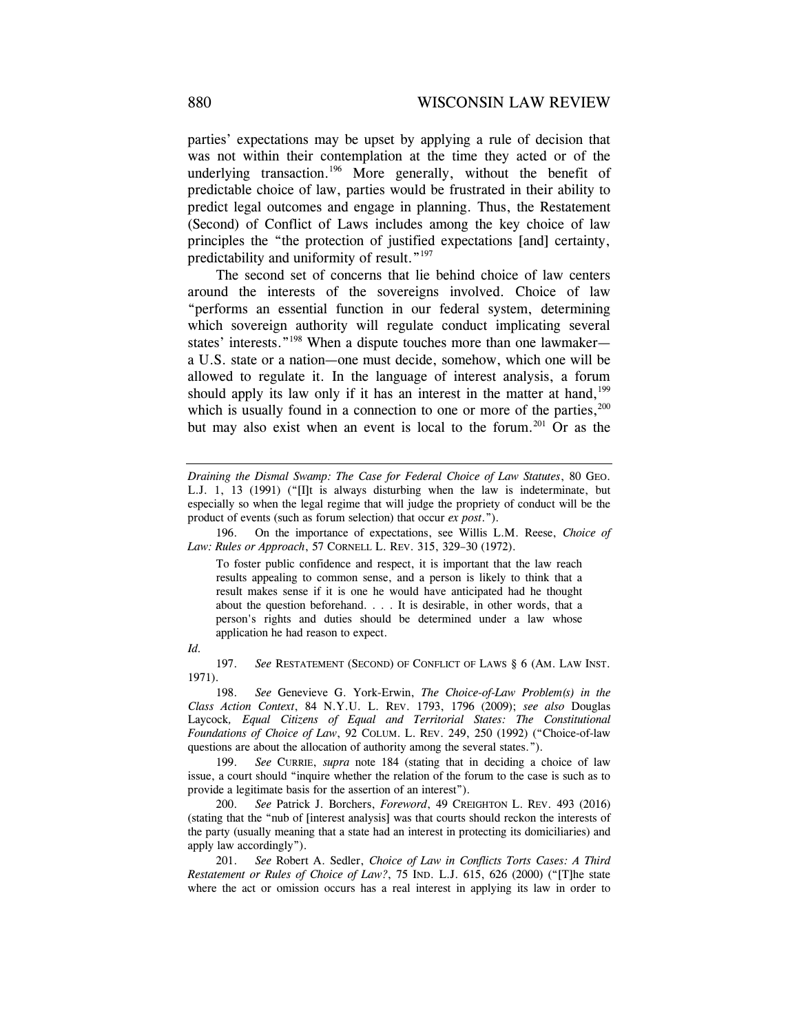parties' expectations may be upset by applying a rule of decision that was not within their contemplation at the time they acted or of the underlying transaction.<sup>196</sup> More generally, without the benefit of predictable choice of law, parties would be frustrated in their ability to predict legal outcomes and engage in planning. Thus, the Restatement (Second) of Conflict of Laws includes among the key choice of law principles the "the protection of justified expectations [and] certainty, predictability and uniformity of result."<sup>197</sup>

The second set of concerns that lie behind choice of law centers around the interests of the sovereigns involved. Choice of law "performs an essential function in our federal system, determining which sovereign authority will regulate conduct implicating several states' interests."<sup>198</sup> When a dispute touches more than one lawmaker a U.S. state or a nation—one must decide, somehow, which one will be allowed to regulate it. In the language of interest analysis, a forum should apply its law only if it has an interest in the matter at hand,<sup>199</sup> which is usually found in a connection to one or more of the parties,<sup>200</sup> but may also exist when an event is local to the forum.<sup>201</sup> Or as the

 196. On the importance of expectations, see Willis L.M. Reese, *Choice of Law: Rules or Approach*, 57 CORNELL L. REV. 315, 329–30 (1972).

To foster public confidence and respect, it is important that the law reach results appealing to common sense, and a person is likely to think that a result makes sense if it is one he would have anticipated had he thought about the question beforehand. . . . It is desirable, in other words, that a person's rights and duties should be determined under a law whose application he had reason to expect.

*Id.* 

 197. *See* RESTATEMENT (SECOND) OF CONFLICT OF LAWS § 6 (AM. LAW INST. 1971).

 198. *See* Genevieve G. York-Erwin, *The Choice-of-Law Problem(s) in the Class Action Context*, 84 N.Y.U. L. REV. 1793, 1796 (2009); *see also* Douglas Laycock*, Equal Citizens of Equal and Territorial States: The Constitutional Foundations of Choice of Law*, 92 COLUM. L. REV. 249, 250 (1992) ("Choice-of-law questions are about the allocation of authority among the several states.").

 199. *See* CURRIE, *supra* note 184 (stating that in deciding a choice of law issue, a court should "inquire whether the relation of the forum to the case is such as to provide a legitimate basis for the assertion of an interest").

 200. *See* Patrick J. Borchers, *Foreword*, 49 CREIGHTON L. REV. 493 (2016) (stating that the "nub of [interest analysis] was that courts should reckon the interests of the party (usually meaning that a state had an interest in protecting its domiciliaries) and apply law accordingly").

 201. *See* Robert A. Sedler, *Choice of Law in Conflicts Torts Cases: A Third Restatement or Rules of Choice of Law?*, 75 IND. L.J. 615, 626 (2000) ("[T]he state where the act or omission occurs has a real interest in applying its law in order to

*Draining the Dismal Swamp: The Case for Federal Choice of Law Statutes*, 80 GEO. L.J. 1, 13 (1991) ("[I]t is always disturbing when the law is indeterminate, but especially so when the legal regime that will judge the propriety of conduct will be the product of events (such as forum selection) that occur *ex post*.").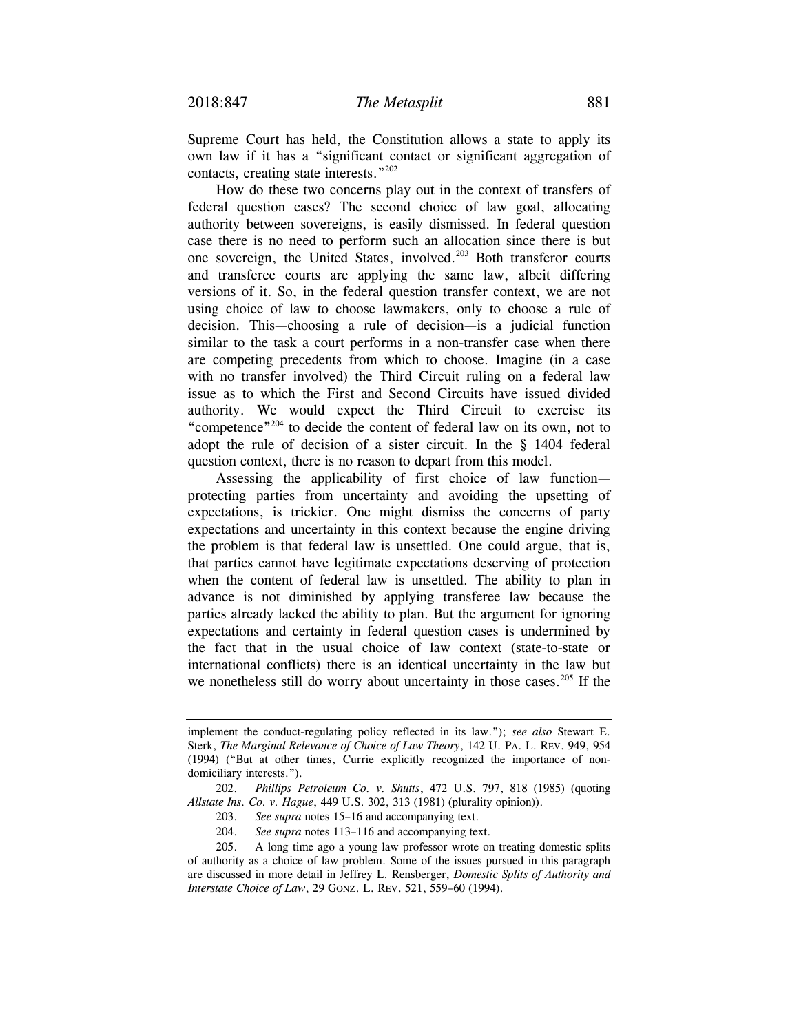Supreme Court has held, the Constitution allows a state to apply its own law if it has a "significant contact or significant aggregation of contacts, creating state interests."202

How do these two concerns play out in the context of transfers of federal question cases? The second choice of law goal, allocating authority between sovereigns, is easily dismissed. In federal question case there is no need to perform such an allocation since there is but one sovereign, the United States, involved.<sup>203</sup> Both transferor courts and transferee courts are applying the same law, albeit differing versions of it. So, in the federal question transfer context, we are not using choice of law to choose lawmakers, only to choose a rule of decision. This—choosing a rule of decision—is a judicial function similar to the task a court performs in a non-transfer case when there are competing precedents from which to choose. Imagine (in a case with no transfer involved) the Third Circuit ruling on a federal law issue as to which the First and Second Circuits have issued divided authority. We would expect the Third Circuit to exercise its "competence"204 to decide the content of federal law on its own, not to adopt the rule of decision of a sister circuit. In the § 1404 federal question context, there is no reason to depart from this model.

Assessing the applicability of first choice of law function protecting parties from uncertainty and avoiding the upsetting of expectations, is trickier. One might dismiss the concerns of party expectations and uncertainty in this context because the engine driving the problem is that federal law is unsettled. One could argue, that is, that parties cannot have legitimate expectations deserving of protection when the content of federal law is unsettled. The ability to plan in advance is not diminished by applying transferee law because the parties already lacked the ability to plan. But the argument for ignoring expectations and certainty in federal question cases is undermined by the fact that in the usual choice of law context (state-to-state or international conflicts) there is an identical uncertainty in the law but we nonetheless still do worry about uncertainty in those cases.<sup>205</sup> If the

implement the conduct-regulating policy reflected in its law."); *see also* Stewart E. Sterk, *The Marginal Relevance of Choice of Law Theory*, 142 U. PA. L. REV. 949, 954 (1994) ("But at other times, Currie explicitly recognized the importance of nondomiciliary interests.").

 <sup>202.</sup> *Phillips Petroleum Co. v. Shutts*, 472 U.S. 797, 818 (1985) (quoting *Allstate Ins. Co. v. Hague*, 449 U.S. 302, 313 (1981) (plurality opinion)).

 <sup>203.</sup> *See supra* notes 15–16 and accompanying text.

 <sup>204.</sup> *See supra* notes 113–116 and accompanying text.

 <sup>205.</sup> A long time ago a young law professor wrote on treating domestic splits of authority as a choice of law problem. Some of the issues pursued in this paragraph are discussed in more detail in Jeffrey L. Rensberger, *Domestic Splits of Authority and Interstate Choice of Law*, 29 GONZ. L. REV. 521, 559–60 (1994).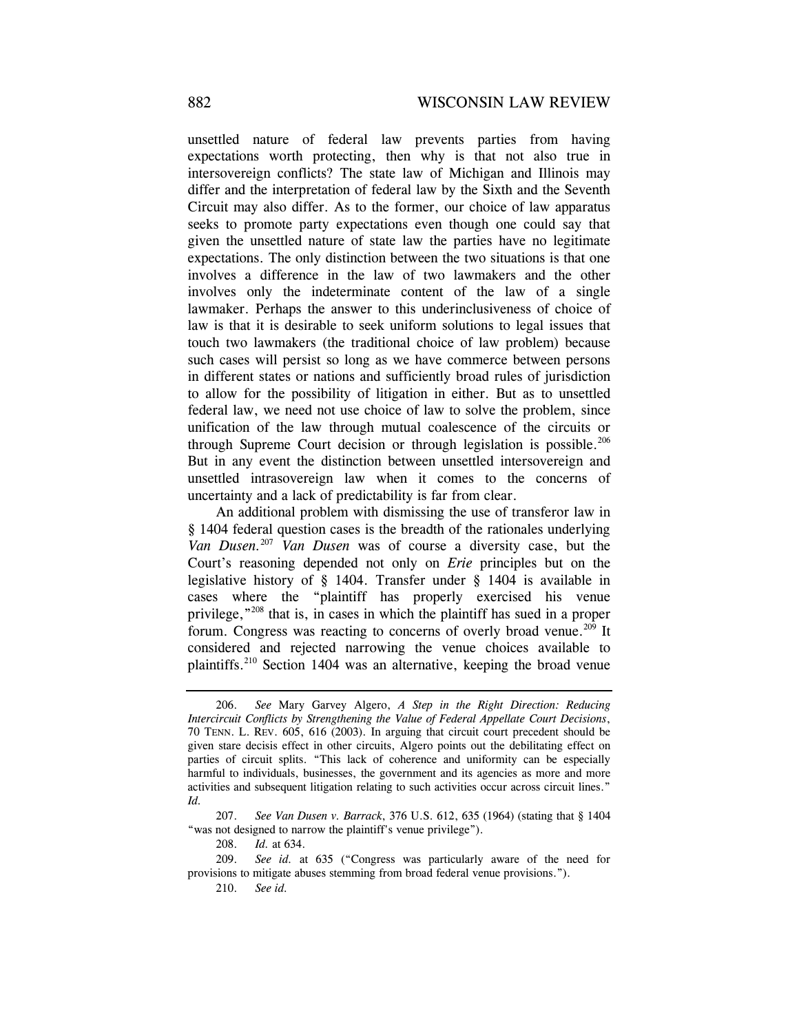unsettled nature of federal law prevents parties from having expectations worth protecting, then why is that not also true in intersovereign conflicts? The state law of Michigan and Illinois may differ and the interpretation of federal law by the Sixth and the Seventh Circuit may also differ. As to the former, our choice of law apparatus seeks to promote party expectations even though one could say that given the unsettled nature of state law the parties have no legitimate expectations. The only distinction between the two situations is that one involves a difference in the law of two lawmakers and the other involves only the indeterminate content of the law of a single lawmaker. Perhaps the answer to this underinclusiveness of choice of law is that it is desirable to seek uniform solutions to legal issues that touch two lawmakers (the traditional choice of law problem) because such cases will persist so long as we have commerce between persons in different states or nations and sufficiently broad rules of jurisdiction to allow for the possibility of litigation in either. But as to unsettled federal law, we need not use choice of law to solve the problem, since unification of the law through mutual coalescence of the circuits or through Supreme Court decision or through legislation is possible.<sup>206</sup> But in any event the distinction between unsettled intersovereign and unsettled intrasovereign law when it comes to the concerns of uncertainty and a lack of predictability is far from clear.

An additional problem with dismissing the use of transferor law in § 1404 federal question cases is the breadth of the rationales underlying *Van Dusen.*<sup>207</sup> *Van Dusen* was of course a diversity case, but the Court's reasoning depended not only on *Erie* principles but on the legislative history of § 1404. Transfer under § 1404 is available in cases where the "plaintiff has properly exercised his venue privilege,"208 that is, in cases in which the plaintiff has sued in a proper forum. Congress was reacting to concerns of overly broad venue.<sup>209</sup> It considered and rejected narrowing the venue choices available to plaintiffs.210 Section 1404 was an alternative, keeping the broad venue

208. *Id.* at 634.

210. *See id.*

 <sup>206.</sup> *See* Mary Garvey Algero, *A Step in the Right Direction: Reducing Intercircuit Conflicts by Strengthening the Value of Federal Appellate Court Decisions*, 70 TENN. L. REV. 605, 616 (2003). In arguing that circuit court precedent should be given stare decisis effect in other circuits, Algero points out the debilitating effect on parties of circuit splits. "This lack of coherence and uniformity can be especially harmful to individuals, businesses, the government and its agencies as more and more activities and subsequent litigation relating to such activities occur across circuit lines." *Id.*

 <sup>207.</sup> *See Van Dusen v. Barrack*, 376 U.S. 612, 635 (1964) (stating that § 1404 "was not designed to narrow the plaintiff's venue privilege").

 <sup>209.</sup> *See id.* at 635 ("Congress was particularly aware of the need for provisions to mitigate abuses stemming from broad federal venue provisions.").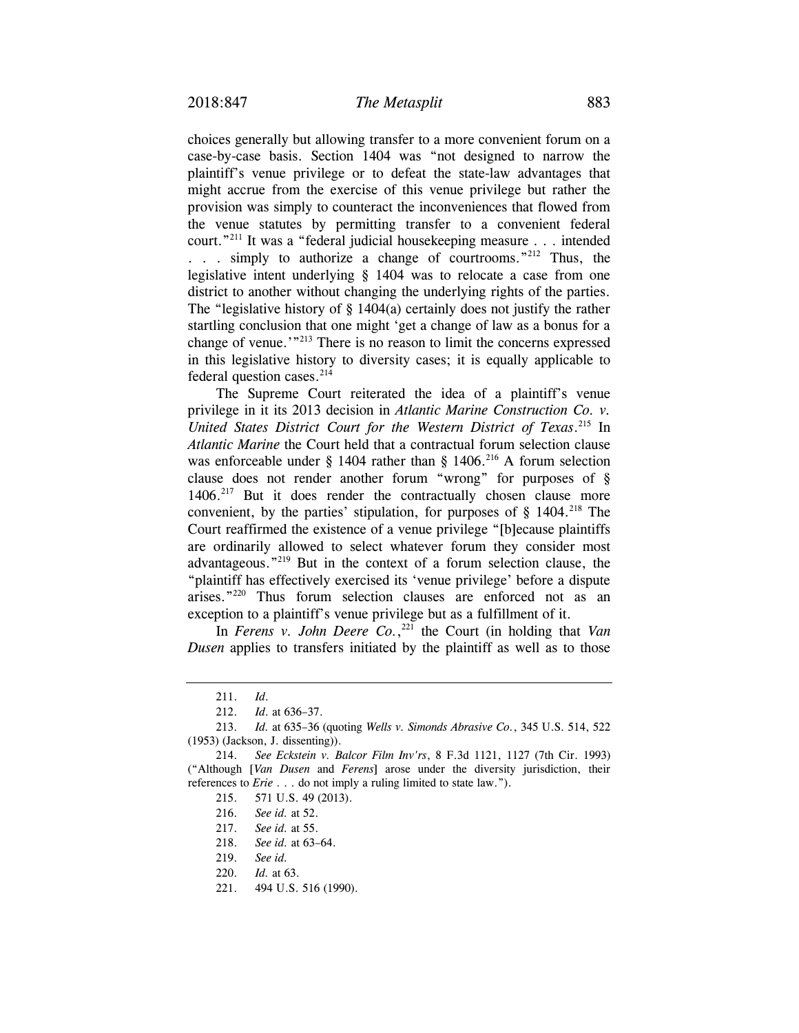choices generally but allowing transfer to a more convenient forum on a case-by-case basis. Section 1404 was "not designed to narrow the plaintiff's venue privilege or to defeat the state-law advantages that might accrue from the exercise of this venue privilege but rather the provision was simply to counteract the inconveniences that flowed from the venue statutes by permitting transfer to a convenient federal court."211 It was a "federal judicial housekeeping measure . . . intended . . . simply to authorize a change of courtrooms."212 Thus, the legislative intent underlying § 1404 was to relocate a case from one district to another without changing the underlying rights of the parties. The "legislative history of  $\S$  1404(a) certainly does not justify the rather startling conclusion that one might 'get a change of law as a bonus for a change of venue.'"213 There is no reason to limit the concerns expressed in this legislative history to diversity cases; it is equally applicable to federal question cases.<sup>214</sup>

The Supreme Court reiterated the idea of a plaintiff's venue privilege in it its 2013 decision in *Atlantic Marine Construction Co. v. United States District Court for the Western District of Texas*. 215 In *Atlantic Marine* the Court held that a contractual forum selection clause was enforceable under § 1404 rather than § 1406.<sup>216</sup> A forum selection clause does not render another forum "wrong" for purposes of § 1406.<sup>217</sup> But it does render the contractually chosen clause more convenient, by the parties' stipulation, for purposes of  $\S$  1404.<sup>218</sup> The Court reaffirmed the existence of a venue privilege "[b]ecause plaintiffs are ordinarily allowed to select whatever forum they consider most advantageous."219 But in the context of a forum selection clause, the "plaintiff has effectively exercised its 'venue privilege' before a dispute arises."220 Thus forum selection clauses are enforced not as an exception to a plaintiff's venue privilege but as a fulfillment of it.

In *Ferens v. John Deere Co.*, 221 the Court (in holding that *Van Dusen* applies to transfers initiated by the plaintiff as well as to those

 <sup>211.</sup> *Id*.

 <sup>212.</sup> *Id*. at 636–37.

 <sup>213.</sup> *Id.* at 635–36 (quoting *Wells v. Simonds Abrasive Co.*, 345 U.S. 514, 522 (1953) (Jackson, J. dissenting)).

 <sup>214.</sup> *See Eckstein v. Balcor Film Inv'rs*, 8 F.3d 1121, 1127 (7th Cir. 1993) ("Although [*Van Dusen* and *Ferens*] arose under the diversity jurisdiction, their references to *Erie* . . . do not imply a ruling limited to state law.").

 <sup>215. 571</sup> U.S. 49 (2013).

 <sup>216.</sup> *See id.* at 52.

 <sup>217.</sup> *See id.* at 55.

 <sup>218.</sup> *See id.* at 63–64.

 <sup>219.</sup> *See id.*

 <sup>220.</sup> *Id.* at 63.

 <sup>221. 494</sup> U.S. 516 (1990).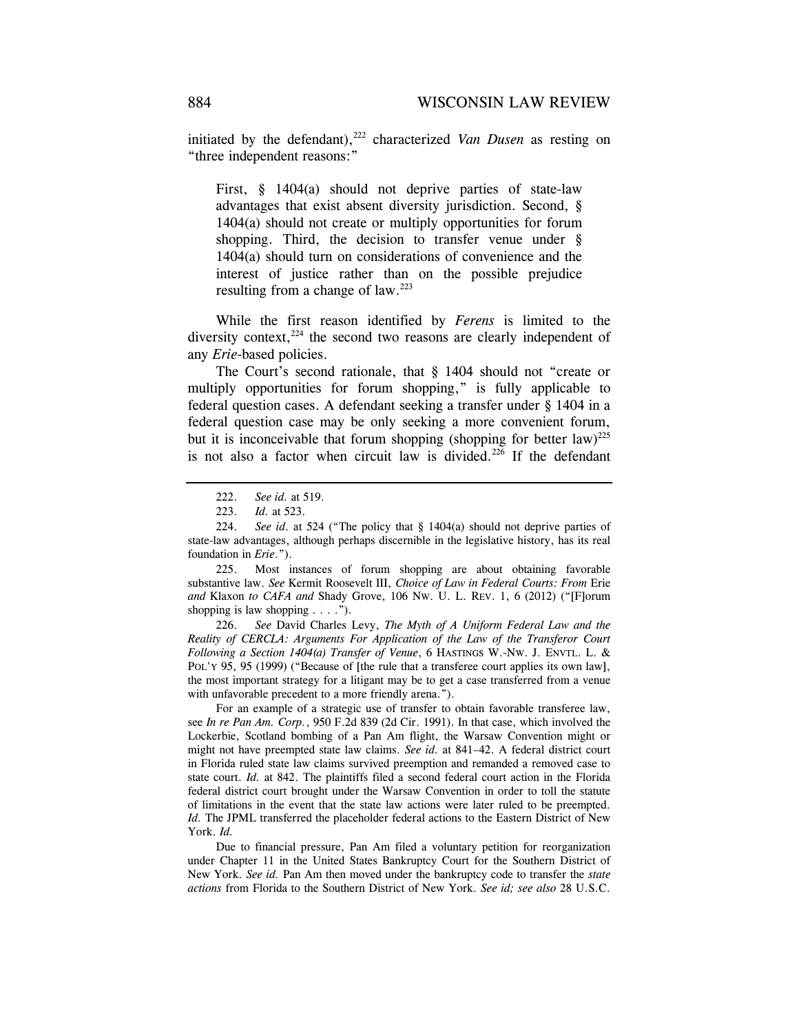initiated by the defendant),<sup>222</sup> characterized *Van Dusen* as resting on "three independent reasons:"

First, § 1404(a) should not deprive parties of state-law advantages that exist absent diversity jurisdiction. Second, § 1404(a) should not create or multiply opportunities for forum shopping. Third, the decision to transfer venue under § 1404(a) should turn on considerations of convenience and the interest of justice rather than on the possible prejudice resulting from a change of law.<sup>223</sup>

While the first reason identified by *Ferens* is limited to the diversity context, $224$  the second two reasons are clearly independent of any *Erie*-based policies.

The Court's second rationale, that § 1404 should not "create or multiply opportunities for forum shopping," is fully applicable to federal question cases. A defendant seeking a transfer under § 1404 in a federal question case may be only seeking a more convenient forum, but it is inconceivable that forum shopping (shopping for better law)<sup>225</sup> is not also a factor when circuit law is divided.<sup>226</sup> If the defendant

 225. Most instances of forum shopping are about obtaining favorable substantive law. *See* Kermit Roosevelt III, *Choice of Law in Federal Courts: From* Erie *and* Klaxon *to CAFA and* Shady Grove, 106 NW. U. L. REV. 1, 6 (2012) ("[F]orum shopping is law shopping  $\dots$ .").

 226. *See* David Charles Levy, *The Myth of A Uniform Federal Law and the Reality of CERCLA: Arguments For Application of the Law of the Transferor Court Following a Section 1404(a) Transfer of Venue*, 6 HASTINGS W.-NW. J. ENVTL. L. & POL'Y 95, 95 (1999) ("Because of [the rule that a transferee court applies its own law], the most important strategy for a litigant may be to get a case transferred from a venue with unfavorable precedent to a more friendly arena.").

 For an example of a strategic use of transfer to obtain favorable transferee law, see *In re Pan Am. Corp.*, 950 F.2d 839 (2d Cir. 1991). In that case, which involved the Lockerbie, Scotland bombing of a Pan Am flight, the Warsaw Convention might or might not have preempted state law claims. *See id.* at 841–42. A federal district court in Florida ruled state law claims survived preemption and remanded a removed case to state court. *Id.* at 842. The plaintiffs filed a second federal court action in the Florida federal district court brought under the Warsaw Convention in order to toll the statute of limitations in the event that the state law actions were later ruled to be preempted. *Id.* The JPML transferred the placeholder federal actions to the Eastern District of New York. *Id.* 

 Due to financial pressure, Pan Am filed a voluntary petition for reorganization under Chapter 11 in the United States Bankruptcy Court for the Southern District of New York. *See id.* Pan Am then moved under the bankruptcy code to transfer the *state actions* from Florida to the Southern District of New York. *See id; see also* 28 U.S.C.

 <sup>222.</sup> *See id.* at 519.

<sup>223.</sup> *Id.* at 523.

 <sup>224.</sup> *See id*. at 524 ("The policy that § 1404(a) should not deprive parties of state-law advantages, although perhaps discernible in the legislative history, has its real foundation in *Erie*.").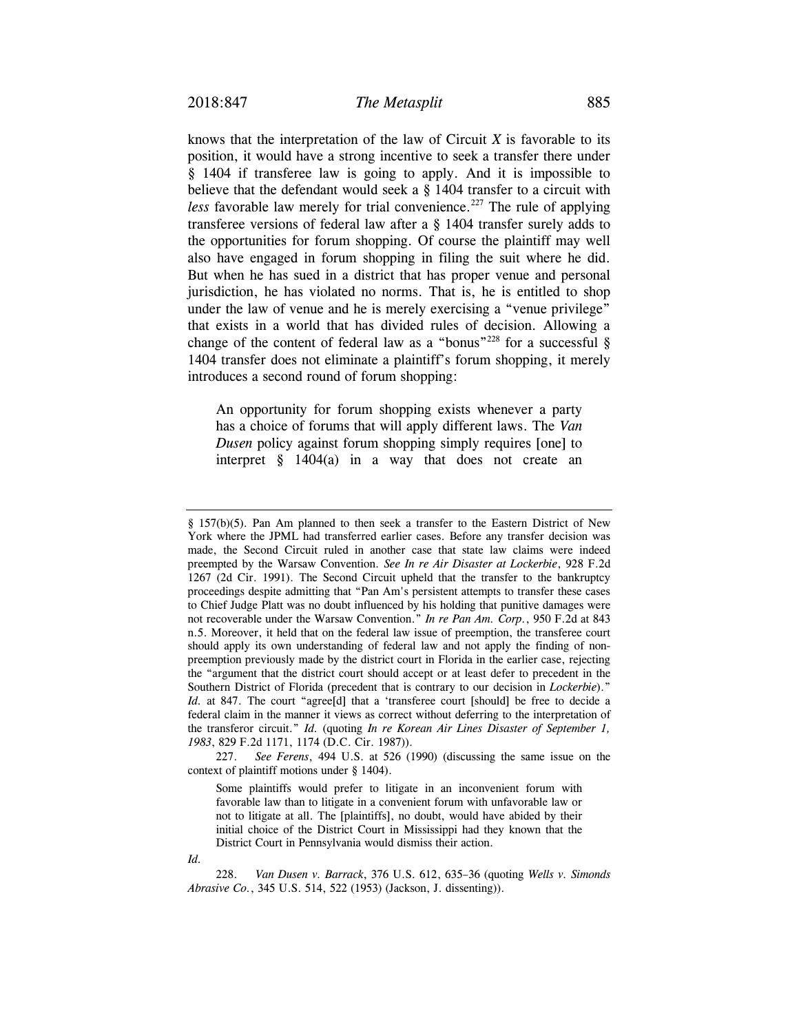knows that the interpretation of the law of Circuit *X* is favorable to its position, it would have a strong incentive to seek a transfer there under § 1404 if transferee law is going to apply. And it is impossible to believe that the defendant would seek a § 1404 transfer to a circuit with *less* favorable law merely for trial convenience.<sup>227</sup> The rule of applying transferee versions of federal law after a § 1404 transfer surely adds to the opportunities for forum shopping. Of course the plaintiff may well also have engaged in forum shopping in filing the suit where he did. But when he has sued in a district that has proper venue and personal jurisdiction, he has violated no norms. That is, he is entitled to shop under the law of venue and he is merely exercising a "venue privilege" that exists in a world that has divided rules of decision. Allowing a change of the content of federal law as a "bonus"<sup>228</sup> for a successful  $\S$ 1404 transfer does not eliminate a plaintiff's forum shopping, it merely introduces a second round of forum shopping:

An opportunity for forum shopping exists whenever a party has a choice of forums that will apply different laws. The *Van Dusen* policy against forum shopping simply requires [one] to interpret  $\S$  1404(a) in a way that does not create an

<sup>§ 157(</sup>b)(5). Pan Am planned to then seek a transfer to the Eastern District of New York where the JPML had transferred earlier cases. Before any transfer decision was made, the Second Circuit ruled in another case that state law claims were indeed preempted by the Warsaw Convention. *See In re Air Disaster at Lockerbie*, 928 F.2d 1267 (2d Cir. 1991). The Second Circuit upheld that the transfer to the bankruptcy proceedings despite admitting that "Pan Am's persistent attempts to transfer these cases to Chief Judge Platt was no doubt influenced by his holding that punitive damages were not recoverable under the Warsaw Convention." *In re Pan Am. Corp.*, 950 F.2d at 843 n.5. Moreover, it held that on the federal law issue of preemption, the transferee court should apply its own understanding of federal law and not apply the finding of nonpreemption previously made by the district court in Florida in the earlier case, rejecting the "argument that the district court should accept or at least defer to precedent in the Southern District of Florida (precedent that is contrary to our decision in *Lockerbie*)." *Id.* at 847. The court "agree<sup>[d]</sup> that a 'transferee court [should] be free to decide a federal claim in the manner it views as correct without deferring to the interpretation of the transferor circuit." *Id.* (quoting *In re Korean Air Lines Disaster of September 1, 1983*, 829 F.2d 1171, 1174 (D.C. Cir. 1987)).

 <sup>227.</sup> *See Ferens*, 494 U.S. at 526 (1990) (discussing the same issue on the context of plaintiff motions under § 1404).

Some plaintiffs would prefer to litigate in an inconvenient forum with favorable law than to litigate in a convenient forum with unfavorable law or not to litigate at all. The [plaintiffs], no doubt, would have abided by their initial choice of the District Court in Mississippi had they known that the District Court in Pennsylvania would dismiss their action.

*Id.* 

 <sup>228.</sup> *Van Dusen v. Barrack*, 376 U.S. 612, 635–36 (quoting *Wells v. Simonds Abrasive Co.*, 345 U.S. 514, 522 (1953) (Jackson, J. dissenting)).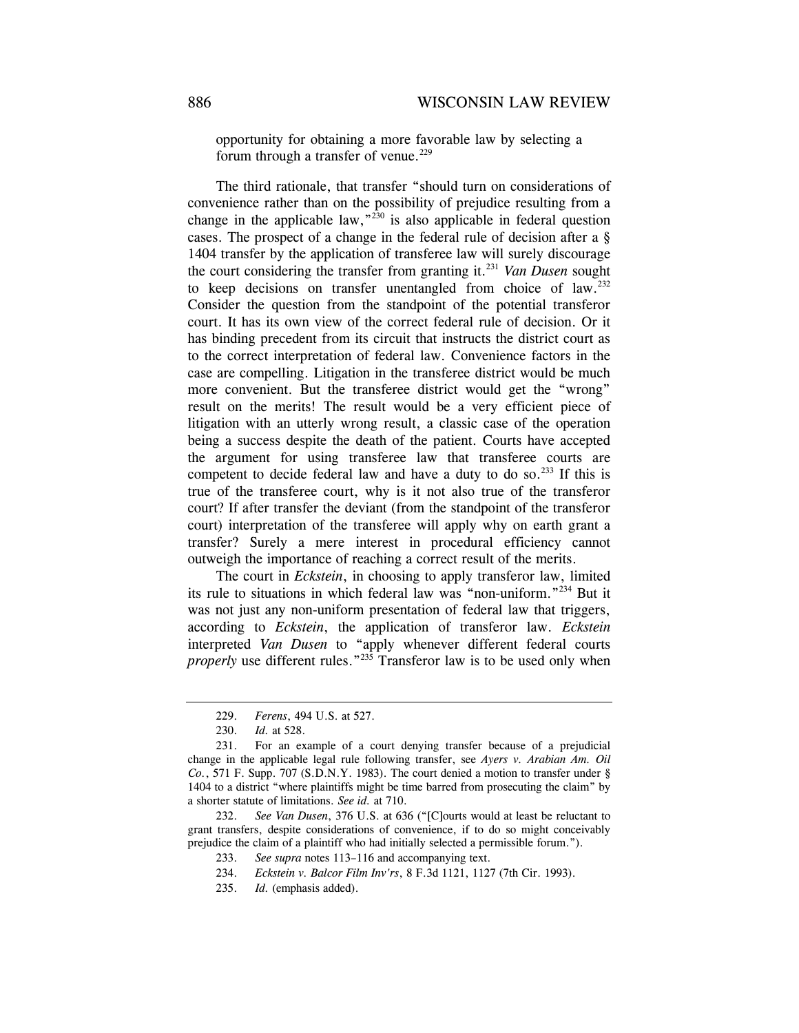opportunity for obtaining a more favorable law by selecting a forum through a transfer of venue.<sup>229</sup>

The third rationale, that transfer "should turn on considerations of convenience rather than on the possibility of prejudice resulting from a change in the applicable law,  $\frac{230}{120}$  is also applicable in federal question cases. The prospect of a change in the federal rule of decision after a § 1404 transfer by the application of transferee law will surely discourage the court considering the transfer from granting it.231 *Van Dusen* sought to keep decisions on transfer unentangled from choice of law.<sup>232</sup> Consider the question from the standpoint of the potential transferor court. It has its own view of the correct federal rule of decision. Or it has binding precedent from its circuit that instructs the district court as to the correct interpretation of federal law. Convenience factors in the case are compelling. Litigation in the transferee district would be much more convenient. But the transferee district would get the "wrong" result on the merits! The result would be a very efficient piece of litigation with an utterly wrong result, a classic case of the operation being a success despite the death of the patient. Courts have accepted the argument for using transferee law that transferee courts are competent to decide federal law and have a duty to do so.<sup>233</sup> If this is true of the transferee court, why is it not also true of the transferor court? If after transfer the deviant (from the standpoint of the transferor court) interpretation of the transferee will apply why on earth grant a transfer? Surely a mere interest in procedural efficiency cannot outweigh the importance of reaching a correct result of the merits.

The court in *Eckstein*, in choosing to apply transferor law, limited its rule to situations in which federal law was "non-uniform."234 But it was not just any non-uniform presentation of federal law that triggers, according to *Eckstein*, the application of transferor law. *Eckstein* interpreted *Van Dusen* to "apply whenever different federal courts *properly* use different rules."<sup>235</sup> Transferor law is to be used only when

 232. *See Van Dusen*, 376 U.S. at 636 ("[C]ourts would at least be reluctant to grant transfers, despite considerations of convenience, if to do so might conceivably prejudice the claim of a plaintiff who had initially selected a permissible forum.").

 <sup>229.</sup> *Ferens*, 494 U.S. at 527.

 <sup>230.</sup> *Id.* at 528.

 <sup>231.</sup> For an example of a court denying transfer because of a prejudicial change in the applicable legal rule following transfer, see *Ayers v. Arabian Am. Oil Co.*, 571 F. Supp. 707 (S.D.N.Y. 1983). The court denied a motion to transfer under § 1404 to a district "where plaintiffs might be time barred from prosecuting the claim" by a shorter statute of limitations. *See id.* at 710.

 <sup>233.</sup> *See supra* notes 113–116 and accompanying text.

<sup>234.</sup> *Eckstein v. Balcor Film Inv'rs*, 8 F.3d 1121, 1127 (7th Cir. 1993).

 <sup>235.</sup> *Id.* (emphasis added).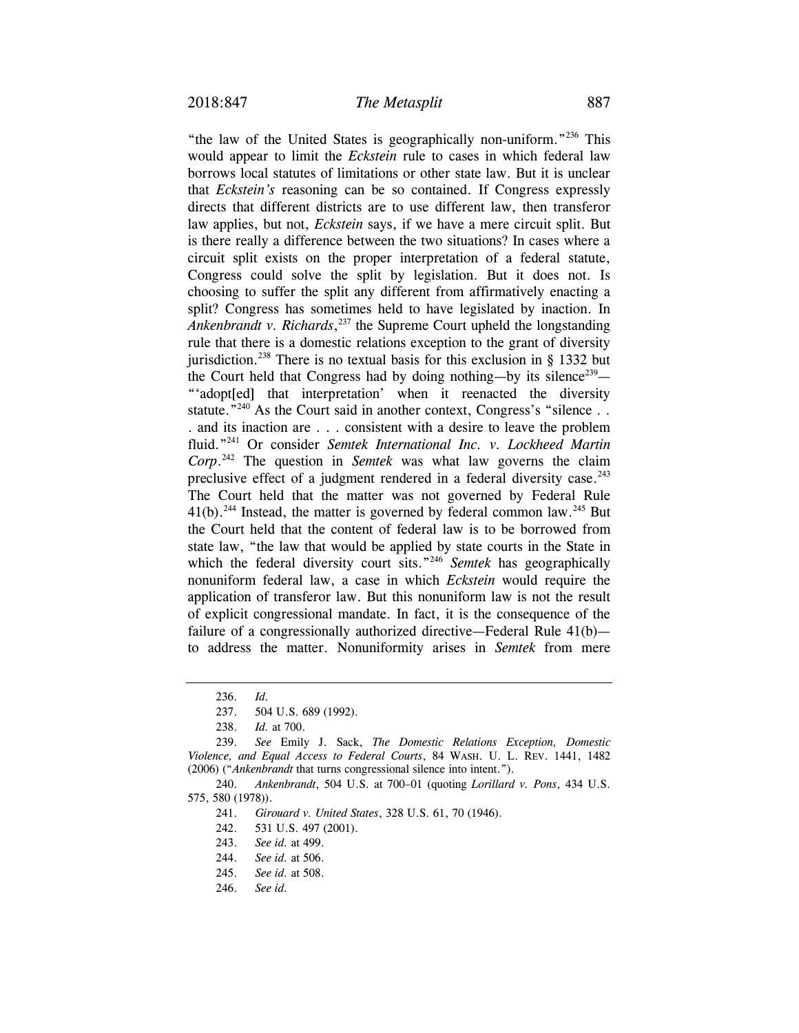"the law of the United States is geographically non-uniform."236 This would appear to limit the *Eckstein* rule to cases in which federal law borrows local statutes of limitations or other state law. But it is unclear that *Eckstein's* reasoning can be so contained. If Congress expressly directs that different districts are to use different law, then transferor law applies, but not, *Eckstein* says, if we have a mere circuit split. But is there really a difference between the two situations? In cases where a circuit split exists on the proper interpretation of a federal statute, Congress could solve the split by legislation. But it does not. Is choosing to suffer the split any different from affirmatively enacting a split? Congress has sometimes held to have legislated by inaction. In *Ankenbrandt v. Richards*, 237 the Supreme Court upheld the longstanding rule that there is a domestic relations exception to the grant of diversity jurisdiction.<sup>238</sup> There is no textual basis for this exclusion in § 1332 but the Court held that Congress had by doing nothing—by its silence<sup>239</sup>— "'adopt[ed] that interpretation' when it reenacted the diversity statute."<sup>240</sup> As the Court said in another context, Congress's "silence . . . and its inaction are . . . consistent with a desire to leave the problem fluid."241 Or consider *Semtek International Inc. v. Lockheed Martin Corp*. 242 The question in *Semtek* was what law governs the claim preclusive effect of a judgment rendered in a federal diversity case. $243$ The Court held that the matter was not governed by Federal Rule  $41(b)$ .<sup>244</sup> Instead, the matter is governed by federal common law.<sup>245</sup> But the Court held that the content of federal law is to be borrowed from state law, "the law that would be applied by state courts in the State in which the federal diversity court sits."<sup>246</sup> *Semtek* has geographically nonuniform federal law, a case in which *Eckstein* would require the application of transferor law. But this nonuniform law is not the result of explicit congressional mandate. In fact, it is the consequence of the failure of a congressionally authorized directive—Federal Rule 41(b) to address the matter. Nonuniformity arises in *Semtek* from mere

 <sup>236.</sup> *Id.*

 <sup>237. 504</sup> U.S. 689 (1992).

<sup>238.</sup> *Id.* at 700.

 <sup>239.</sup> *See* Emily J. Sack, *The Domestic Relations Exception, Domestic Violence, and Equal Access to Federal Courts*, 84 WASH. U. L. REV. 1441, 1482 (2006) ("*Ankenbrandt* that turns congressional silence into intent.").

 <sup>240.</sup> *Ankenbrandt*, 504 U.S. at 700–01 (quoting *Lorillard v. Pons*, 434 U.S. 575, 580 (1978)).

 <sup>241.</sup> *Girouard v. United States*, 328 U.S. 61, 70 (1946).

 <sup>242. 531</sup> U.S. 497 (2001).

 <sup>243.</sup> *See id.* at 499.

 <sup>244.</sup> *See id.* at 506.

 <sup>245.</sup> *See id.* at 508.

 <sup>246.</sup> *See id.*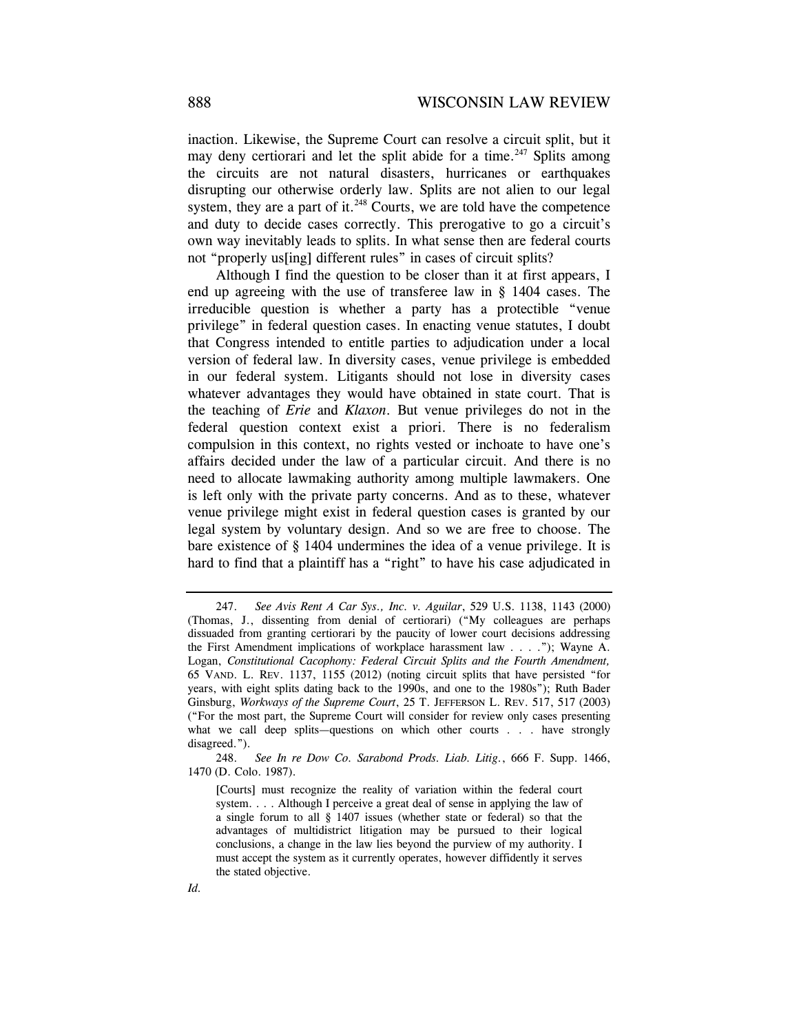inaction. Likewise, the Supreme Court can resolve a circuit split, but it may deny certiorari and let the split abide for a time.<sup>247</sup> Splits among the circuits are not natural disasters, hurricanes or earthquakes disrupting our otherwise orderly law. Splits are not alien to our legal system, they are a part of it. $248$  Courts, we are told have the competence and duty to decide cases correctly. This prerogative to go a circuit's own way inevitably leads to splits. In what sense then are federal courts not "properly us[ing] different rules" in cases of circuit splits?

Although I find the question to be closer than it at first appears, I end up agreeing with the use of transferee law in § 1404 cases. The irreducible question is whether a party has a protectible "venue privilege" in federal question cases. In enacting venue statutes, I doubt that Congress intended to entitle parties to adjudication under a local version of federal law. In diversity cases, venue privilege is embedded in our federal system. Litigants should not lose in diversity cases whatever advantages they would have obtained in state court. That is the teaching of *Erie* and *Klaxon*. But venue privileges do not in the federal question context exist a priori. There is no federalism compulsion in this context, no rights vested or inchoate to have one's affairs decided under the law of a particular circuit. And there is no need to allocate lawmaking authority among multiple lawmakers. One is left only with the private party concerns. And as to these, whatever venue privilege might exist in federal question cases is granted by our legal system by voluntary design. And so we are free to choose. The bare existence of § 1404 undermines the idea of a venue privilege. It is hard to find that a plaintiff has a "right" to have his case adjudicated in

 <sup>247.</sup> *See Avis Rent A Car Sys., Inc. v. Aguilar*, 529 U.S. 1138, 1143 (2000) (Thomas, J., dissenting from denial of certiorari) ("My colleagues are perhaps dissuaded from granting certiorari by the paucity of lower court decisions addressing the First Amendment implications of workplace harassment law . . . ."); Wayne A. Logan, *Constitutional Cacophony: Federal Circuit Splits and the Fourth Amendment,* 65 VAND. L. REV. 1137, 1155 (2012) (noting circuit splits that have persisted "for years, with eight splits dating back to the 1990s, and one to the 1980s"); Ruth Bader Ginsburg, *Workways of the Supreme Court*, 25 T. JEFFERSON L. REV. 517, 517 (2003) ("For the most part, the Supreme Court will consider for review only cases presenting what we call deep splits—questions on which other courts . . . have strongly disagreed.").

 <sup>248.</sup> *See In re Dow Co. Sarabond Prods. Liab. Litig.*, 666 F. Supp. 1466, 1470 (D. Colo. 1987).

<sup>[</sup>Courts] must recognize the reality of variation within the federal court system. . . . Although I perceive a great deal of sense in applying the law of a single forum to all § 1407 issues (whether state or federal) so that the advantages of multidistrict litigation may be pursued to their logical conclusions, a change in the law lies beyond the purview of my authority. I must accept the system as it currently operates, however diffidently it serves the stated objective.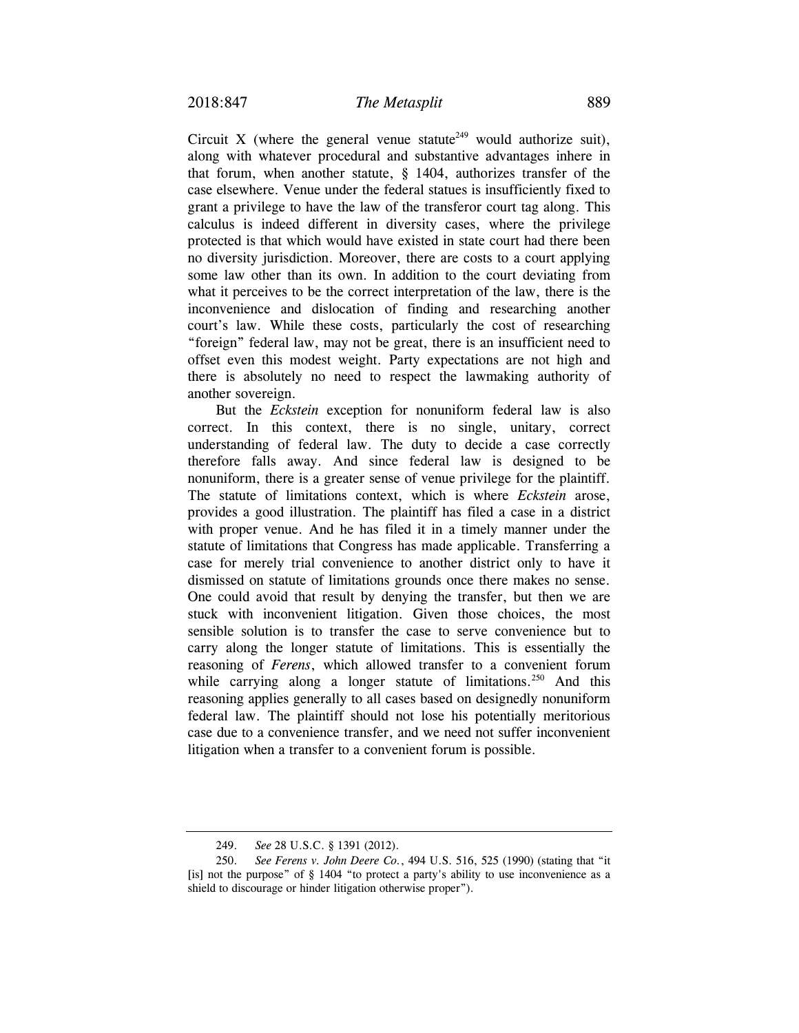Circuit X (where the general venue statute<sup>249</sup> would authorize suit), along with whatever procedural and substantive advantages inhere in that forum, when another statute, § 1404, authorizes transfer of the case elsewhere. Venue under the federal statues is insufficiently fixed to grant a privilege to have the law of the transferor court tag along. This calculus is indeed different in diversity cases, where the privilege protected is that which would have existed in state court had there been no diversity jurisdiction. Moreover, there are costs to a court applying some law other than its own. In addition to the court deviating from what it perceives to be the correct interpretation of the law, there is the inconvenience and dislocation of finding and researching another court's law. While these costs, particularly the cost of researching "foreign" federal law, may not be great, there is an insufficient need to offset even this modest weight. Party expectations are not high and there is absolutely no need to respect the lawmaking authority of another sovereign.

But the *Eckstein* exception for nonuniform federal law is also correct. In this context, there is no single, unitary, correct understanding of federal law. The duty to decide a case correctly therefore falls away. And since federal law is designed to be nonuniform, there is a greater sense of venue privilege for the plaintiff. The statute of limitations context, which is where *Eckstein* arose, provides a good illustration. The plaintiff has filed a case in a district with proper venue. And he has filed it in a timely manner under the statute of limitations that Congress has made applicable. Transferring a case for merely trial convenience to another district only to have it dismissed on statute of limitations grounds once there makes no sense. One could avoid that result by denying the transfer, but then we are stuck with inconvenient litigation. Given those choices, the most sensible solution is to transfer the case to serve convenience but to carry along the longer statute of limitations. This is essentially the reasoning of *Ferens*, which allowed transfer to a convenient forum while carrying along a longer statute of limitations.<sup>250</sup> And this reasoning applies generally to all cases based on designedly nonuniform federal law. The plaintiff should not lose his potentially meritorious case due to a convenience transfer, and we need not suffer inconvenient litigation when a transfer to a convenient forum is possible.

 <sup>249.</sup> *See* 28 U.S.C. § 1391 (2012).

 <sup>250.</sup> *See Ferens v. John Deere Co.*, 494 U.S. 516, 525 (1990) (stating that "it [is] not the purpose" of § 1404 "to protect a party's ability to use inconvenience as a shield to discourage or hinder litigation otherwise proper").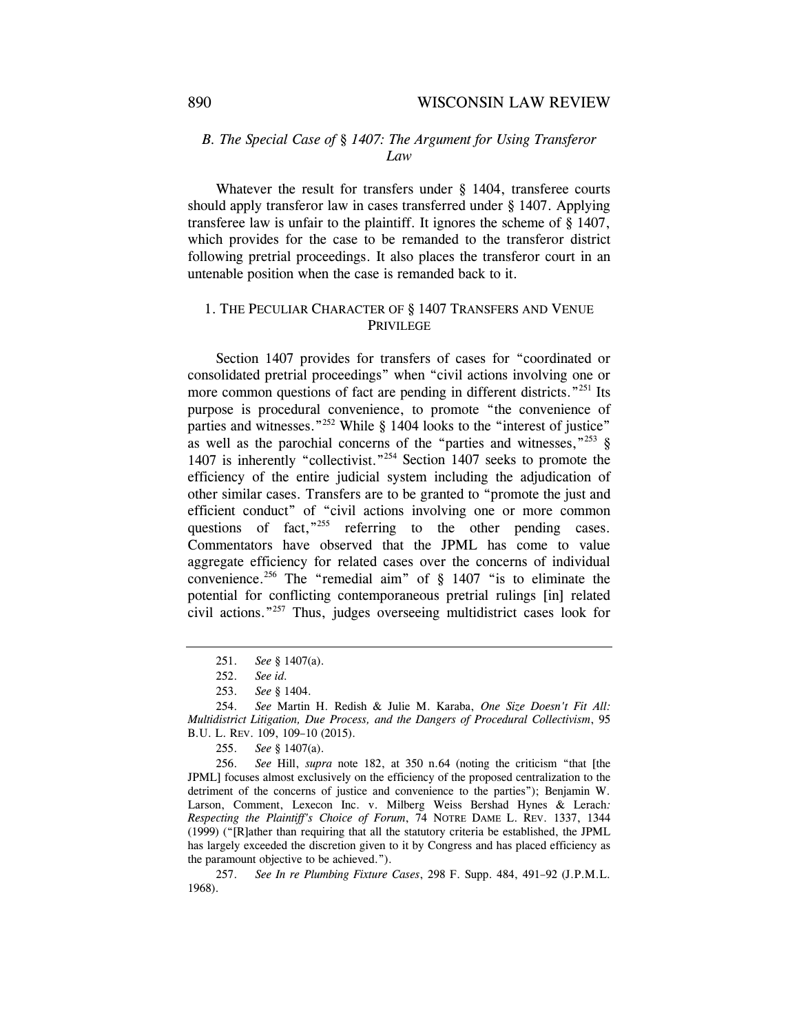## *B. The Special Case of § 1407: The Argument for Using Transferor Law*

Whatever the result for transfers under § 1404, transferee courts should apply transferor law in cases transferred under § 1407. Applying transferee law is unfair to the plaintiff. It ignores the scheme of § 1407, which provides for the case to be remanded to the transferor district following pretrial proceedings. It also places the transferor court in an untenable position when the case is remanded back to it.

## 1. THE PECULIAR CHARACTER OF § 1407 TRANSFERS AND VENUE PRIVILEGE

Section 1407 provides for transfers of cases for "coordinated or consolidated pretrial proceedings" when "civil actions involving one or more common questions of fact are pending in different districts."<sup>251</sup> Its purpose is procedural convenience, to promote "the convenience of parties and witnesses."<sup>252</sup> While § 1404 looks to the "interest of justice" as well as the parochial concerns of the "parties and witnesses,"<sup>253</sup> § 1407 is inherently "collectivist."254 Section 1407 seeks to promote the efficiency of the entire judicial system including the adjudication of other similar cases. Transfers are to be granted to "promote the just and efficient conduct" of "civil actions involving one or more common questions of fact,<sup>"255</sup> referring to the other pending cases. Commentators have observed that the JPML has come to value aggregate efficiency for related cases over the concerns of individual convenience.<sup>256</sup> The "remedial aim" of  $\S$  1407 "is to eliminate the potential for conflicting contemporaneous pretrial rulings [in] related civil actions."257 Thus, judges overseeing multidistrict cases look for

 <sup>251.</sup> *See* § 1407(a).

 <sup>252.</sup> *See id.*

 <sup>253.</sup> *See* § 1404.

 <sup>254.</sup> *See* Martin H. Redish & Julie M. Karaba, *One Size Doesn't Fit All: Multidistrict Litigation, Due Process, and the Dangers of Procedural Collectivism*, 95 B.U. L. REV. 109, 109–10 (2015).

 <sup>255.</sup> *See* § 1407(a).

 <sup>256.</sup> *See* Hill, *supra* note 182, at 350 n.64 (noting the criticism "that [the JPML] focuses almost exclusively on the efficiency of the proposed centralization to the detriment of the concerns of justice and convenience to the parties"); Benjamin W. Larson, Comment, Lexecon Inc. v. Milberg Weiss Bershad Hynes & Lerach*: Respecting the Plaintiff's Choice of Forum*, 74 NOTRE DAME L. REV. 1337, 1344 (1999) ("[R]ather than requiring that all the statutory criteria be established, the JPML has largely exceeded the discretion given to it by Congress and has placed efficiency as the paramount objective to be achieved.").

 <sup>257.</sup> *See In re Plumbing Fixture Cases*, 298 F. Supp. 484, 491–92 (J.P.M.L. 1968).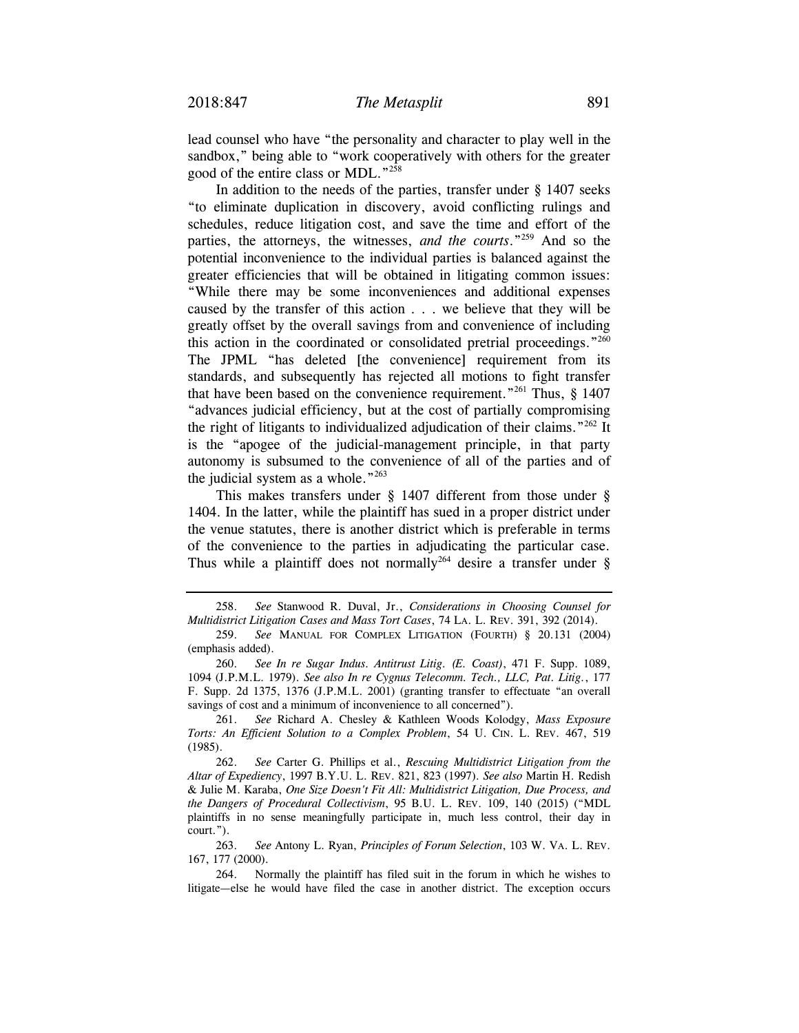lead counsel who have "the personality and character to play well in the sandbox," being able to "work cooperatively with others for the greater good of the entire class or MDL."258

In addition to the needs of the parties, transfer under  $\S$  1407 seeks "to eliminate duplication in discovery, avoid conflicting rulings and schedules, reduce litigation cost, and save the time and effort of the parties, the attorneys, the witnesses, *and the courts*."259 And so the potential inconvenience to the individual parties is balanced against the greater efficiencies that will be obtained in litigating common issues: "While there may be some inconveniences and additional expenses caused by the transfer of this action . . . we believe that they will be greatly offset by the overall savings from and convenience of including this action in the coordinated or consolidated pretrial proceedings."<sup>260</sup> The JPML "has deleted [the convenience] requirement from its standards, and subsequently has rejected all motions to fight transfer that have been based on the convenience requirement."<sup>261</sup> Thus,  $\S$  1407 "advances judicial efficiency, but at the cost of partially compromising the right of litigants to individualized adjudication of their claims."<sup>262</sup> It is the "apogee of the judicial-management principle, in that party autonomy is subsumed to the convenience of all of the parties and of the judicial system as a whole." $263$ 

This makes transfers under § 1407 different from those under § 1404. In the latter, while the plaintiff has sued in a proper district under the venue statutes, there is another district which is preferable in terms of the convenience to the parties in adjudicating the particular case. Thus while a plaintiff does not normally<sup>264</sup> desire a transfer under  $\S$ 

 258. *See* Stanwood R. Duval, Jr., *Considerations in Choosing Counsel for Multidistrict Litigation Cases and Mass Tort Cases*, 74 LA. L. REV. 391, 392 (2014).

 261. *See* Richard A. Chesley & Kathleen Woods Kolodgy, *Mass Exposure Torts: An Efficient Solution to a Complex Problem*, 54 U. CIN. L. REV. 467, 519 (1985).

 262. *See* Carter G. Phillips et al., *Rescuing Multidistrict Litigation from the Altar of Expediency*, 1997 B.Y.U. L. REV. 821, 823 (1997). *See also* Martin H. Redish & Julie M. Karaba, *One Size Doesn't Fit All: Multidistrict Litigation, Due Process, and the Dangers of Procedural Collectivism*, 95 B.U. L. REV. 109, 140 (2015) ("MDL plaintiffs in no sense meaningfully participate in, much less control, their day in court.").

 263. *See* Antony L. Ryan, *Principles of Forum Selection*, 103 W. VA. L. REV. 167, 177 (2000).

 264. Normally the plaintiff has filed suit in the forum in which he wishes to litigate—else he would have filed the case in another district. The exception occurs

 <sup>259.</sup> *See* MANUAL FOR COMPLEX LITIGATION (FOURTH) § 20.131 (2004) (emphasis added).

 <sup>260.</sup> *See In re Sugar Indus. Antitrust Litig. (E. Coast)*, 471 F. Supp. 1089, 1094 (J.P.M.L. 1979). *See also In re Cygnus Telecomm. Tech., LLC, Pat. Litig.*, 177 F. Supp. 2d 1375, 1376 (J.P.M.L. 2001) (granting transfer to effectuate "an overall savings of cost and a minimum of inconvenience to all concerned").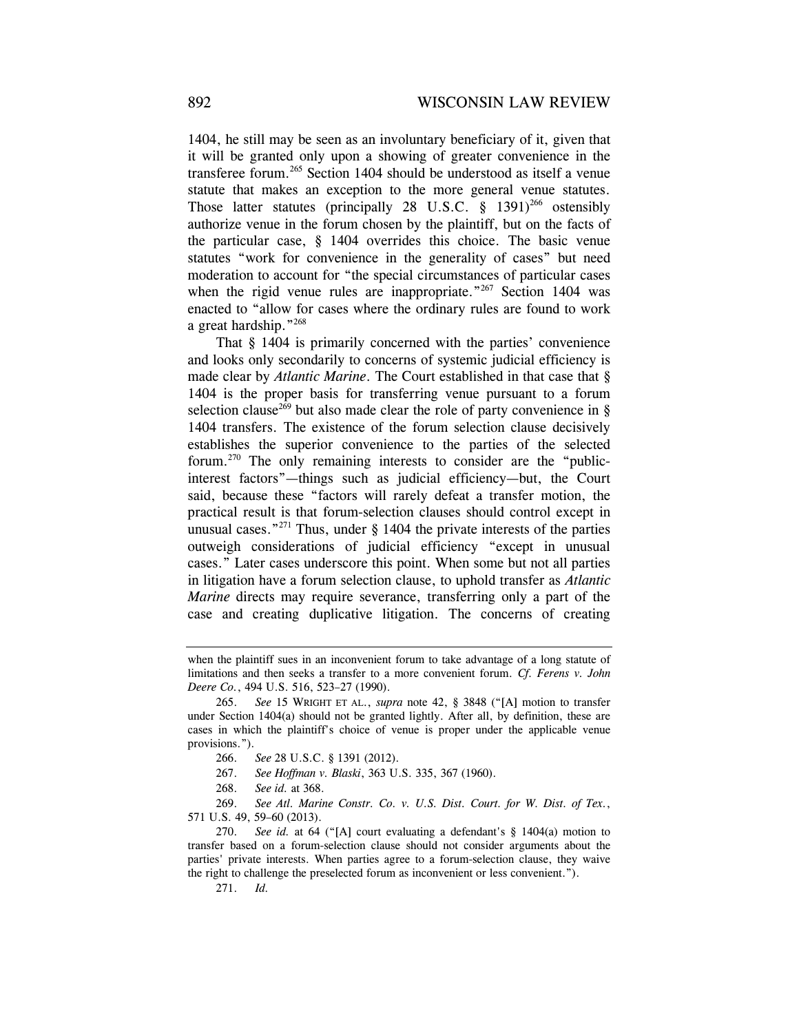1404, he still may be seen as an involuntary beneficiary of it, given that it will be granted only upon a showing of greater convenience in the transferee forum.<sup>265</sup> Section 1404 should be understood as itself a venue statute that makes an exception to the more general venue statutes. Those latter statutes (principally 28 U.S.C.  $\S$  1391)<sup>266</sup> ostensibly authorize venue in the forum chosen by the plaintiff, but on the facts of the particular case, § 1404 overrides this choice. The basic venue statutes "work for convenience in the generality of cases" but need moderation to account for "the special circumstances of particular cases when the rigid venue rules are inappropriate."<sup>267</sup> Section 1404 was enacted to "allow for cases where the ordinary rules are found to work a great hardship."268

That § 1404 is primarily concerned with the parties' convenience and looks only secondarily to concerns of systemic judicial efficiency is made clear by *Atlantic Marine*. The Court established in that case that § 1404 is the proper basis for transferring venue pursuant to a forum selection clause<sup>269</sup> but also made clear the role of party convenience in § 1404 transfers. The existence of the forum selection clause decisively establishes the superior convenience to the parties of the selected forum.270 The only remaining interests to consider are the "publicinterest factors"—things such as judicial efficiency—but, the Court said, because these "factors will rarely defeat a transfer motion, the practical result is that forum-selection clauses should control except in unusual cases."<sup>271</sup> Thus, under  $\S$  1404 the private interests of the parties outweigh considerations of judicial efficiency "except in unusual cases." Later cases underscore this point. When some but not all parties in litigation have a forum selection clause, to uphold transfer as *Atlantic Marine* directs may require severance, transferring only a part of the case and creating duplicative litigation. The concerns of creating

- 267. *See Hoffman v. Blaski*, 363 U.S. 335, 367 (1960).
- 268. *See id.* at 368.

 269. *See Atl. Marine Constr. Co. v. U.S. Dist. Court. for W. Dist. of Tex.*, 571 U.S. 49, 59–60 (2013).

 270. *See id.* at 64 ("[A] court evaluating a defendant's § 1404(a) motion to transfer based on a forum-selection clause should not consider arguments about the parties' private interests. When parties agree to a forum-selection clause, they waive the right to challenge the preselected forum as inconvenient or less convenient.").

271. *Id.*

when the plaintiff sues in an inconvenient forum to take advantage of a long statute of limitations and then seeks a transfer to a more convenient forum. *Cf. Ferens v. John Deere Co.*, 494 U.S. 516, 523–27 (1990).

 <sup>265.</sup> *See* 15 WRIGHT ET AL., *supra* note 42, § 3848 ("[A] motion to transfer under Section  $1404(a)$  should not be granted lightly. After all, by definition, these are cases in which the plaintiff's choice of venue is proper under the applicable venue provisions.").

 <sup>266.</sup> *See* 28 U.S.C. § 1391 (2012).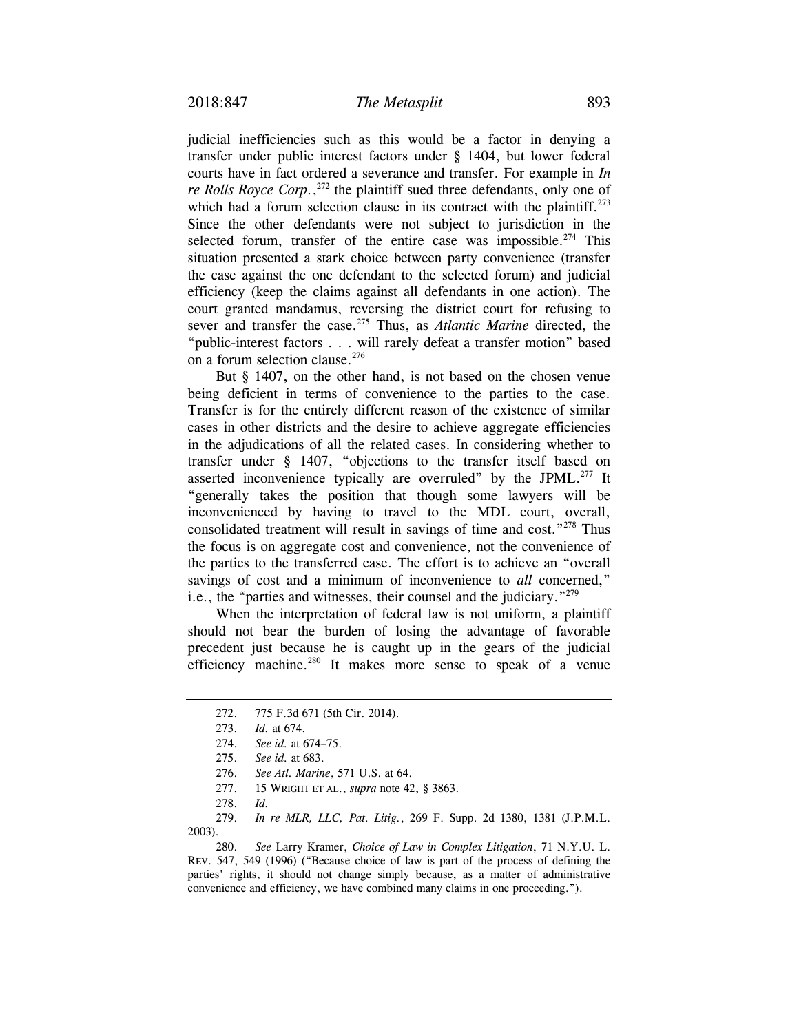judicial inefficiencies such as this would be a factor in denying a transfer under public interest factors under § 1404, but lower federal courts have in fact ordered a severance and transfer. For example in *In re Rolls Royce Corp.*, 272 the plaintiff sued three defendants, only one of which had a forum selection clause in its contract with the plaintiff.<sup>273</sup> Since the other defendants were not subject to jurisdiction in the selected forum, transfer of the entire case was impossible.<sup>274</sup> This situation presented a stark choice between party convenience (transfer the case against the one defendant to the selected forum) and judicial efficiency (keep the claims against all defendants in one action). The court granted mandamus, reversing the district court for refusing to sever and transfer the case.<sup>275</sup> Thus, as *Atlantic Marine* directed, the "public-interest factors . . . will rarely defeat a transfer motion" based on a forum selection clause.<sup>276</sup>

But § 1407, on the other hand, is not based on the chosen venue being deficient in terms of convenience to the parties to the case. Transfer is for the entirely different reason of the existence of similar cases in other districts and the desire to achieve aggregate efficiencies in the adjudications of all the related cases. In considering whether to transfer under § 1407, "objections to the transfer itself based on asserted inconvenience typically are overruled" by the JPML.277 It "generally takes the position that though some lawyers will be inconvenienced by having to travel to the MDL court, overall, consolidated treatment will result in savings of time and cost."<sup>278</sup> Thus the focus is on aggregate cost and convenience, not the convenience of the parties to the transferred case. The effort is to achieve an "overall savings of cost and a minimum of inconvenience to *all* concerned," i.e., the "parties and witnesses, their counsel and the judiciary."279

When the interpretation of federal law is not uniform, a plaintiff should not bear the burden of losing the advantage of favorable precedent just because he is caught up in the gears of the judicial efficiency machine.<sup>280</sup> It makes more sense to speak of a venue

 279. *In re MLR, LLC, Pat. Litig.*, 269 F. Supp. 2d 1380, 1381 (J.P.M.L. 2003).

 280. *See* Larry Kramer, *Choice of Law in Complex Litigation*, 71 N.Y.U. L. REV. 547, 549 (1996) ("Because choice of law is part of the process of defining the parties' rights, it should not change simply because, as a matter of administrative convenience and efficiency, we have combined many claims in one proceeding.").

 <sup>272. 775</sup> F.3d 671 (5th Cir. 2014).

<sup>273.</sup> *Id.* at 674.

 <sup>274.</sup> *See id.* at 674–75.

 <sup>275.</sup> *See id.* at 683.

 <sup>276.</sup> *See Atl. Marine*, 571 U.S. at 64.

 <sup>277. 15</sup> WRIGHT ET AL., *supra* note 42, § 3863.

 <sup>278.</sup> *Id.*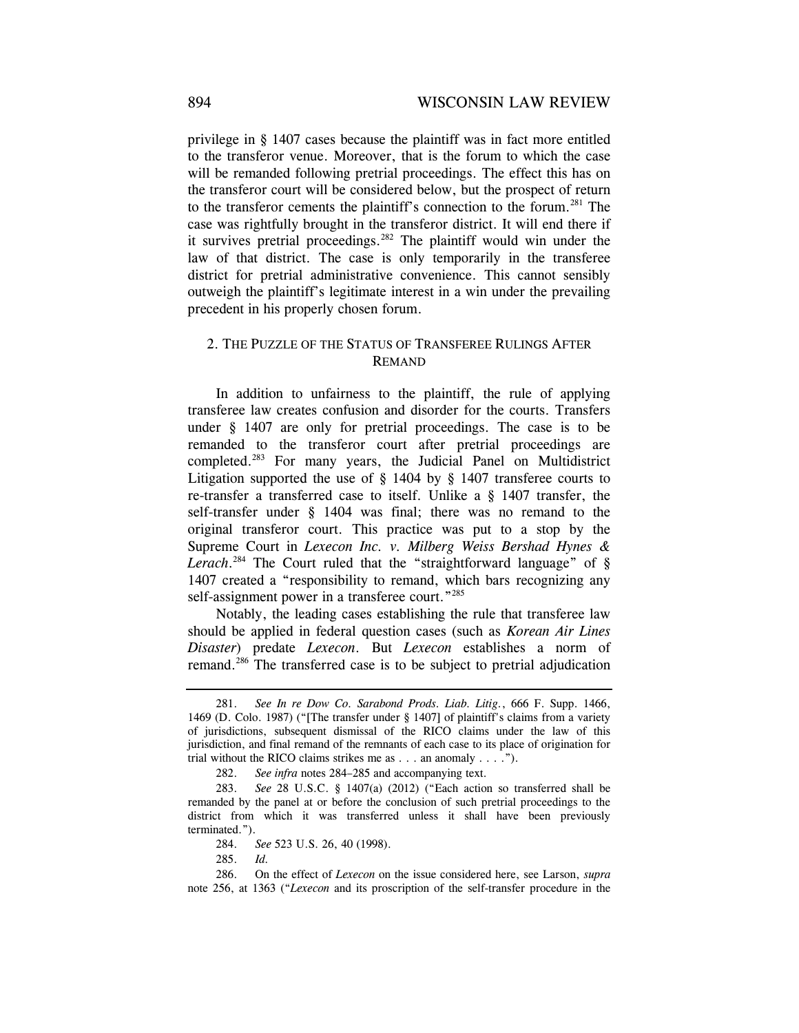privilege in § 1407 cases because the plaintiff was in fact more entitled to the transferor venue. Moreover, that is the forum to which the case will be remanded following pretrial proceedings. The effect this has on the transferor court will be considered below, but the prospect of return to the transferor cements the plaintiff's connection to the forum.<sup>281</sup> The case was rightfully brought in the transferor district. It will end there if it survives pretrial proceedings.<sup>282</sup> The plaintiff would win under the law of that district. The case is only temporarily in the transferee district for pretrial administrative convenience. This cannot sensibly outweigh the plaintiff's legitimate interest in a win under the prevailing precedent in his properly chosen forum.

## 2. THE PUZZLE OF THE STATUS OF TRANSFEREE RULINGS AFTER REMAND

In addition to unfairness to the plaintiff, the rule of applying transferee law creates confusion and disorder for the courts. Transfers under § 1407 are only for pretrial proceedings. The case is to be remanded to the transferor court after pretrial proceedings are completed.283 For many years, the Judicial Panel on Multidistrict Litigation supported the use of § 1404 by § 1407 transferee courts to re-transfer a transferred case to itself. Unlike a § 1407 transfer, the self-transfer under § 1404 was final; there was no remand to the original transferor court. This practice was put to a stop by the Supreme Court in *Lexecon Inc. v. Milberg Weiss Bershad Hynes & Lerach*. 284 The Court ruled that the "straightforward language" of § 1407 created a "responsibility to remand, which bars recognizing any self-assignment power in a transferee court."<sup>285</sup>

Notably, the leading cases establishing the rule that transferee law should be applied in federal question cases (such as *Korean Air Lines Disaster*) predate *Lexecon*. But *Lexecon* establishes a norm of remand.286 The transferred case is to be subject to pretrial adjudication

 <sup>281.</sup> *See In re Dow Co. Sarabond Prods. Liab. Litig.*, 666 F. Supp. 1466, 1469 (D. Colo. 1987) ("[The transfer under § 1407] of plaintiff's claims from a variety of jurisdictions, subsequent dismissal of the RICO claims under the law of this jurisdiction, and final remand of the remnants of each case to its place of origination for trial without the RICO claims strikes me as . . . an anomaly . . . .").

 <sup>282.</sup> *See infra* notes 284–285 and accompanying text.

 <sup>283.</sup> *See* 28 U.S.C. § 1407(a) (2012) ("Each action so transferred shall be remanded by the panel at or before the conclusion of such pretrial proceedings to the district from which it was transferred unless it shall have been previously terminated.").

 <sup>284.</sup> *See* 523 U.S. 26, 40 (1998).

 <sup>285.</sup> *Id.*

 <sup>286.</sup> On the effect of *Lexecon* on the issue considered here, see Larson, *supra* note 256, at 1363 ("*Lexecon* and its proscription of the self-transfer procedure in the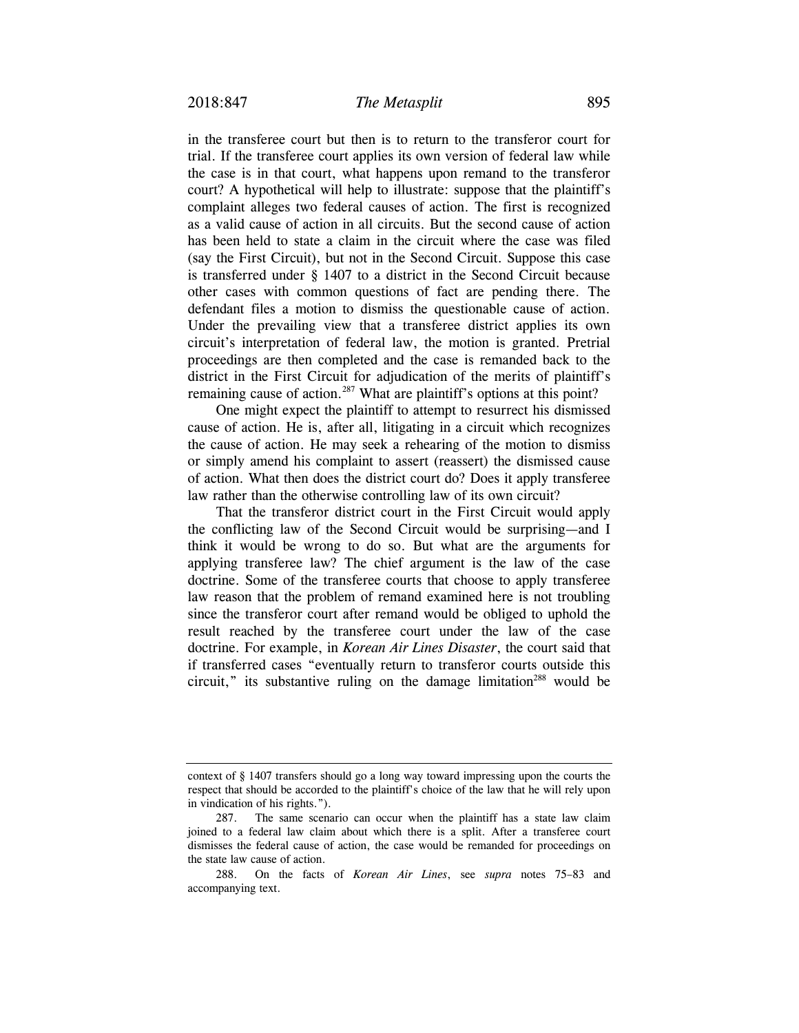in the transferee court but then is to return to the transferor court for trial. If the transferee court applies its own version of federal law while the case is in that court, what happens upon remand to the transferor court? A hypothetical will help to illustrate: suppose that the plaintiff's complaint alleges two federal causes of action. The first is recognized as a valid cause of action in all circuits. But the second cause of action has been held to state a claim in the circuit where the case was filed (say the First Circuit), but not in the Second Circuit. Suppose this case is transferred under § 1407 to a district in the Second Circuit because other cases with common questions of fact are pending there. The defendant files a motion to dismiss the questionable cause of action. Under the prevailing view that a transferee district applies its own circuit's interpretation of federal law, the motion is granted. Pretrial proceedings are then completed and the case is remanded back to the district in the First Circuit for adjudication of the merits of plaintiff's remaining cause of action.<sup>287</sup> What are plaintiff's options at this point?

One might expect the plaintiff to attempt to resurrect his dismissed cause of action. He is, after all, litigating in a circuit which recognizes the cause of action. He may seek a rehearing of the motion to dismiss or simply amend his complaint to assert (reassert) the dismissed cause of action. What then does the district court do? Does it apply transferee law rather than the otherwise controlling law of its own circuit?

That the transferor district court in the First Circuit would apply the conflicting law of the Second Circuit would be surprising—and I think it would be wrong to do so. But what are the arguments for applying transferee law? The chief argument is the law of the case doctrine. Some of the transferee courts that choose to apply transferee law reason that the problem of remand examined here is not troubling since the transferor court after remand would be obliged to uphold the result reached by the transferee court under the law of the case doctrine. For example, in *Korean Air Lines Disaster*, the court said that if transferred cases "eventually return to transferor courts outside this circuit," its substantive ruling on the damage limitation<sup>288</sup> would be

context of § 1407 transfers should go a long way toward impressing upon the courts the respect that should be accorded to the plaintiff's choice of the law that he will rely upon in vindication of his rights.").

 <sup>287.</sup> The same scenario can occur when the plaintiff has a state law claim joined to a federal law claim about which there is a split. After a transferee court dismisses the federal cause of action, the case would be remanded for proceedings on the state law cause of action.

 <sup>288.</sup> On the facts of *Korean Air Lines*, see *supra* notes 75–83 and accompanying text.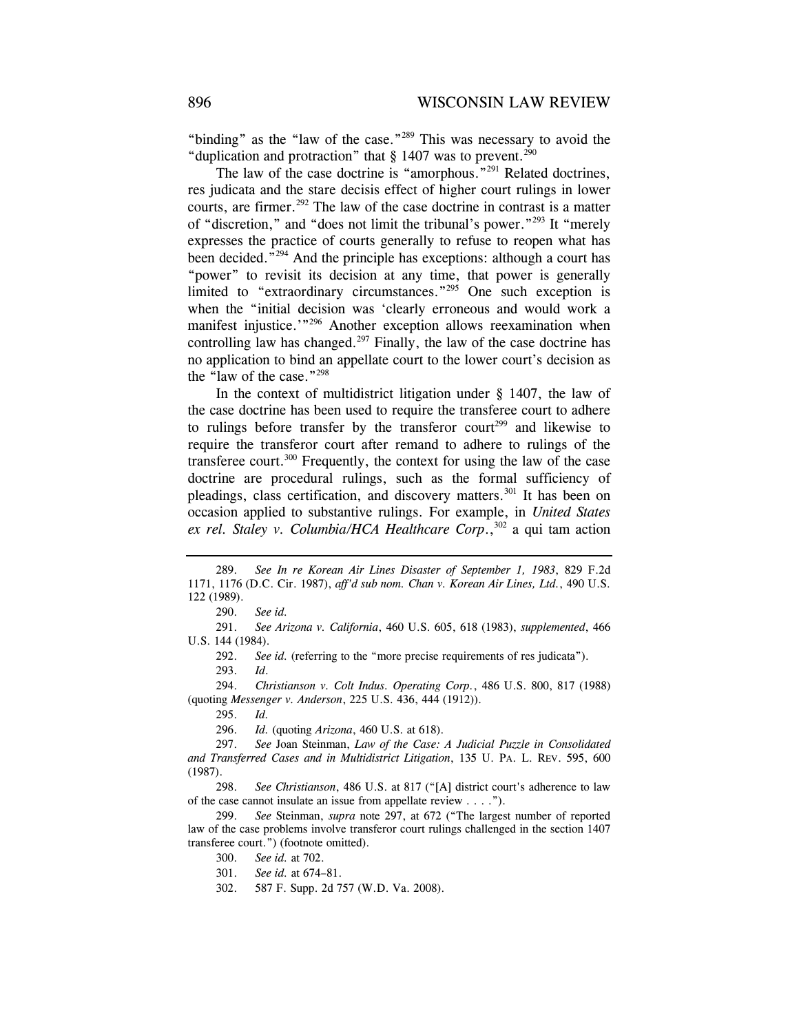"binding" as the "law of the case."<sup>289</sup> This was necessary to avoid the "duplication and protraction" that  $\S$  1407 was to prevent.<sup>290</sup>

The law of the case doctrine is "amorphous."<sup>291</sup> Related doctrines, res judicata and the stare decisis effect of higher court rulings in lower courts, are firmer.<sup>292</sup> The law of the case doctrine in contrast is a matter of "discretion," and "does not limit the tribunal's power."293 It "merely expresses the practice of courts generally to refuse to reopen what has been decided.<sup>"294</sup> And the principle has exceptions: although a court has "power" to revisit its decision at any time, that power is generally limited to "extraordinary circumstances."<sup>295</sup> One such exception is when the "initial decision was 'clearly erroneous and would work a manifest injustice.<sup>'"296</sup> Another exception allows reexamination when controlling law has changed.<sup>297</sup> Finally, the law of the case doctrine has no application to bind an appellate court to the lower court's decision as the "law of the case."298

In the context of multidistrict litigation under  $\S$  1407, the law of the case doctrine has been used to require the transferee court to adhere to rulings before transfer by the transferor court<sup>299</sup> and likewise to require the transferor court after remand to adhere to rulings of the transferee court.<sup>300</sup> Frequently, the context for using the law of the case doctrine are procedural rulings, such as the formal sufficiency of pleadings, class certification, and discovery matters.<sup>301</sup> It has been on occasion applied to substantive rulings. For example, in *United States*  ex rel. Staley *v.* Columbia/*HCA Healthcare Corp.*,<sup>302</sup> a qui tam action

 291. *See Arizona v. California*, 460 U.S. 605, 618 (1983), *supplemented*, 466 U.S. 144 (1984).

292. *See id.* (referring to the "more precise requirements of res judicata").

293. *Id*.

 294. *Christianson v. Colt Indus. Operating Corp.*, 486 U.S. 800, 817 (1988) (quoting *Messenger v. Anderson*, 225 U.S. 436, 444 (1912)).

295. *Id.*

296. *Id.* (quoting *Arizona*, 460 U.S. at 618).

 <sup>289.</sup> *See In re Korean Air Lines Disaster of September 1, 1983*, 829 F.2d 1171, 1176 (D.C. Cir. 1987), *aff'd sub nom. Chan v. Korean Air Lines, Ltd.*, 490 U.S. 122 (1989).

 <sup>290.</sup> *See id.*

 <sup>297.</sup> *See* Joan Steinman, *Law of the Case: A Judicial Puzzle in Consolidated and Transferred Cases and in Multidistrict Litigation*, 135 U. PA. L. REV. 595, 600 (1987).

 <sup>298.</sup> *See Christianson*, 486 U.S. at 817 ("[A] district court's adherence to law of the case cannot insulate an issue from appellate review . . . .").

 <sup>299.</sup> *See* Steinman, *supra* note 297, at 672 ("The largest number of reported law of the case problems involve transferor court rulings challenged in the section 1407 transferee court.") (footnote omitted).

 <sup>300.</sup> *See id.* at 702.

 <sup>301.</sup> *See id.* at 674–81.

 <sup>302. 587</sup> F. Supp. 2d 757 (W.D. Va. 2008).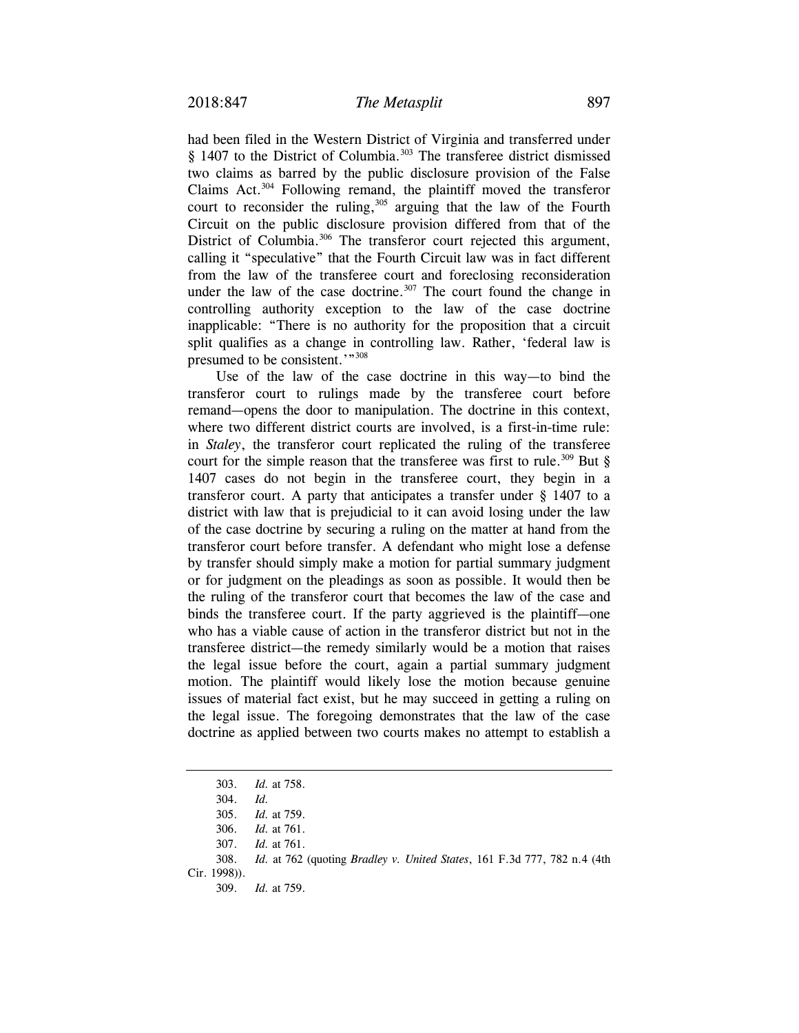had been filed in the Western District of Virginia and transferred under § 1407 to the District of Columbia.<sup>303</sup> The transferee district dismissed two claims as barred by the public disclosure provision of the False Claims Act.304 Following remand, the plaintiff moved the transferor court to reconsider the ruling,<sup>305</sup> arguing that the law of the Fourth Circuit on the public disclosure provision differed from that of the District of Columbia.<sup>306</sup> The transferor court rejected this argument, calling it "speculative" that the Fourth Circuit law was in fact different from the law of the transferee court and foreclosing reconsideration under the law of the case doctrine.<sup>307</sup> The court found the change in controlling authority exception to the law of the case doctrine inapplicable: "There is no authority for the proposition that a circuit split qualifies as a change in controlling law. Rather, 'federal law is presumed to be consistent.'"<sup>308</sup>

Use of the law of the case doctrine in this way—to bind the transferor court to rulings made by the transferee court before remand—opens the door to manipulation. The doctrine in this context, where two different district courts are involved, is a first-in-time rule: in *Staley*, the transferor court replicated the ruling of the transferee court for the simple reason that the transferee was first to rule.<sup>309</sup> But  $\S$ 1407 cases do not begin in the transferee court, they begin in a transferor court. A party that anticipates a transfer under § 1407 to a district with law that is prejudicial to it can avoid losing under the law of the case doctrine by securing a ruling on the matter at hand from the transferor court before transfer. A defendant who might lose a defense by transfer should simply make a motion for partial summary judgment or for judgment on the pleadings as soon as possible. It would then be the ruling of the transferor court that becomes the law of the case and binds the transferee court. If the party aggrieved is the plaintiff—one who has a viable cause of action in the transferor district but not in the transferee district—the remedy similarly would be a motion that raises the legal issue before the court, again a partial summary judgment motion. The plaintiff would likely lose the motion because genuine issues of material fact exist, but he may succeed in getting a ruling on the legal issue. The foregoing demonstrates that the law of the case doctrine as applied between two courts makes no attempt to establish a

 <sup>303.</sup> *Id.* at 758.

 <sup>304.</sup> *Id.*

 <sup>305.</sup> *Id.* at 759.

 <sup>306.</sup> *Id.* at 761.

 <sup>307.</sup> *Id.* at 761.

 <sup>308.</sup> *Id.* at 762 (quoting *Bradley v. United States*, 161 F.3d 777, 782 n.4 (4th

Cir. 1998)).

<sup>309.</sup> *Id.* at 759.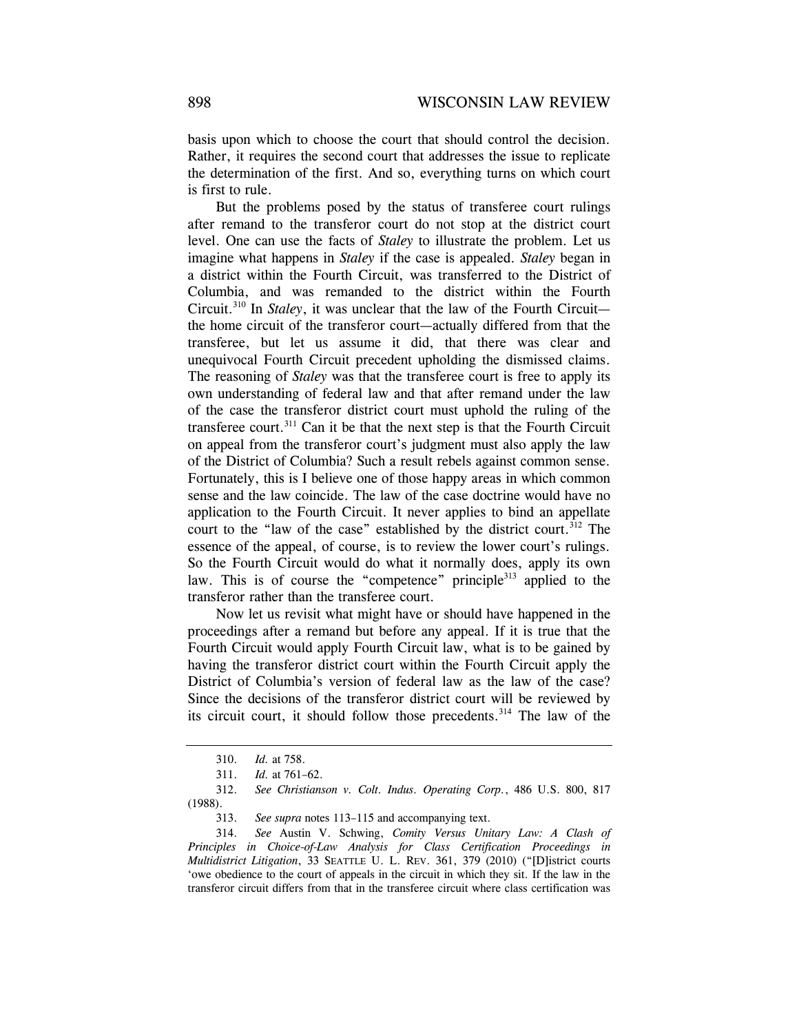basis upon which to choose the court that should control the decision. Rather, it requires the second court that addresses the issue to replicate the determination of the first. And so, everything turns on which court is first to rule.

But the problems posed by the status of transferee court rulings after remand to the transferor court do not stop at the district court level. One can use the facts of *Staley* to illustrate the problem. Let us imagine what happens in *Staley* if the case is appealed. *Staley* began in a district within the Fourth Circuit, was transferred to the District of Columbia, and was remanded to the district within the Fourth Circuit.310 In *Staley*, it was unclear that the law of the Fourth Circuit the home circuit of the transferor court—actually differed from that the transferee, but let us assume it did, that there was clear and unequivocal Fourth Circuit precedent upholding the dismissed claims. The reasoning of *Staley* was that the transferee court is free to apply its own understanding of federal law and that after remand under the law of the case the transferor district court must uphold the ruling of the transferee court.<sup>311</sup> Can it be that the next step is that the Fourth Circuit on appeal from the transferor court's judgment must also apply the law of the District of Columbia? Such a result rebels against common sense. Fortunately, this is I believe one of those happy areas in which common sense and the law coincide. The law of the case doctrine would have no application to the Fourth Circuit. It never applies to bind an appellate court to the "law of the case" established by the district court.<sup>312</sup> The essence of the appeal, of course, is to review the lower court's rulings. So the Fourth Circuit would do what it normally does, apply its own law. This is of course the "competence" principle<sup>313</sup> applied to the transferor rather than the transferee court.

Now let us revisit what might have or should have happened in the proceedings after a remand but before any appeal. If it is true that the Fourth Circuit would apply Fourth Circuit law, what is to be gained by having the transferor district court within the Fourth Circuit apply the District of Columbia's version of federal law as the law of the case? Since the decisions of the transferor district court will be reviewed by its circuit court, it should follow those precedents.<sup>314</sup> The law of the

<sup>310.</sup> *Id.* at 758.

<sup>311.</sup> *Id.* at 761–62.

 <sup>312.</sup> *See Christianson v. Colt. Indus. Operating Corp.*, 486 U.S. 800, 817 (1988).

 <sup>313.</sup> *See supra* notes 113–115 and accompanying text.

 <sup>314.</sup> *See* Austin V. Schwing, *Comity Versus Unitary Law: A Clash of Principles in Choice-of-Law Analysis for Class Certification Proceedings in Multidistrict Litigation*, 33 SEATTLE U. L. REV. 361, 379 (2010) ("[D]istrict courts 'owe obedience to the court of appeals in the circuit in which they sit. If the law in the transferor circuit differs from that in the transferee circuit where class certification was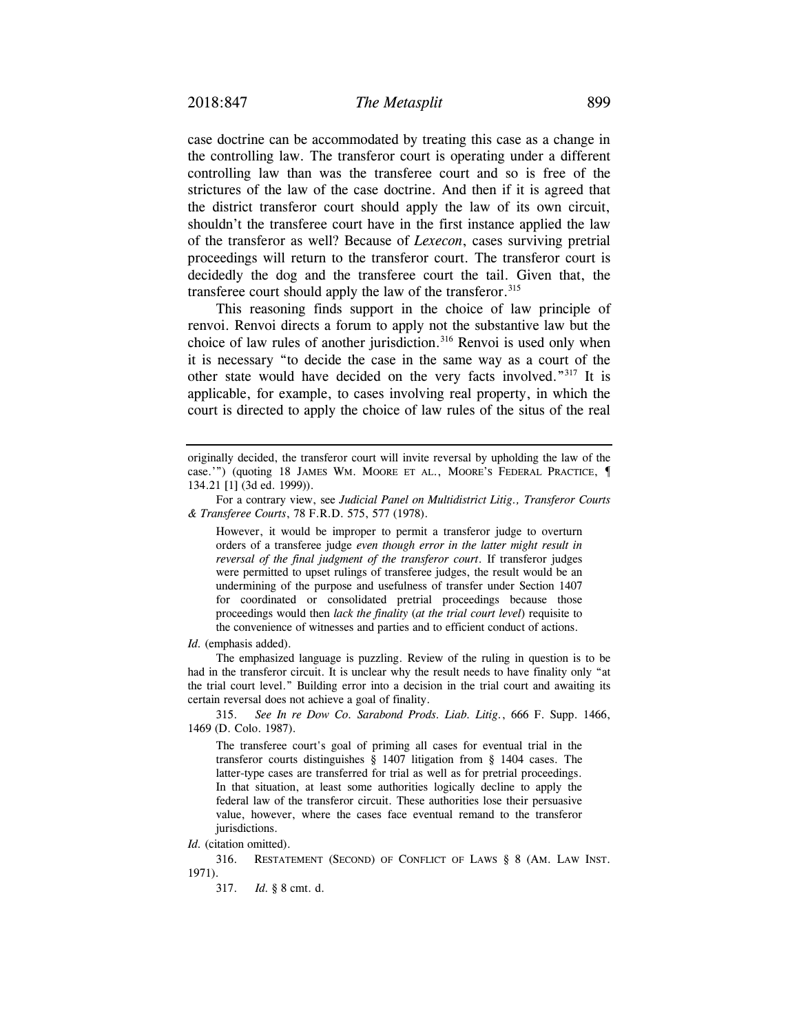case doctrine can be accommodated by treating this case as a change in the controlling law. The transferor court is operating under a different controlling law than was the transferee court and so is free of the strictures of the law of the case doctrine. And then if it is agreed that the district transferor court should apply the law of its own circuit, shouldn't the transferee court have in the first instance applied the law of the transferor as well? Because of *Lexecon*, cases surviving pretrial proceedings will return to the transferor court. The transferor court is decidedly the dog and the transferee court the tail. Given that, the transferee court should apply the law of the transferor.  $315$ 

This reasoning finds support in the choice of law principle of renvoi. Renvoi directs a forum to apply not the substantive law but the choice of law rules of another jurisdiction.<sup>316</sup> Renvoi is used only when it is necessary "to decide the case in the same way as a court of the other state would have decided on the very facts involved."317 It is applicable, for example, to cases involving real property, in which the court is directed to apply the choice of law rules of the situs of the real

However, it would be improper to permit a transferor judge to overturn orders of a transferee judge *even though error in the latter might result in reversal of the final judgment of the transferor court*. If transferor judges were permitted to upset rulings of transferee judges, the result would be an undermining of the purpose and usefulness of transfer under Section 1407 for coordinated or consolidated pretrial proceedings because those proceedings would then *lack the finality* (*at the trial court level*) requisite to the convenience of witnesses and parties and to efficient conduct of actions.

*Id.* (emphasis added).

 The emphasized language is puzzling. Review of the ruling in question is to be had in the transferor circuit. It is unclear why the result needs to have finality only "at the trial court level." Building error into a decision in the trial court and awaiting its certain reversal does not achieve a goal of finality.

 315. *See In re Dow Co. Sarabond Prods. Liab. Litig.*, 666 F. Supp. 1466, 1469 (D. Colo. 1987).

The transferee court's goal of priming all cases for eventual trial in the transferor courts distinguishes § 1407 litigation from § 1404 cases. The latter-type cases are transferred for trial as well as for pretrial proceedings. In that situation, at least some authorities logically decline to apply the federal law of the transferor circuit. These authorities lose their persuasive value, however, where the cases face eventual remand to the transferor jurisdictions.

*Id.* (citation omitted).

316. RESTATEMENT (SECOND) OF CONFLICT OF LAWS § 8 (AM. LAW INST. 1971).

317. *Id.* § 8 cmt. d.

originally decided, the transferor court will invite reversal by upholding the law of the case.'") (quoting 18 JAMES WM. MOORE ET AL., MOORE'S FEDERAL PRACTICE, ¶ 134.21 [1] (3d ed. 1999)).

For a contrary view, see *Judicial Panel on Multidistrict Litig., Transferor Courts & Transferee Courts*, 78 F.R.D. 575, 577 (1978).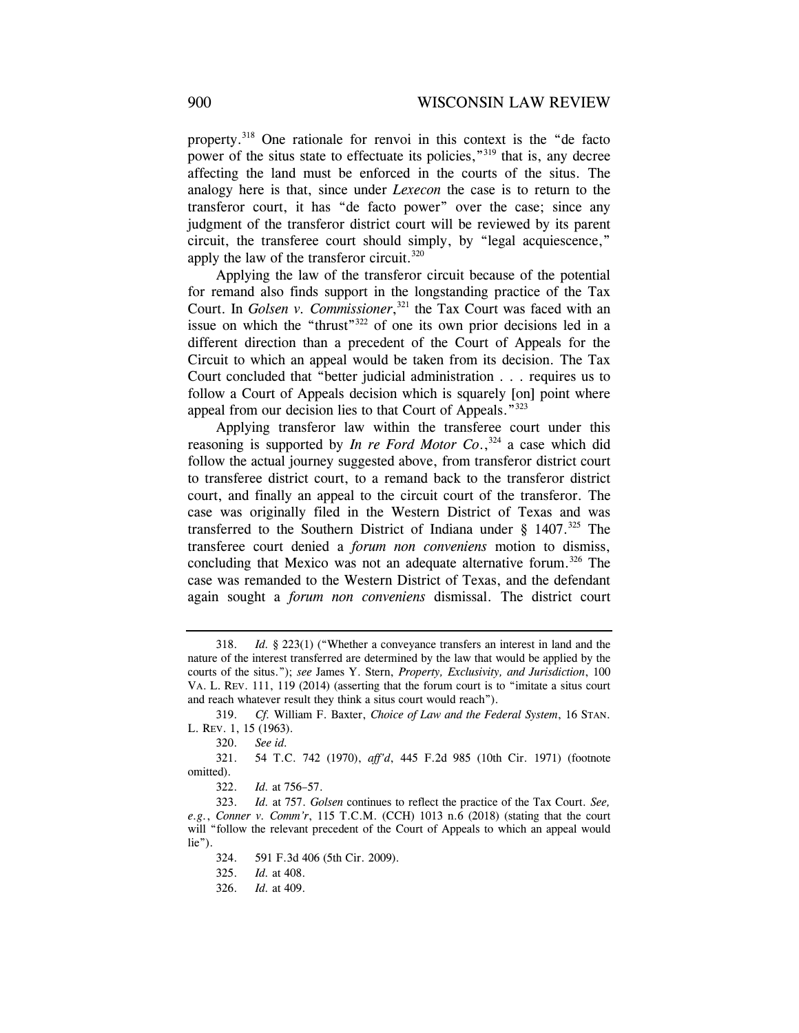property.318 One rationale for renvoi in this context is the "de facto power of the situs state to effectuate its policies,"<sup>319</sup> that is, any decree affecting the land must be enforced in the courts of the situs. The analogy here is that, since under *Lexecon* the case is to return to the transferor court, it has "de facto power" over the case; since any judgment of the transferor district court will be reviewed by its parent circuit, the transferee court should simply, by "legal acquiescence," apply the law of the transferor circuit.<sup>320</sup>

Applying the law of the transferor circuit because of the potential for remand also finds support in the longstanding practice of the Tax Court. In *Golsen v. Commissioner*, 321 the Tax Court was faced with an issue on which the "thrust"<sup>322</sup> of one its own prior decisions led in a different direction than a precedent of the Court of Appeals for the Circuit to which an appeal would be taken from its decision. The Tax Court concluded that "better judicial administration . . . requires us to follow a Court of Appeals decision which is squarely [on] point where appeal from our decision lies to that Court of Appeals."323

Applying transferor law within the transferee court under this reasoning is supported by *In re Ford Motor Co.*,<sup>324</sup> a case which did follow the actual journey suggested above, from transferor district court to transferee district court, to a remand back to the transferor district court, and finally an appeal to the circuit court of the transferor. The case was originally filed in the Western District of Texas and was transferred to the Southern District of Indiana under  $\S$  1407.<sup>325</sup> The transferee court denied a *forum non conveniens* motion to dismiss, concluding that Mexico was not an adequate alternative forum.<sup>326</sup> The case was remanded to the Western District of Texas, and the defendant again sought a *forum non conveniens* dismissal. The district court

 <sup>318.</sup> *Id.* § 223(1) ("Whether a conveyance transfers an interest in land and the nature of the interest transferred are determined by the law that would be applied by the courts of the situs."); *see* James Y. Stern, *Property, Exclusivity, and Jurisdiction*, 100 VA. L. REV. 111, 119 (2014) (asserting that the forum court is to "imitate a situs court and reach whatever result they think a situs court would reach").

 <sup>319.</sup> *Cf.* William F. Baxter, *Choice of Law and the Federal System*, 16 STAN. L. REV. 1, 15 (1963).

 <sup>320.</sup> *See id.*

 <sup>321. 54</sup> T.C. 742 (1970), *aff'd*, 445 F.2d 985 (10th Cir. 1971) (footnote omitted).

 <sup>322.</sup> *Id.* at 756–57.

 <sup>323.</sup> *Id.* at 757. *Golsen* continues to reflect the practice of the Tax Court. *See, e.g.*, *Conner v. Comm'r*, 115 T.C.M. (CCH) 1013 n.6 (2018) (stating that the court will "follow the relevant precedent of the Court of Appeals to which an appeal would lie").

 <sup>324. 591</sup> F.3d 406 (5th Cir. 2009).

 <sup>325.</sup> *Id.* at 408.

 <sup>326.</sup> *Id.* at 409.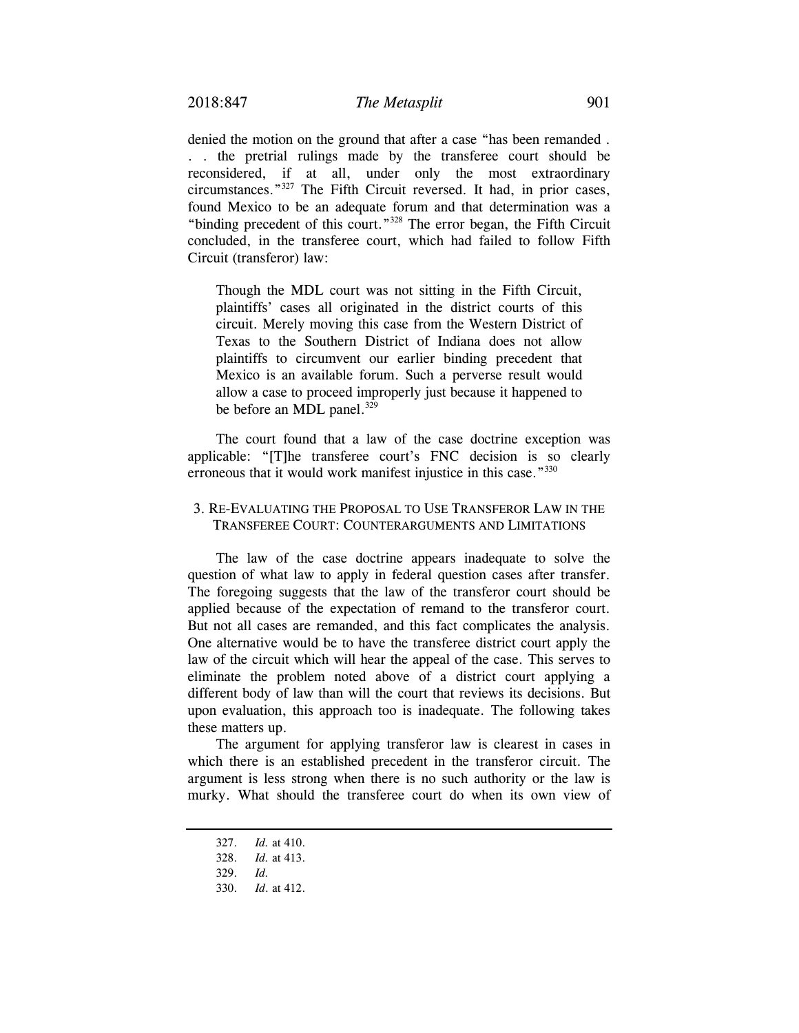denied the motion on the ground that after a case "has been remanded . . . the pretrial rulings made by the transferee court should be reconsidered, if at all, under only the most extraordinary circumstances."327 The Fifth Circuit reversed. It had, in prior cases, found Mexico to be an adequate forum and that determination was a "binding precedent of this court."328 The error began, the Fifth Circuit concluded, in the transferee court, which had failed to follow Fifth Circuit (transferor) law:

Though the MDL court was not sitting in the Fifth Circuit, plaintiffs' cases all originated in the district courts of this circuit. Merely moving this case from the Western District of Texas to the Southern District of Indiana does not allow plaintiffs to circumvent our earlier binding precedent that Mexico is an available forum. Such a perverse result would allow a case to proceed improperly just because it happened to be before an MDL panel. $329$ 

The court found that a law of the case doctrine exception was applicable: "[T]he transferee court's FNC decision is so clearly erroneous that it would work manifest injustice in this case."<sup>330</sup>

## 3. RE-EVALUATING THE PROPOSAL TO USE TRANSFEROR LAW IN THE TRANSFEREE COURT: COUNTERARGUMENTS AND LIMITATIONS

The law of the case doctrine appears inadequate to solve the question of what law to apply in federal question cases after transfer. The foregoing suggests that the law of the transferor court should be applied because of the expectation of remand to the transferor court. But not all cases are remanded, and this fact complicates the analysis. One alternative would be to have the transferee district court apply the law of the circuit which will hear the appeal of the case. This serves to eliminate the problem noted above of a district court applying a different body of law than will the court that reviews its decisions. But upon evaluation, this approach too is inadequate. The following takes these matters up.

The argument for applying transferor law is clearest in cases in which there is an established precedent in the transferor circuit. The argument is less strong when there is no such authority or the law is murky. What should the transferee court do when its own view of

 <sup>327.</sup> *Id.* at 410.

 <sup>328.</sup> *Id.* at 413.

 <sup>329.</sup> *Id.*

 <sup>330.</sup> *Id*. at 412.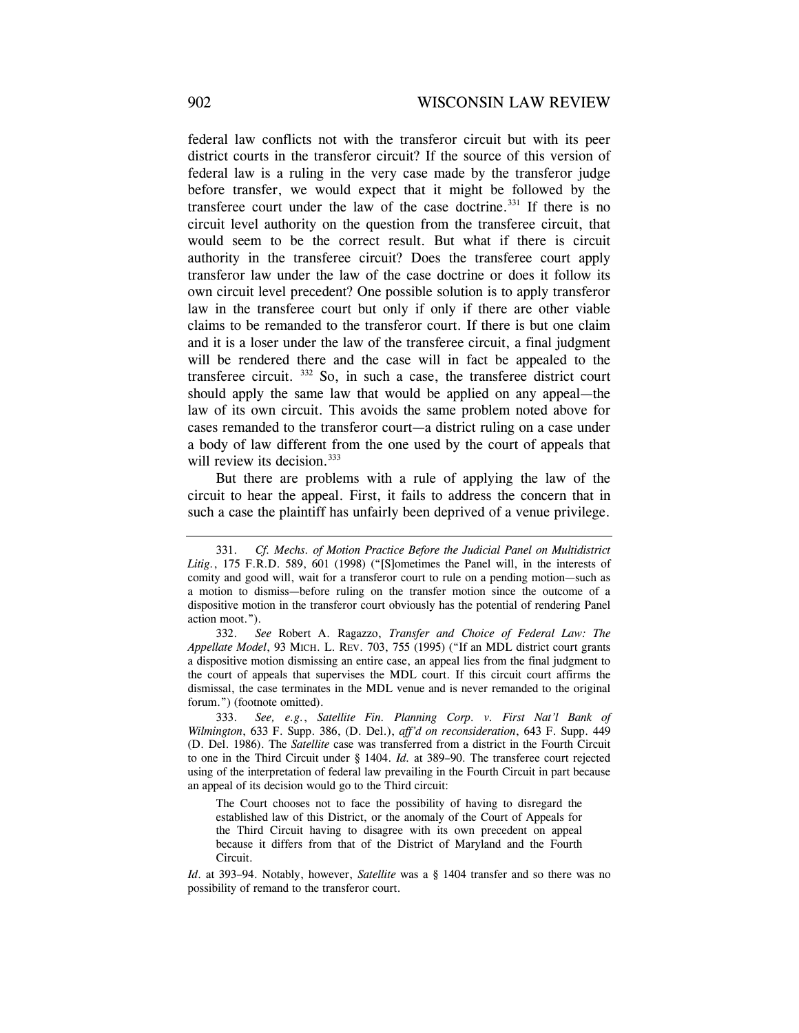federal law conflicts not with the transferor circuit but with its peer district courts in the transferor circuit? If the source of this version of federal law is a ruling in the very case made by the transferor judge before transfer, we would expect that it might be followed by the transferee court under the law of the case doctrine.<sup>331</sup> If there is no circuit level authority on the question from the transferee circuit, that would seem to be the correct result. But what if there is circuit authority in the transferee circuit? Does the transferee court apply transferor law under the law of the case doctrine or does it follow its own circuit level precedent? One possible solution is to apply transferor law in the transferee court but only if only if there are other viable claims to be remanded to the transferor court. If there is but one claim and it is a loser under the law of the transferee circuit, a final judgment will be rendered there and the case will in fact be appealed to the transferee circuit. 332 So, in such a case, the transferee district court should apply the same law that would be applied on any appeal—the law of its own circuit. This avoids the same problem noted above for cases remanded to the transferor court—a district ruling on a case under a body of law different from the one used by the court of appeals that will review its decision.<sup>333</sup>

But there are problems with a rule of applying the law of the circuit to hear the appeal. First, it fails to address the concern that in such a case the plaintiff has unfairly been deprived of a venue privilege.

 <sup>331.</sup> *Cf. Mechs. of Motion Practice Before the Judicial Panel on Multidistrict*  Litig., 175 F.R.D. 589, 601 (1998) ("[S]ometimes the Panel will, in the interests of comity and good will, wait for a transferor court to rule on a pending motion—such as a motion to dismiss—before ruling on the transfer motion since the outcome of a dispositive motion in the transferor court obviously has the potential of rendering Panel action moot.").

 <sup>332.</sup> *See* Robert A. Ragazzo, *Transfer and Choice of Federal Law: The Appellate Model*, 93 MICH. L. REV. 703, 755 (1995) ("If an MDL district court grants a dispositive motion dismissing an entire case, an appeal lies from the final judgment to the court of appeals that supervises the MDL court. If this circuit court affirms the dismissal, the case terminates in the MDL venue and is never remanded to the original forum.") (footnote omitted).

 <sup>333.</sup> *See, e.g.*, *Satellite Fin. Planning Corp. v. First Nat'l Bank of Wilmington*, 633 F. Supp. 386, (D. Del.), *aff'd on reconsideration*, 643 F. Supp. 449 (D. Del. 1986). The *Satellite* case was transferred from a district in the Fourth Circuit to one in the Third Circuit under § 1404. *Id.* at 389–90. The transferee court rejected using of the interpretation of federal law prevailing in the Fourth Circuit in part because an appeal of its decision would go to the Third circuit:

The Court chooses not to face the possibility of having to disregard the established law of this District, or the anomaly of the Court of Appeals for the Third Circuit having to disagree with its own precedent on appeal because it differs from that of the District of Maryland and the Fourth Circuit.

*Id*. at 393–94. Notably, however, *Satellite* was a § 1404 transfer and so there was no possibility of remand to the transferor court.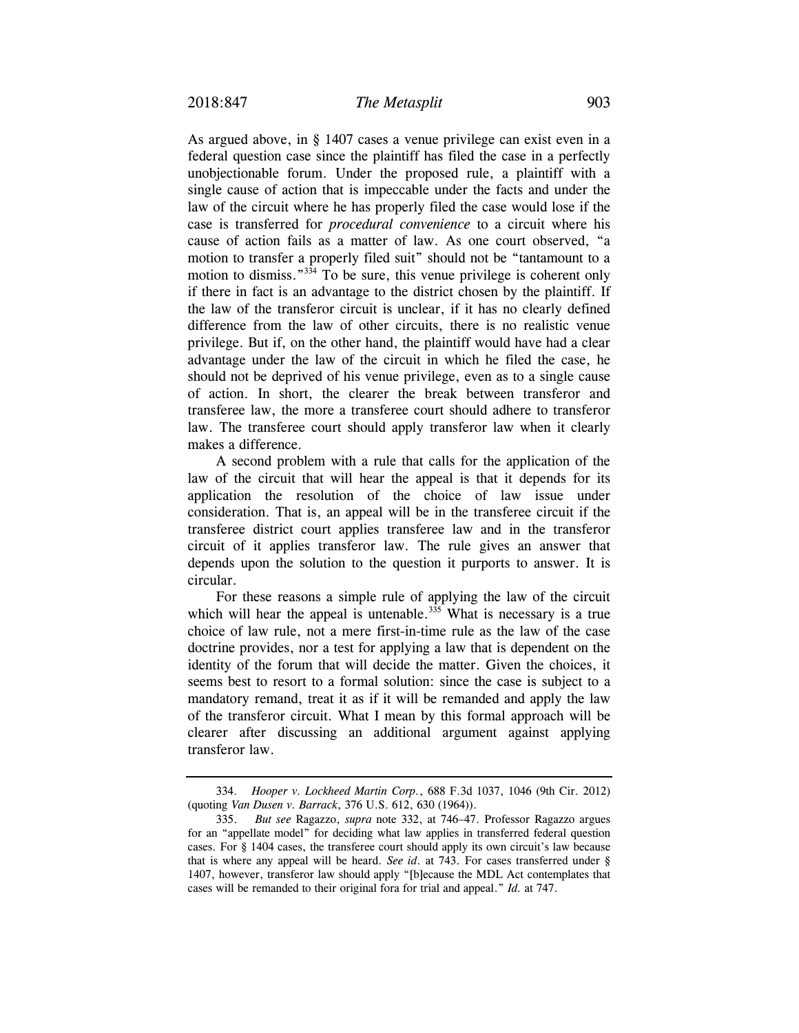As argued above, in § 1407 cases a venue privilege can exist even in a federal question case since the plaintiff has filed the case in a perfectly unobjectionable forum. Under the proposed rule, a plaintiff with a single cause of action that is impeccable under the facts and under the law of the circuit where he has properly filed the case would lose if the case is transferred for *procedural convenience* to a circuit where his cause of action fails as a matter of law. As one court observed, "a motion to transfer a properly filed suit" should not be "tantamount to a motion to dismiss.<sup>"334</sup> To be sure, this venue privilege is coherent only if there in fact is an advantage to the district chosen by the plaintiff. If the law of the transferor circuit is unclear, if it has no clearly defined difference from the law of other circuits, there is no realistic venue privilege. But if, on the other hand, the plaintiff would have had a clear advantage under the law of the circuit in which he filed the case, he should not be deprived of his venue privilege, even as to a single cause of action. In short, the clearer the break between transferor and transferee law, the more a transferee court should adhere to transferor law. The transferee court should apply transferor law when it clearly makes a difference.

A second problem with a rule that calls for the application of the law of the circuit that will hear the appeal is that it depends for its application the resolution of the choice of law issue under consideration. That is, an appeal will be in the transferee circuit if the transferee district court applies transferee law and in the transferor circuit of it applies transferor law. The rule gives an answer that depends upon the solution to the question it purports to answer. It is circular.

For these reasons a simple rule of applying the law of the circuit which will hear the appeal is untenable.<sup>335</sup> What is necessary is a true choice of law rule, not a mere first-in-time rule as the law of the case doctrine provides, nor a test for applying a law that is dependent on the identity of the forum that will decide the matter. Given the choices, it seems best to resort to a formal solution: since the case is subject to a mandatory remand, treat it as if it will be remanded and apply the law of the transferor circuit. What I mean by this formal approach will be clearer after discussing an additional argument against applying transferor law.

 <sup>334.</sup> *Hooper v. Lockheed Martin Corp.*, 688 F.3d 1037, 1046 (9th Cir. 2012) (quoting *Van Dusen v. Barrack*, 376 U.S. 612, 630 (1964)).

 <sup>335.</sup> *But see* Ragazzo, *supra* note 332, at 746–47. Professor Ragazzo argues for an "appellate model" for deciding what law applies in transferred federal question cases. For § 1404 cases, the transferee court should apply its own circuit's law because that is where any appeal will be heard. *See id*. at 743. For cases transferred under § 1407, however, transferor law should apply "[b]ecause the MDL Act contemplates that cases will be remanded to their original fora for trial and appeal." *Id.* at 747.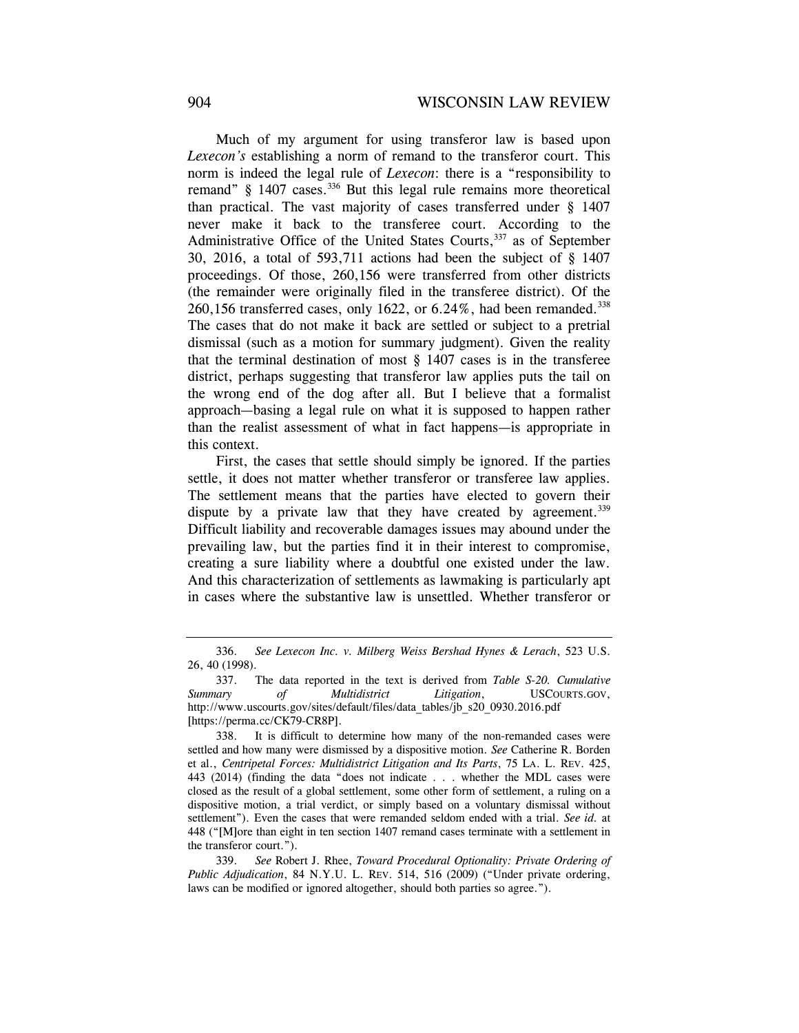Much of my argument for using transferor law is based upon *Lexecon's* establishing a norm of remand to the transferor court. This norm is indeed the legal rule of *Lexecon*: there is a "responsibility to remand" § 1407 cases.<sup>336</sup> But this legal rule remains more theoretical than practical. The vast majority of cases transferred under § 1407 never make it back to the transferee court. According to the Administrative Office of the United States Courts,<sup>337</sup> as of September 30, 2016, a total of 593,711 actions had been the subject of § 1407 proceedings. Of those, 260,156 were transferred from other districts (the remainder were originally filed in the transferee district). Of the 260,156 transferred cases, only 1622, or  $6.24\%$ , had been remanded.<sup>338</sup> The cases that do not make it back are settled or subject to a pretrial dismissal (such as a motion for summary judgment). Given the reality that the terminal destination of most § 1407 cases is in the transferee district, perhaps suggesting that transferor law applies puts the tail on the wrong end of the dog after all. But I believe that a formalist approach—basing a legal rule on what it is supposed to happen rather than the realist assessment of what in fact happens—is appropriate in this context.

First, the cases that settle should simply be ignored. If the parties settle, it does not matter whether transferor or transferee law applies. The settlement means that the parties have elected to govern their dispute by a private law that they have created by agreement.<sup>339</sup> Difficult liability and recoverable damages issues may abound under the prevailing law, but the parties find it in their interest to compromise, creating a sure liability where a doubtful one existed under the law. And this characterization of settlements as lawmaking is particularly apt in cases where the substantive law is unsettled. Whether transferor or

 <sup>336.</sup> *See Lexecon Inc. v. Milberg Weiss Bershad Hynes & Lerach*, 523 U.S. 26, 40 (1998).

 <sup>337.</sup> The data reported in the text is derived from *Table S-20. Cumulative Summary of Multidistrict Litigation*, USCOURTS.GOV, http://www.uscourts.gov/sites/default/files/data\_tables/jb\_s20\_0930.2016.pdf [https://perma.cc/CK79-CR8P].

 <sup>338.</sup> It is difficult to determine how many of the non-remanded cases were settled and how many were dismissed by a dispositive motion. *See* Catherine R. Borden et al., *Centripetal Forces: Multidistrict Litigation and Its Parts*, 75 LA. L. REV. 425, 443 (2014) (finding the data "does not indicate . . . whether the MDL cases were closed as the result of a global settlement, some other form of settlement, a ruling on a dispositive motion, a trial verdict, or simply based on a voluntary dismissal without settlement"). Even the cases that were remanded seldom ended with a trial. *See id.* at 448 ("[M]ore than eight in ten section 1407 remand cases terminate with a settlement in the transferor court.").

 <sup>339.</sup> *See* Robert J. Rhee, *Toward Procedural Optionality: Private Ordering of Public Adjudication*, 84 N.Y.U. L. REV. 514, 516 (2009) ("Under private ordering, laws can be modified or ignored altogether, should both parties so agree.").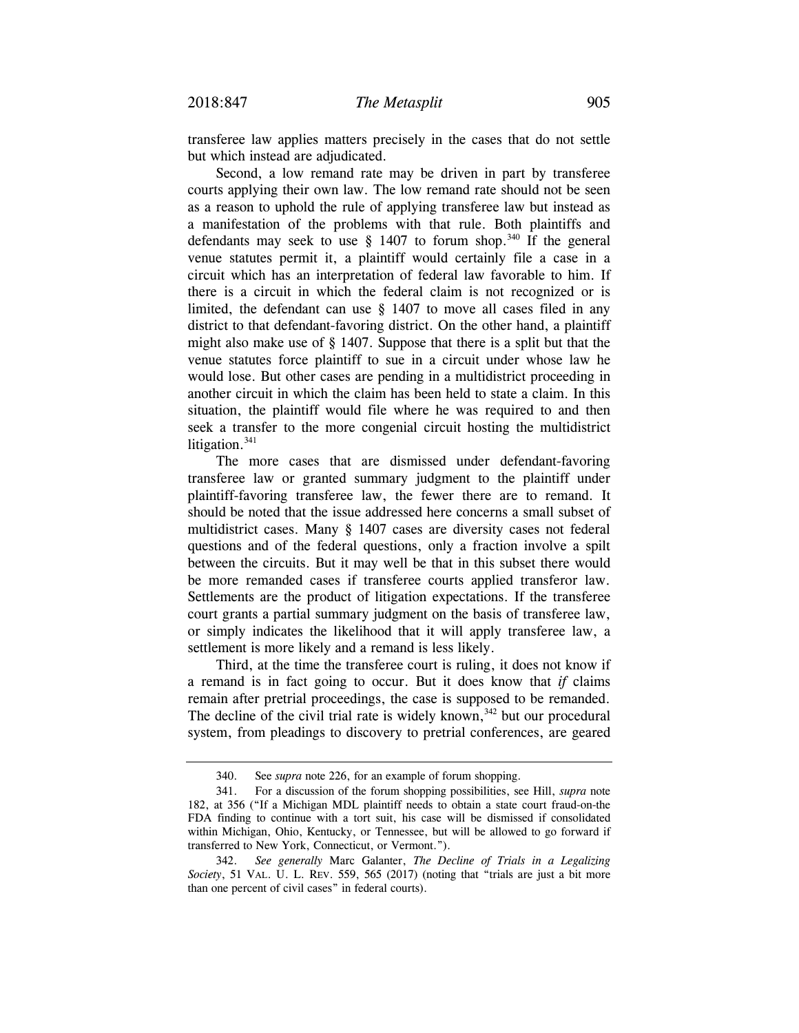transferee law applies matters precisely in the cases that do not settle but which instead are adjudicated.

Second, a low remand rate may be driven in part by transferee courts applying their own law. The low remand rate should not be seen as a reason to uphold the rule of applying transferee law but instead as a manifestation of the problems with that rule. Both plaintiffs and defendants may seek to use  $\S$  1407 to forum shop.<sup>340</sup> If the general venue statutes permit it, a plaintiff would certainly file a case in a circuit which has an interpretation of federal law favorable to him. If there is a circuit in which the federal claim is not recognized or is limited, the defendant can use § 1407 to move all cases filed in any district to that defendant-favoring district. On the other hand, a plaintiff might also make use of § 1407. Suppose that there is a split but that the venue statutes force plaintiff to sue in a circuit under whose law he would lose. But other cases are pending in a multidistrict proceeding in another circuit in which the claim has been held to state a claim. In this situation, the plaintiff would file where he was required to and then seek a transfer to the more congenial circuit hosting the multidistrict litigation. $341$ 

The more cases that are dismissed under defendant-favoring transferee law or granted summary judgment to the plaintiff under plaintiff-favoring transferee law, the fewer there are to remand. It should be noted that the issue addressed here concerns a small subset of multidistrict cases. Many § 1407 cases are diversity cases not federal questions and of the federal questions, only a fraction involve a spilt between the circuits. But it may well be that in this subset there would be more remanded cases if transferee courts applied transferor law. Settlements are the product of litigation expectations. If the transferee court grants a partial summary judgment on the basis of transferee law, or simply indicates the likelihood that it will apply transferee law, a settlement is more likely and a remand is less likely.

Third, at the time the transferee court is ruling, it does not know if a remand is in fact going to occur. But it does know that *if* claims remain after pretrial proceedings, the case is supposed to be remanded. The decline of the civil trial rate is widely known,  $342$  but our procedural system, from pleadings to discovery to pretrial conferences, are geared

 <sup>340.</sup> See *supra* note 226, for an example of forum shopping.

 <sup>341.</sup> For a discussion of the forum shopping possibilities, see Hill, *supra* note 182, at 356 ("If a Michigan MDL plaintiff needs to obtain a state court fraud-on-the FDA finding to continue with a tort suit, his case will be dismissed if consolidated within Michigan, Ohio, Kentucky, or Tennessee, but will be allowed to go forward if transferred to New York, Connecticut, or Vermont.").

 <sup>342.</sup> *See generally* Marc Galanter, *The Decline of Trials in a Legalizing Society*, 51 VAL. U. L. REV. 559, 565 (2017) (noting that "trials are just a bit more than one percent of civil cases" in federal courts).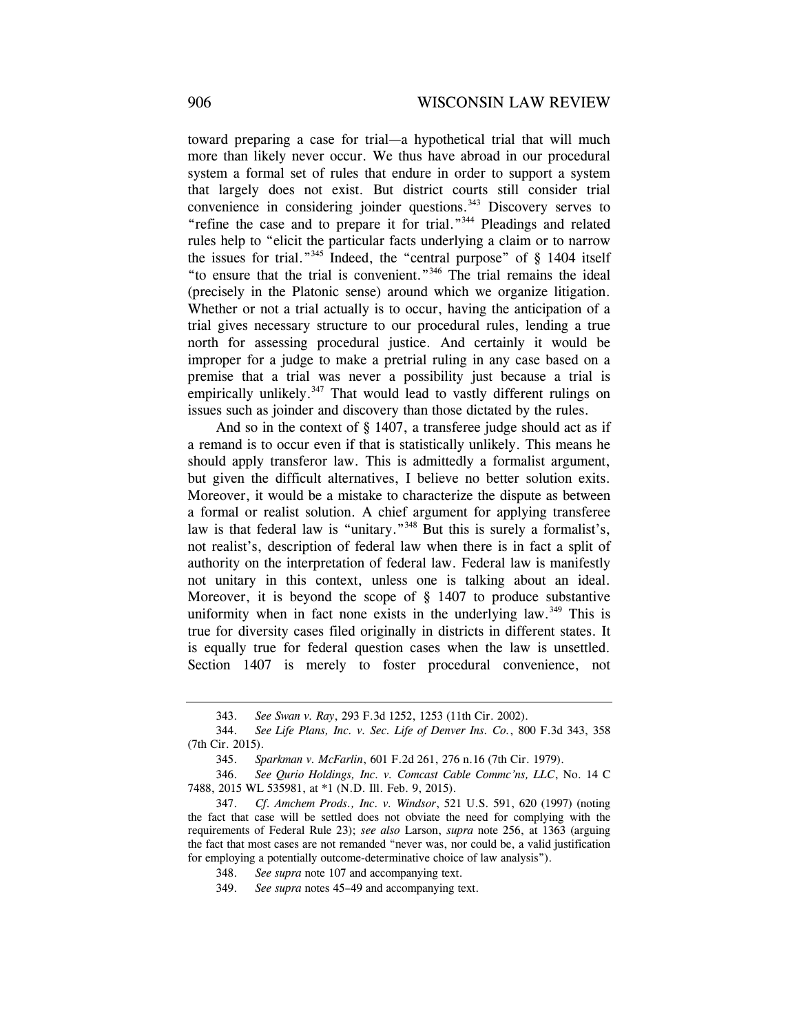toward preparing a case for trial—a hypothetical trial that will much more than likely never occur. We thus have abroad in our procedural system a formal set of rules that endure in order to support a system that largely does not exist. But district courts still consider trial convenience in considering joinder questions.<sup>343</sup> Discovery serves to "refine the case and to prepare it for trial."344 Pleadings and related rules help to "elicit the particular facts underlying a claim or to narrow the issues for trial."<sup>345</sup> Indeed, the "central purpose" of § 1404 itself "to ensure that the trial is convenient."346 The trial remains the ideal (precisely in the Platonic sense) around which we organize litigation. Whether or not a trial actually is to occur, having the anticipation of a trial gives necessary structure to our procedural rules, lending a true north for assessing procedural justice. And certainly it would be improper for a judge to make a pretrial ruling in any case based on a premise that a trial was never a possibility just because a trial is empirically unlikely.<sup>347</sup> That would lead to vastly different rulings on issues such as joinder and discovery than those dictated by the rules.

And so in the context of  $\S$  1407, a transferee judge should act as if a remand is to occur even if that is statistically unlikely. This means he should apply transferor law. This is admittedly a formalist argument, but given the difficult alternatives, I believe no better solution exits. Moreover, it would be a mistake to characterize the dispute as between a formal or realist solution. A chief argument for applying transferee law is that federal law is "unitary."<sup>348</sup> But this is surely a formalist's, not realist's, description of federal law when there is in fact a split of authority on the interpretation of federal law. Federal law is manifestly not unitary in this context, unless one is talking about an ideal. Moreover, it is beyond the scope of § 1407 to produce substantive uniformity when in fact none exists in the underlying law.<sup>349</sup> This is true for diversity cases filed originally in districts in different states. It is equally true for federal question cases when the law is unsettled. Section 1407 is merely to foster procedural convenience, not

 <sup>343.</sup> *See Swan v. Ray*, 293 F.3d 1252, 1253 (11th Cir. 2002).

 <sup>344.</sup> *See Life Plans, Inc. v. Sec. Life of Denver Ins. Co.*, 800 F.3d 343, 358 (7th Cir. 2015).

 <sup>345.</sup> *Sparkman v. McFarlin*, 601 F.2d 261, 276 n.16 (7th Cir. 1979).

 <sup>346.</sup> *See Qurio Holdings, Inc. v. Comcast Cable Commc'ns, LLC*, No. 14 C 7488, 2015 WL 535981, at \*1 (N.D. Ill. Feb. 9, 2015).

 <sup>347.</sup> *Cf*. *Amchem Prods., Inc. v. Windsor*, 521 U.S. 591, 620 (1997) (noting the fact that case will be settled does not obviate the need for complying with the requirements of Federal Rule 23); *see also* Larson, *supra* note 256, at 1363 (arguing the fact that most cases are not remanded "never was, nor could be, a valid justification for employing a potentially outcome-determinative choice of law analysis").

 <sup>348.</sup> *See supra* note 107 and accompanying text.

 <sup>349.</sup> *See supra* notes 45–49 and accompanying text.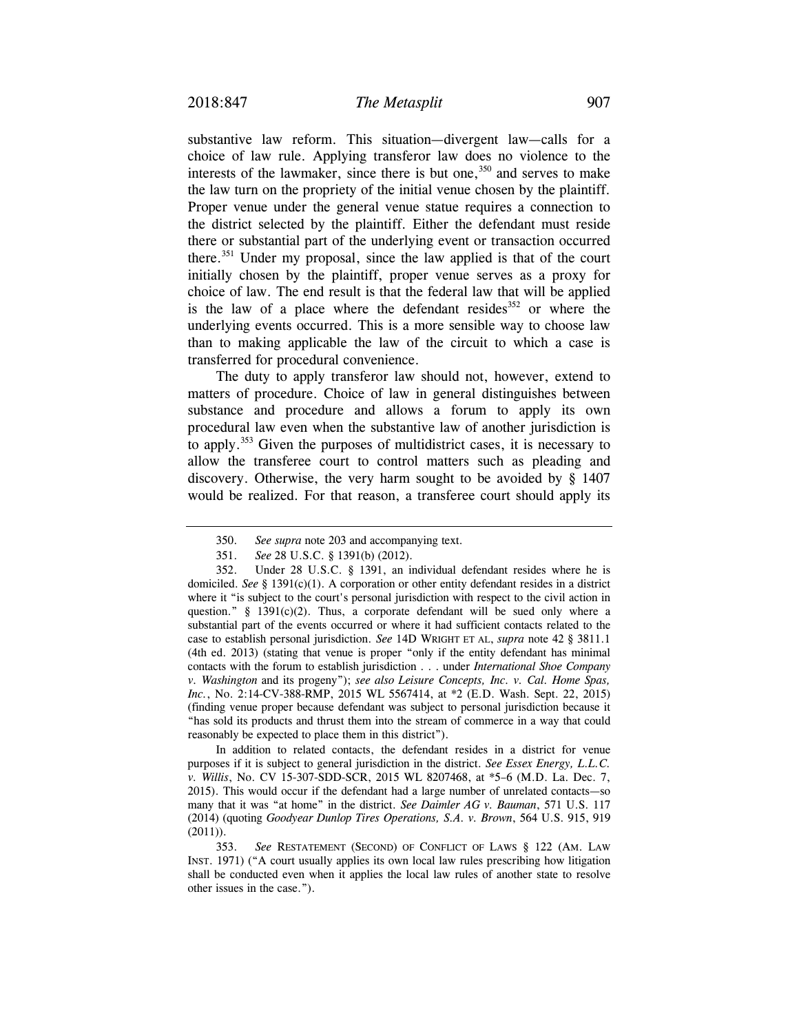substantive law reform. This situation—divergent law—calls for a choice of law rule. Applying transferor law does no violence to the interests of the lawmaker, since there is but one,  $350$  and serves to make the law turn on the propriety of the initial venue chosen by the plaintiff. Proper venue under the general venue statue requires a connection to the district selected by the plaintiff. Either the defendant must reside there or substantial part of the underlying event or transaction occurred there.351 Under my proposal, since the law applied is that of the court initially chosen by the plaintiff, proper venue serves as a proxy for choice of law. The end result is that the federal law that will be applied is the law of a place where the defendant resides $352$  or where the underlying events occurred. This is a more sensible way to choose law than to making applicable the law of the circuit to which a case is transferred for procedural convenience.

The duty to apply transferor law should not, however, extend to matters of procedure. Choice of law in general distinguishes between substance and procedure and allows a forum to apply its own procedural law even when the substantive law of another jurisdiction is to apply.353 Given the purposes of multidistrict cases, it is necessary to allow the transferee court to control matters such as pleading and discovery. Otherwise, the very harm sought to be avoided by § 1407 would be realized. For that reason, a transferee court should apply its

 In addition to related contacts, the defendant resides in a district for venue purposes if it is subject to general jurisdiction in the district. *See Essex Energy, L.L.C. v. Willis*, No. CV 15-307-SDD-SCR, 2015 WL 8207468, at \*5–6 (M.D. La. Dec. 7, 2015). This would occur if the defendant had a large number of unrelated contacts—so many that it was "at home" in the district. *See Daimler AG v. Bauman*, 571 U.S. 117 (2014) (quoting *Goodyear Dunlop Tires Operations, S.A. v. Brown*, 564 U.S. 915, 919  $(2011)$ .

 <sup>350.</sup> *See supra* note 203 and accompanying text.

 <sup>351.</sup> *See* 28 U.S.C. § 1391(b) (2012).

 <sup>352.</sup> Under 28 U.S.C. § 1391, an individual defendant resides where he is domiciled. *See* § 1391(c)(1). A corporation or other entity defendant resides in a district where it "is subject to the court's personal jurisdiction with respect to the civil action in question."  $\S$  1391(c)(2). Thus, a corporate defendant will be sued only where a substantial part of the events occurred or where it had sufficient contacts related to the case to establish personal jurisdiction. *See* 14D WRIGHT ET AL, *supra* note 42 § 3811.1 (4th ed. 2013) (stating that venue is proper "only if the entity defendant has minimal contacts with the forum to establish jurisdiction . . . under *International Shoe Company v. Washington* and its progeny"); *see also Leisure Concepts, Inc. v. Cal. Home Spas, Inc.*, No. 2:14-CV-388-RMP, 2015 WL 5567414, at \*2 (E.D. Wash. Sept. 22, 2015) (finding venue proper because defendant was subject to personal jurisdiction because it "has sold its products and thrust them into the stream of commerce in a way that could reasonably be expected to place them in this district").

 <sup>353.</sup> *See* RESTATEMENT (SECOND) OF CONFLICT OF LAWS § 122 (AM. LAW INST. 1971) ("A court usually applies its own local law rules prescribing how litigation shall be conducted even when it applies the local law rules of another state to resolve other issues in the case.").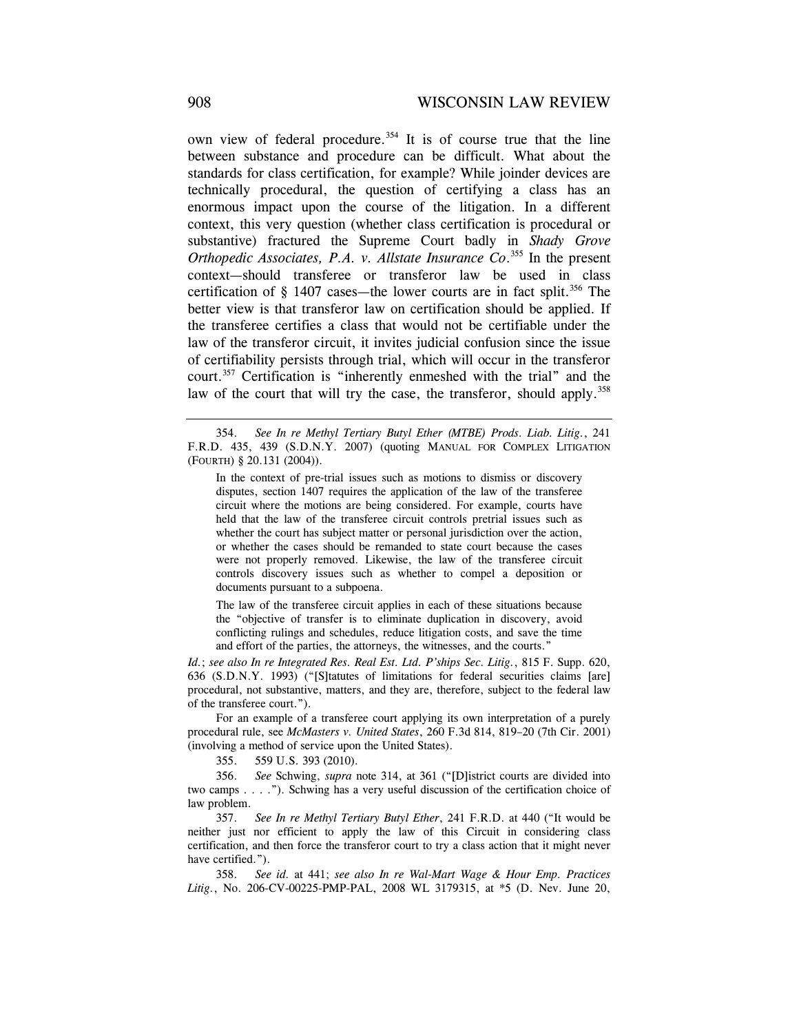own view of federal procedure.<sup>354</sup> It is of course true that the line between substance and procedure can be difficult. What about the standards for class certification, for example? While joinder devices are technically procedural, the question of certifying a class has an enormous impact upon the course of the litigation. In a different context, this very question (whether class certification is procedural or substantive) fractured the Supreme Court badly in *Shady Grove Orthopedic Associates, P.A. v. Allstate Insurance Co*. 355 In the present context—should transferee or transferor law be used in class certification of  $\S$  1407 cases—the lower courts are in fact split.<sup>356</sup> The better view is that transferor law on certification should be applied. If the transferee certifies a class that would not be certifiable under the law of the transferor circuit, it invites judicial confusion since the issue of certifiability persists through trial, which will occur in the transferor court.357 Certification is "inherently enmeshed with the trial" and the law of the court that will try the case, the transferor, should apply.<sup>358</sup>

 354. *See In re Methyl Tertiary Butyl Ether (MTBE) Prods. Liab. Litig.*, 241 F.R.D. 435, 439 (S.D.N.Y. 2007) (quoting MANUAL FOR COMPLEX LITIGATION (FOURTH) § 20.131 (2004)).

In the context of pre-trial issues such as motions to dismiss or discovery disputes, section 1407 requires the application of the law of the transferee circuit where the motions are being considered. For example, courts have held that the law of the transferee circuit controls pretrial issues such as whether the court has subject matter or personal jurisdiction over the action, or whether the cases should be remanded to state court because the cases were not properly removed. Likewise, the law of the transferee circuit controls discovery issues such as whether to compel a deposition or documents pursuant to a subpoena.

The law of the transferee circuit applies in each of these situations because the "objective of transfer is to eliminate duplication in discovery, avoid conflicting rulings and schedules, reduce litigation costs, and save the time and effort of the parties, the attorneys, the witnesses, and the courts."

*Id.*; *see also In re Integrated Res. Real Est. Ltd. P'ships Sec. Litig.*, 815 F. Supp. 620, 636 (S.D.N.Y. 1993) ("[S]tatutes of limitations for federal securities claims [are] procedural, not substantive, matters, and they are, therefore, subject to the federal law of the transferee court.").

 For an example of a transferee court applying its own interpretation of a purely procedural rule, see *McMasters v. United States*, 260 F.3d 814, 819–20 (7th Cir. 2001) (involving a method of service upon the United States).

355. 559 U.S. 393 (2010).

 356. *See* Schwing, *supra* note 314, at 361 ("[D]istrict courts are divided into two camps . . . ."). Schwing has a very useful discussion of the certification choice of law problem.

 357. *See In re Methyl Tertiary Butyl Ether*, 241 F.R.D. at 440 ("It would be neither just nor efficient to apply the law of this Circuit in considering class certification, and then force the transferor court to try a class action that it might never have certified.").

 358. *See id.* at 441; *see also In re Wal-Mart Wage & Hour Emp. Practices Litig.*, No. 206-CV-00225-PMP-PAL, 2008 WL 3179315, at \*5 (D. Nev. June 20,